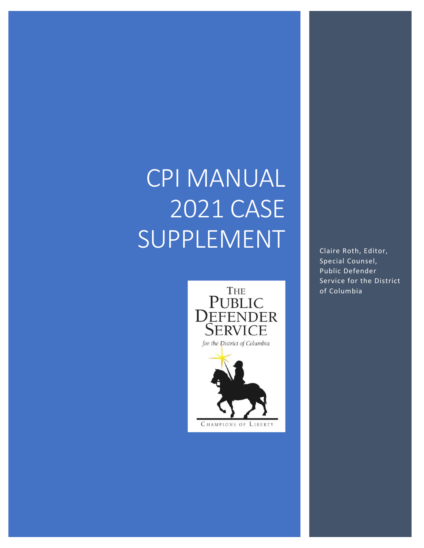# CPI MANUAL 2021 CASE SUPPLEMENT



Claire Roth, Editor, Special Counsel, Public Defender Service for the District of Columbia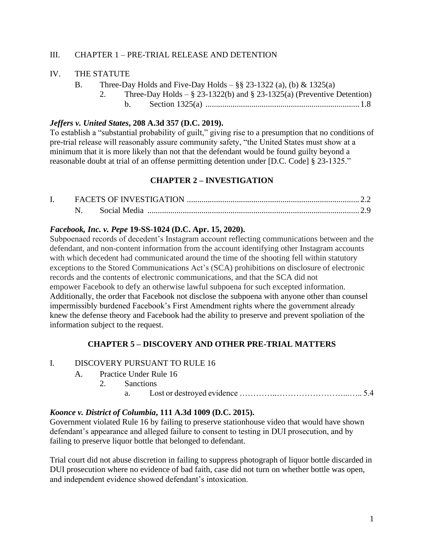## III. CHAPTER 1 – PRE-TRIAL RELEASE AND DETENTION

#### IV. THE STATUTE

- B. Three-Day Holds and Five-Day Holds  $-\frac{8}{5}$  23-1322 (a), (b) & 1325(a)
	- 2. Three-Day Holds  $\S$  23-1322(b) and  $\S$  23-1325(a) (Preventive Detention)
		- b. Section 1325(a) .......................................................................... 1.8

#### *Jeffers v. United States***, 208 A.3d 357 (D.C. 2019).**

To establish a "substantial probability of guilt," giving rise to a presumption that no conditions of pre-trial release will reasonably assure community safety, "the United States must show at a minimum that it is more likely than not that the defendant would be found guilty beyond a reasonable doubt at trial of an offense permitting detention under [D.C. Code] § 23-1325."

# **CHAPTER 2 – INVESTIGATION**

|  | Social Media |  |
|--|--------------|--|

## *Facebook, Inc. v. Pepe* **19-SS-1024 (D.C. Apr. 15, 2020).**

Subpoenaed records of decedent's Instagram account reflecting communications between and the defendant, and non-content information from the account identifying other Instagram accounts with which decedent had communicated around the time of the shooting fell within statutory exceptions to the Stored Communications Act's (SCA) prohibitions on disclosure of electronic records and the contents of electronic communications, and that the SCA did not empower Facebook to defy an otherwise lawful subpoena for such excepted information. Additionally, the order that Facebook not disclose the subpoena with anyone other than counsel impermissibly burdened Facebook's First Amendment rights where the government already knew the defense theory and Facebook had the ability to preserve and prevent spoliation of the information subject to the request.

## **CHAPTER 5 – DISCOVERY AND OTHER PRE-TRIAL MATTERS**

#### I. DISCOVERY PURSUANT TO RULE 16

- A. Practice Under Rule 16
	- 2. Sanctions
		- a. Lost or destroyed evidence …………..……………………...….. 5.4

## *Koonce v. District of Columbia***, 111 A.3d 1009 (D.C. 2015).**

Government violated Rule 16 by failing to preserve stationhouse video that would have shown defendant's appearance and alleged failure to consent to testing in DUI prosecution, and by failing to preserve liquor bottle that belonged to defendant.

Trial court did not abuse discretion in failing to suppress photograph of liquor bottle discarded in DUI prosecution where no evidence of bad faith, case did not turn on whether bottle was open, and independent evidence showed defendant's intoxication.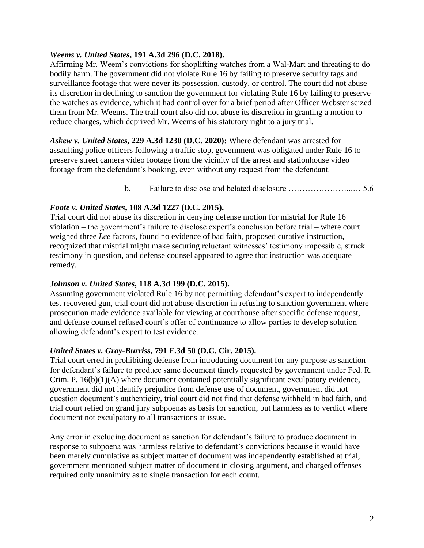#### *Weems v. United States***, 191 A.3d 296 (D.C. 2018).**

Affirming Mr. Weem's convictions for shoplifting watches from a Wal-Mart and threating to do bodily harm. The government did not violate Rule 16 by failing to preserve security tags and surveillance footage that were never its possession, custody, or control. The court did not abuse its discretion in declining to sanction the government for violating Rule 16 by failing to preserve the watches as evidence, which it had control over for a brief period after Officer Webster seized them from Mr. Weems. The trail court also did not abuse its discretion in granting a motion to reduce charges, which deprived Mr. Weems of his statutory right to a jury trial.

*Askew v. United States***, 229 A.3d 1230 (D.C. 2020):** Where defendant was arrested for assaulting police officers following a traffic stop, government was obligated under Rule 16 to preserve street camera video footage from the vicinity of the arrest and stationhouse video footage from the defendant's booking, even without any request from the defendant.

b. Failure to disclose and belated disclosure …………………...… 5.6

## *Foote v. United States***, 108 A.3d 1227 (D.C. 2015).**

Trial court did not abuse its discretion in denying defense motion for mistrial for Rule 16 violation – the government's failure to disclose expert's conclusion before trial – where court weighed three *Lee* factors, found no evidence of bad faith, proposed curative instruction, recognized that mistrial might make securing reluctant witnesses' testimony impossible, struck testimony in question, and defense counsel appeared to agree that instruction was adequate remedy.

## *Johnson v. United States***, 118 A.3d 199 (D.C. 2015).**

Assuming government violated Rule 16 by not permitting defendant's expert to independently test recovered gun, trial court did not abuse discretion in refusing to sanction government where prosecution made evidence available for viewing at courthouse after specific defense request, and defense counsel refused court's offer of continuance to allow parties to develop solution allowing defendant's expert to test evidence.

## *United States v. Gray-Burriss***, 791 F.3d 50 (D.C. Cir. 2015).**

Trial court erred in prohibiting defense from introducing document for any purpose as sanction for defendant's failure to produce same document timely requested by government under Fed. R. Crim. P. 16(b)(1)(A) where document contained potentially significant exculpatory evidence, government did not identify prejudice from defense use of document, government did not question document's authenticity, trial court did not find that defense withheld in bad faith, and trial court relied on grand jury subpoenas as basis for sanction, but harmless as to verdict where document not exculpatory to all transactions at issue.

Any error in excluding document as sanction for defendant's failure to produce document in response to subpoena was harmless relative to defendant's convictions because it would have been merely cumulative as subject matter of document was independently established at trial, government mentioned subject matter of document in closing argument, and charged offenses required only unanimity as to single transaction for each count.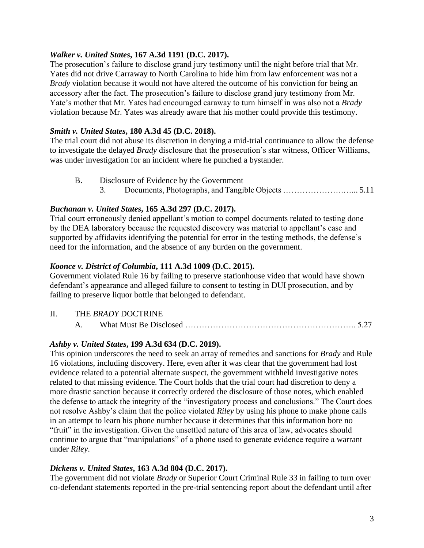## *Walker v. United States***, 167 A.3d 1191 (D.C. 2017).**

The prosecution's failure to disclose grand jury testimony until the night before trial that Mr. Yates did not drive Carraway to North Carolina to hide him from law enforcement was not a *Brady* violation because it would not have altered the outcome of his conviction for being an accessory after the fact. The prosecution's failure to disclose grand jury testimony from Mr. Yate's mother that Mr. Yates had encouraged caraway to turn himself in was also not a *Brady* violation because Mr. Yates was already aware that his mother could provide this testimony.

## *Smith v. United States***, 180 A.3d 45 (D.C. 2018).**

The trial court did not abuse its discretion in denying a mid-trial continuance to allow the defense to investigate the delayed *Brady* disclosure that the prosecution's star witness, Officer Williams, was under investigation for an incident where he punched a bystander.

- B. Disclosure of Evidence by the Government
	- 3. Documents, Photographs, and Tangible Objects ………………….…... 5.11

# *Buchanan v. United States***, 165 A.3d 297 (D.C. 2017).**

Trial court erroneously denied appellant's motion to compel documents related to testing done by the DEA laboratory because the requested discovery was material to appellant's case and supported by affidavits identifying the potential for error in the testing methods, the defense's need for the information, and the absence of any burden on the government.

## *Koonce v. District of Columbia***, 111 A.3d 1009 (D.C. 2015).**

Government violated Rule 16 by failing to preserve stationhouse video that would have shown defendant's appearance and alleged failure to consent to testing in DUI prosecution, and by failing to preserve liquor bottle that belonged to defendant.

- II. THE *BRADY* DOCTRINE
	- A. What Must Be Disclosed …………………………………………………….. 5.27

# *Ashby v. United States***, 199 A.3d 634 (D.C. 2019).**

This opinion underscores the need to seek an array of remedies and sanctions for *Brady* and Rule 16 violations, including discovery. Here, even after it was clear that the government had lost evidence related to a potential alternate suspect, the government withheld investigative notes related to that missing evidence. The Court holds that the trial court had discretion to deny a more drastic sanction because it correctly ordered the disclosure of those notes, which enabled the defense to attack the integrity of the "investigatory process and conclusions." The Court does not resolve Ashby's claim that the police violated *Riley* by using his phone to make phone calls in an attempt to learn his phone number because it determines that this information bore no "fruit" in the investigation. Given the unsettled nature of this area of law, advocates should continue to argue that "manipulations" of a phone used to generate evidence require a warrant under *Riley*.

## *Dickens v. United States***, 163 A.3d 804 (D.C. 2017).**

The government did not violate *Brady* or Superior Court Criminal Rule 33 in failing to turn over co-defendant statements reported in the pre-trial sentencing report about the defendant until after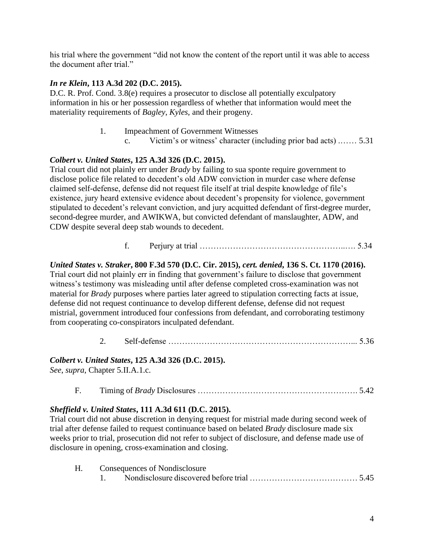his trial where the government "did not know the content of the report until it was able to access the document after trial."

## *In re Klein***, 113 A.3d 202 (D.C. 2015).**

D.C. R. Prof. Cond. 3.8(e) requires a prosecutor to disclose all potentially exculpatory information in his or her possession regardless of whether that information would meet the materiality requirements of *Bagley*, *Kyles*, and their progeny.

- 1. Impeachment of Government Witnesses
	- c. Victim's or witness' character (including prior bad acts) .…… 5.31

# *Colbert v. United States***, 125 A.3d 326 (D.C. 2015).**

Trial court did not plainly err under *Brady* by failing to sua sponte require government to disclose police file related to decedent's old ADW conviction in murder case where defense claimed self-defense, defense did not request file itself at trial despite knowledge of file's existence, jury heard extensive evidence about decedent's propensity for violence, government stipulated to decedent's relevant conviction, and jury acquitted defendant of first-degree murder, second-degree murder, and AWIKWA, but convicted defendant of manslaughter, ADW, and CDW despite several deep stab wounds to decedent.

f. Perjury at trial ……………………………………………..…. 5.34

# *United States v. Straker***, 800 F.3d 570 (D.C. Cir. 2015),** *cert. denied***, 136 S. Ct. 1170 (2016).**

Trial court did not plainly err in finding that government's failure to disclose that government witness's testimony was misleading until after defense completed cross-examination was not material for *Brady* purposes where parties later agreed to stipulation correcting facts at issue, defense did not request continuance to develop different defense, defense did not request mistrial, government introduced four confessions from defendant, and corroborating testimony from cooperating co-conspirators inculpated defendant.

2. Self-defense …………………………………………………………... 5.36

## *Colbert v. United States***, 125 A.3d 326 (D.C. 2015).**

*See*, *supra*, Chapter 5.II.A.1.c.

F. Timing of *Brady* Disclosures …………………………………………………. 5.42

## *Sheffield v. United States***, 111 A.3d 611 (D.C. 2015).**

Trial court did not abuse discretion in denying request for mistrial made during second week of trial after defense failed to request continuance based on belated *Brady* disclosure made six weeks prior to trial, prosecution did not refer to subject of disclosure, and defense made use of disclosure in opening, cross-examination and closing.

| Consequences of Nondisclosure                                  |  |  |
|----------------------------------------------------------------|--|--|
| Nondisclosure discovered before trial www.communications. 5.45 |  |  |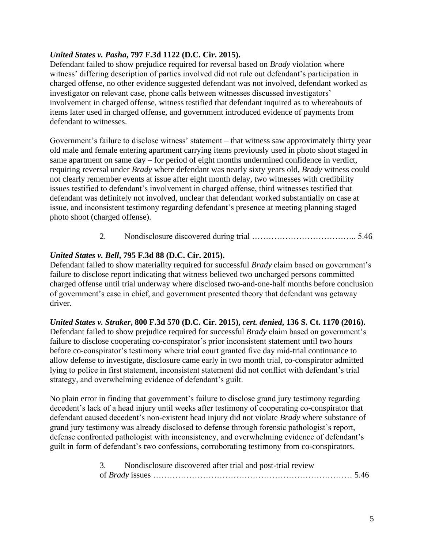## *United States v. Pasha***, 797 F.3d 1122 (D.C. Cir. 2015).**

Defendant failed to show prejudice required for reversal based on *Brady* violation where witness' differing description of parties involved did not rule out defendant's participation in charged offense, no other evidence suggested defendant was not involved, defendant worked as investigator on relevant case, phone calls between witnesses discussed investigators' involvement in charged offense, witness testified that defendant inquired as to whereabouts of items later used in charged offense, and government introduced evidence of payments from defendant to witnesses.

Government's failure to disclose witness' statement – that witness saw approximately thirty year old male and female entering apartment carrying items previously used in photo shoot staged in same apartment on same day – for period of eight months undermined confidence in verdict, requiring reversal under *Brady* where defendant was nearly sixty years old, *Brady* witness could not clearly remember events at issue after eight month delay, two witnesses with credibility issues testified to defendant's involvement in charged offense, third witnesses testified that defendant was definitely not involved, unclear that defendant worked substantially on case at issue, and inconsistent testimony regarding defendant's presence at meeting planning staged photo shoot (charged offense).

# 2. Nondisclosure discovered during trial ……………………………….. 5.46

# *United States v. Bell***, 795 F.3d 88 (D.C. Cir. 2015).**

Defendant failed to show materiality required for successful *Brady* claim based on government's failure to disclose report indicating that witness believed two uncharged persons committed charged offense until trial underway where disclosed two-and-one-half months before conclusion of government's case in chief, and government presented theory that defendant was getaway driver.

## *United States v. Straker***, 800 F.3d 570 (D.C. Cir. 2015),** *cert. denied***, 136 S. Ct. 1170 (2016).**

Defendant failed to show prejudice required for successful *Brady* claim based on government's failure to disclose cooperating co-conspirator's prior inconsistent statement until two hours before co-conspirator's testimony where trial court granted five day mid-trial continuance to allow defense to investigate, disclosure came early in two month trial, co-conspirator admitted lying to police in first statement, inconsistent statement did not conflict with defendant's trial strategy, and overwhelming evidence of defendant's guilt.

No plain error in finding that government's failure to disclose grand jury testimony regarding decedent's lack of a head injury until weeks after testimony of cooperating co-conspirator that defendant caused decedent's non-existent head injury did not violate *Brady* where substance of grand jury testimony was already disclosed to defense through forensic pathologist's report, defense confronted pathologist with inconsistency, and overwhelming evidence of defendant's guilt in form of defendant's two confessions, corroborating testimony from co-conspirators.

| 3. Nondisclosure discovered after trial and post-trial review |  |
|---------------------------------------------------------------|--|
|                                                               |  |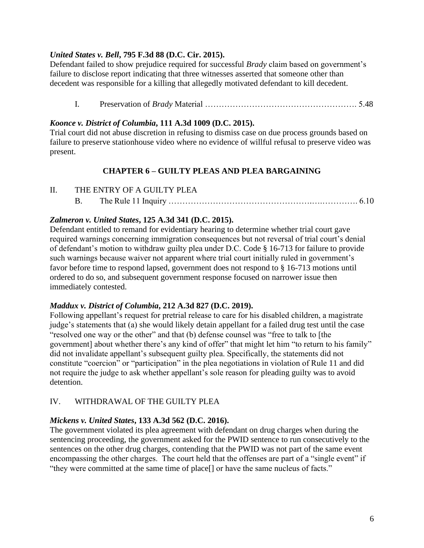# *United States v. Bell***, 795 F.3d 88 (D.C. Cir. 2015).**

Defendant failed to show prejudice required for successful *Brady* claim based on government's failure to disclose report indicating that three witnesses asserted that someone other than decedent was responsible for a killing that allegedly motivated defendant to kill decedent.

I. Preservation of *Brady* Material ………………………………………………. 5.48

## *Koonce v. District of Columbia***, 111 A.3d 1009 (D.C. 2015).**

Trial court did not abuse discretion in refusing to dismiss case on due process grounds based on failure to preserve stationhouse video where no evidence of willful refusal to preserve video was present.

# **CHAPTER 6 – GUILTY PLEAS AND PLEA BARGAINING**

II. THE ENTRY OF A GUILTY PLEA B. The Rule 11 Inquiry …………………………………………….….…………. 6.10

# *Zalmeron v. United States***, 125 A.3d 341 (D.C. 2015).**

Defendant entitled to remand for evidentiary hearing to determine whether trial court gave required warnings concerning immigration consequences but not reversal of trial court's denial of defendant's motion to withdraw guilty plea under D.C. Code § 16-713 for failure to provide such warnings because waiver not apparent where trial court initially ruled in government's favor before time to respond lapsed, government does not respond to § 16-713 motions until ordered to do so, and subsequent government response focused on narrower issue then immediately contested.

## *Maddux v. District of Columbia***, 212 A.3d 827 (D.C. 2019).**

Following appellant's request for pretrial release to care for his disabled children, a magistrate judge's statements that (a) she would likely detain appellant for a failed drug test until the case "resolved one way or the other" and that (b) defense counsel was "free to talk to [the government] about whether there's any kind of offer" that might let him "to return to his family" did not invalidate appellant's subsequent guilty plea. Specifically, the statements did not constitute "coercion" or "participation" in the plea negotiations in violation of Rule 11 and did not require the judge to ask whether appellant's sole reason for pleading guilty was to avoid detention.

# IV. WITHDRAWAL OF THE GUILTY PLEA

# *Mickens v. United States***, 133 A.3d 562 (D.C. 2016).**

The government violated its plea agreement with defendant on drug charges when during the sentencing proceeding, the government asked for the PWID sentence to run consecutively to the sentences on the other drug charges, contending that the PWID was not part of the same event encompassing the other charges. The court held that the offenses are part of a "single event" if "they were committed at the same time of place[] or have the same nucleus of facts."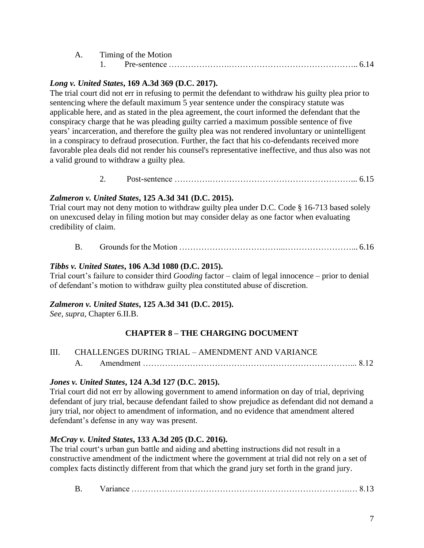| Timing of the Motion |              |  |
|----------------------|--------------|--|
|                      | Pre-sentence |  |

#### *Long v. United States***, 169 A.3d 369 (D.C. 2017).**

The trial court did not err in refusing to permit the defendant to withdraw his guilty plea prior to sentencing where the default maximum 5 year sentence under the conspiracy statute was applicable here, and as stated in the plea agreement, the court informed the defendant that the conspiracy charge that he was pleading guilty carried a maximum possible sentence of five years' incarceration, and therefore the guilty plea was not rendered involuntary or unintelligent in a conspiracy to defraud prosecution. Further, the fact that his co-defendants received more favorable plea deals did not render his counsel's representative ineffective, and thus also was not a valid ground to withdraw a guilty plea.

2. Post-sentence ………….……………………………………………... 6.15

#### *Zalmeron v. United States***, 125 A.3d 341 (D.C. 2015).**

Trial court may not deny motion to withdraw guilty plea under D.C. Code § 16-713 based solely on unexcused delay in filing motion but may consider delay as one factor when evaluating credibility of claim.

B. Grounds for the Motion ………………………………...……………………... 6.16

#### *Tibbs v. United States***, 106 A.3d 1080 (D.C. 2015).**

Trial court's failure to consider third *Gooding* factor – claim of legal innocence – prior to denial of defendant's motion to withdraw guilty plea constituted abuse of discretion.

## *Zalmeron v. United States***, 125 A.3d 341 (D.C. 2015).**

*See*, *supra*, Chapter 6.II.B.

# **CHAPTER 8 – THE CHARGING DOCUMENT**

| III. | <b>CHALLENGES DURING TRIAL – AMENDMENT AND VARIANCE</b> |
|------|---------------------------------------------------------|
|      |                                                         |

#### *Jones v. United States***, 124 A.3d 127 (D.C. 2015).**

Trial court did not err by allowing government to amend information on day of trial, depriving defendant of jury trial, because defendant failed to show prejudice as defendant did not demand a jury trial, nor object to amendment of information, and no evidence that amendment altered defendant's defense in any way was present.

## *McCray v. United States***, 133 A.3d 205 (D.C. 2016).**

The trial court's urban gun battle and aiding and abetting instructions did not result in a constructive amendment of the indictment where the government at trial did not rely on a set of complex facts distinctly different from that which the grand jury set forth in the grand jury.

| B | ل Later ( 1991 - 1992) - 1992 - 1992 - 1994 - 1994 - 1994 - 1994 - 1994 - 1994 - 1994 - 1994 - 1994 - 1994 - 1 |  |  |  |
|---|----------------------------------------------------------------------------------------------------------------|--|--|--|
|---|----------------------------------------------------------------------------------------------------------------|--|--|--|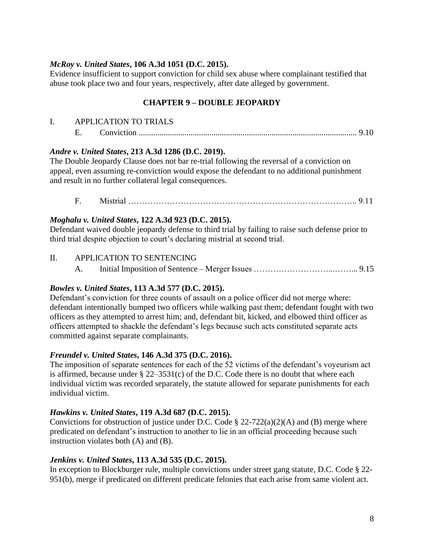## *McRoy v. United States***, 106 A.3d 1051 (D.C. 2015).**

Evidence insufficient to support conviction for child sex abuse where complainant testified that abuse took place two and four years, respectively, after date alleged by government.

# **CHAPTER 9 – DOUBLE JEOPARDY**

|  | <b>APPLICATION TO TRIALS</b> |  |
|--|------------------------------|--|
|  |                              |  |

#### *Andre v. United States***, 213 A.3d 1286 (D.C. 2019).**

The Double Jeopardy Clause does not bar re-trial following the reversal of a conviction on appeal, even assuming re-conviction would expose the defendant to no additional punishment and result in no further collateral legal consequences.

F. Mistrial ……………………………………………………………………….. 9.11

#### *Moghalu v. United States***, 122 A.3d 923 (D.C. 2015).**

Defendant waived double jeopardy defense to third trial by failing to raise such defense prior to third trial despite objection to court's declaring mistrial at second trial.

#### II. APPLICATION TO SENTENCING

A. Initial Imposition of Sentence – Merger Issues ………………………...……... 9.15

#### *Bowles v. United States***, 113 A.3d 577 (D.C. 2015).**

Defendant's conviction for three counts of assault on a police officer did not merge where: defendant intentionally bumped two officers while walking past them; defendant fought with two officers as they attempted to arrest him; and, defendant bit, kicked, and elbowed third officer as officers attempted to shackle the defendant's legs because such acts constituted separate acts committed against separate complainants.

## *Freundel v. United States***, 146 A.3d 375 (D.C. 2016).**

The imposition of separate sentences for each of the 52 victims of the defendant's voyeurism act is affirmed, because under  $\S 22-3531(c)$  of the D.C. Code there is no doubt that where each individual victim was recorded separately, the statute allowed for separate punishments for each individual victim.

#### *Hawkins v. United States***, 119 A.3d 687 (D.C. 2015).**

Convictions for obstruction of justice under D.C. Code  $\S 22-722(a)(2)(A)$  and (B) merge where predicated on defendant's instruction to another to lie in an official proceeding because such instruction violates both (A) and (B).

## *Jenkins v. United States***, 113 A.3d 535 (D.C. 2015).**

In exception to Blockburger rule, multiple convictions under street gang statute, D.C. Code § 22- 951(b), merge if predicated on different predicate felonies that each arise from same violent act.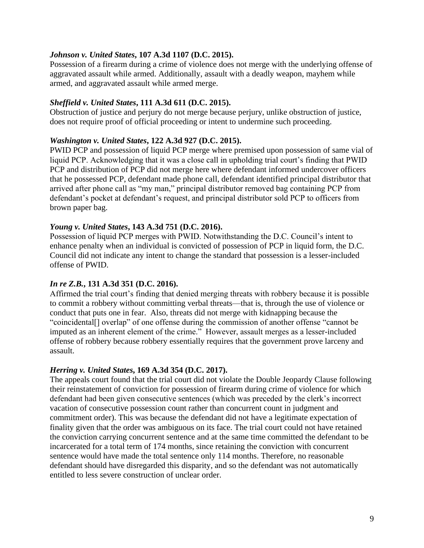#### *Johnson v. United States***, 107 A.3d 1107 (D.C. 2015).**

Possession of a firearm during a crime of violence does not merge with the underlying offense of aggravated assault while armed. Additionally, assault with a deadly weapon, mayhem while armed, and aggravated assault while armed merge.

#### *Sheffield v. United States***, 111 A.3d 611 (D.C. 2015).**

Obstruction of justice and perjury do not merge because perjury, unlike obstruction of justice, does not require proof of official proceeding or intent to undermine such proceeding.

## *Washington v. United States***, 122 A.3d 927 (D.C. 2015).**

PWID PCP and possession of liquid PCP merge where premised upon possession of same vial of liquid PCP. Acknowledging that it was a close call in upholding trial court's finding that PWID PCP and distribution of PCP did not merge here where defendant informed undercover officers that he possessed PCP, defendant made phone call, defendant identified principal distributor that arrived after phone call as "my man," principal distributor removed bag containing PCP from defendant's pocket at defendant's request, and principal distributor sold PCP to officers from brown paper bag.

#### *Young v. United States***, 143 A.3d 751 (D.C. 2016).**

Possession of liquid PCP merges with PWID. Notwithstanding the D.C. Council's intent to enhance penalty when an individual is convicted of possession of PCP in liquid form, the D.C. Council did not indicate any intent to change the standard that possession is a lesser-included offense of PWID.

## *In re Z.B.***, 131 A.3d 351 (D.C. 2016).**

Affirmed the trial court's finding that denied merging threats with robbery because it is possible to commit a robbery without committing verbal threats—that is, through the use of violence or conduct that puts one in fear. Also, threats did not merge with kidnapping because the "coincidental[] overlap" of one offense during the commission of another offense "cannot be imputed as an inherent element of the crime." However, assault merges as a lesser-included offense of robbery because robbery essentially requires that the government prove larceny and assault.

#### *Herring v. United States***, 169 A.3d 354 (D.C. 2017).**

The appeals court found that the trial court did not violate the Double Jeopardy Clause following their reinstatement of conviction for possession of firearm during crime of violence for which defendant had been given consecutive sentences (which was preceded by the clerk's incorrect vacation of consecutive possession count rather than concurrent count in judgment and commitment order). This was because the defendant did not have a legitimate expectation of finality given that the order was ambiguous on its face. The trial court could not have retained the conviction carrying concurrent sentence and at the same time committed the defendant to be incarcerated for a total term of 174 months, since retaining the conviction with concurrent sentence would have made the total sentence only 114 months. Therefore, no reasonable defendant should have disregarded this disparity, and so the defendant was not automatically entitled to less severe construction of unclear order.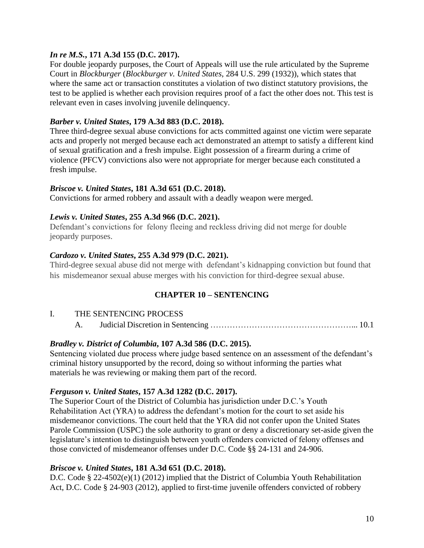## *In re M.S.***, 171 A.3d 155 (D.C. 2017).**

For double jeopardy purposes, the Court of Appeals will use the rule articulated by the Supreme Court in *Blockburger* (*Blockburger v. United States*, 284 U.S. 299 (1932)), which states that where the same act or transaction constitutes a violation of two distinct statutory provisions, the test to be applied is whether each provision requires proof of a fact the other does not. This test is relevant even in cases involving juvenile delinquency.

## *Barber v. United States***, 179 A.3d 883 (D.C. 2018).**

Three third-degree sexual abuse convictions for acts committed against one victim were separate acts and properly not merged because each act demonstrated an attempt to satisfy a different kind of sexual gratification and a fresh impulse. Eight possession of a firearm during a crime of violence (PFCV) convictions also were not appropriate for merger because each constituted a fresh impulse.

## *Briscoe v. United States***, 181 A.3d 651 (D.C. 2018).**

Convictions for armed robbery and assault with a deadly weapon were merged.

# *Lewis v. United States***, 255 A.3d 966 (D.C. 2021).**

Defendant's convictions for felony fleeing and reckless driving did not merge for double jeopardy purposes.

# *Cardozo v. United States***, 255 A.3d 979 (D.C. 2021).**

Third-degree sexual abuse did not merge with defendant's kidnapping conviction but found that his misdemeanor sexual abuse merges with his conviction for third-degree sexual abuse.

# **CHAPTER 10 – SENTENCING**

## I. THE SENTENCING PROCESS

A. Judicial Discretion in Sentencing ……………………………………………... 10.1

# *Bradley v. District of Columbia***, 107 A.3d 586 (D.C. 2015).**

Sentencing violated due process where judge based sentence on an assessment of the defendant's criminal history unsupported by the record, doing so without informing the parties what materials he was reviewing or making them part of the record.

## *Ferguson v. United States***, 157 A.3d 1282 (D.C. 2017).**

The Superior Court of the District of Columbia has jurisdiction under D.C.'s Youth Rehabilitation Act (YRA) to address the defendant's motion for the court to set aside his misdemeanor convictions. The court held that the YRA did not confer upon the United States Parole Commission (USPC) the sole authority to grant or deny a discretionary set-aside given the legislature's intention to distinguish between youth offenders convicted of felony offenses and those convicted of misdemeanor offenses under D.C. Code §§ 24-131 and 24-906.

## *Briscoe v. United States***, 181 A.3d 651 (D.C. 2018).**

D.C. Code § 22-4502(e)(1) (2012) implied that the District of Columbia Youth Rehabilitation Act, D.C. Code § 24-903 (2012), applied to first-time juvenile offenders convicted of robbery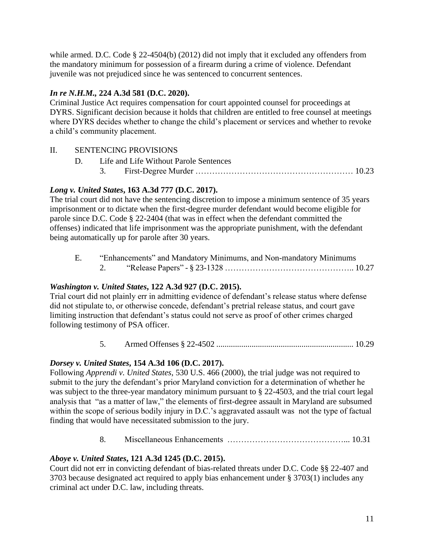while armed. D.C. Code § 22-4504(b) (2012) did not imply that it excluded any offenders from the mandatory minimum for possession of a firearm during a crime of violence. Defendant juvenile was not prejudiced since he was sentenced to concurrent sentences.

# *In re N.H.M.,* **224 A.3d 581 (D.C. 2020).**

Criminal Justice Act requires compensation for court appointed counsel for proceedings at DYRS. Significant decision because it holds that children are entitled to free counsel at meetings where DYRS decides whether to change the child's placement or services and whether to revoke a child's community placement.

# II. SENTENCING PROVISIONS

- D. Life and Life Without Parole Sentences
	- 3. First-Degree Murder ………………………………………………… 10.23

# *Long v. United States***, 163 A.3d 777 (D.C. 2017).**

The trial court did not have the sentencing discretion to impose a minimum sentence of 35 years imprisonment or to dictate when the first-degree murder defendant would become eligible for parole since D.C. Code § 22-2404 (that was in effect when the defendant committed the offenses) indicated that life imprisonment was the appropriate punishment, with the defendant being automatically up for parole after 30 years.

E. "Enhancements" and Mandatory Minimums, and Non-mandatory Minimums 2. "Release Papers" - § 23-1328 ……………………………………….. 10.27

# *Washington v. United States***, 122 A.3d 927 (D.C. 2015).**

Trial court did not plainly err in admitting evidence of defendant's release status where defense did not stipulate to, or otherwise concede, defendant's pretrial release status, and court gave limiting instruction that defendant's status could not serve as proof of other crimes charged following testimony of PSA officer.

5. Armed Offenses § 22-4502 .................................................................. 10.29

# *Dorsey v. United States***, 154 A.3d 106 (D.C. 2017).**

Following *Apprendi v. United States*, 530 U.S. 466 (2000), the trial judge was not required to submit to the jury the defendant's prior Maryland conviction for a determination of whether he was subject to the three-year mandatory minimum pursuant to § 22-4503, and the trial court legal analysis that "as a matter of law," the elements of first-degree assault in Maryland are subsumed within the scope of serious bodily injury in D.C.'s aggravated assault was not the type of factual finding that would have necessitated submission to the jury.

8. Miscellaneous Enhancements ……………………………………... 10.31

# *Aboye v. United States***, 121 A.3d 1245 (D.C. 2015).**

Court did not err in convicting defendant of bias-related threats under D.C. Code §§ 22-407 and 3703 because designated act required to apply bias enhancement under § 3703(1) includes any criminal act under D.C. law, including threats.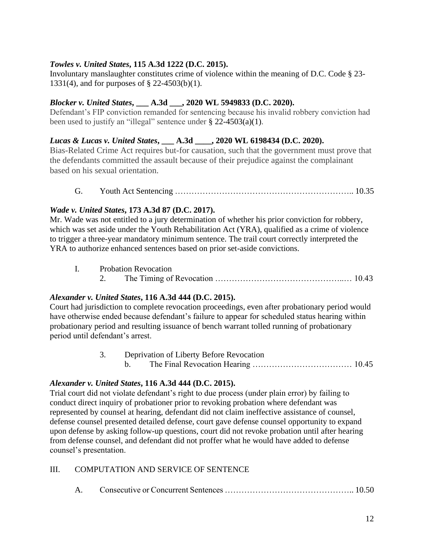# *Towles v. United States***, 115 A.3d 1222 (D.C. 2015).**

Involuntary manslaughter constitutes crime of violence within the meaning of D.C. Code § 23- 1331(4), and for purposes of § 22-4503(b)(1).

## *Blocker v. United States***, \_\_\_ A.3d \_\_\_, 2020 WL 5949833 (D.C. 2020).**

Defendant's FIP conviction remanded for sentencing because his invalid robbery conviction had been used to justify an "illegal" sentence under § 22-4503(a)(1).

## *Lucas & Lucas v. United States***, \_\_\_ A.3d \_\_\_\_, 2020 WL 6198434 (D.C. 2020).**

Bias-Related Crime Act requires but-for causation, such that the government must prove that the defendants committed the assault because of their prejudice against the complainant based on his sexual orientation.

G. Youth Act Sentencing ……………………………………………………….. 10.35

## *Wade v. United States***, 173 A.3d 87 (D.C. 2017).**

Mr. Wade was not entitled to a jury determination of whether his prior conviction for robbery, which was set aside under the Youth Rehabilitation Act (YRA), qualified as a crime of violence to trigger a three-year mandatory minimum sentence. The trail court correctly interpreted the YRA to authorize enhanced sentences based on prior set-aside convictions.

|  | <b>Probation Revocation</b> |  |
|--|-----------------------------|--|
|--|-----------------------------|--|

2. The Timing of Revocation ………………………………………..… 10.43

## *Alexander v. United States***, 116 A.3d 444 (D.C. 2015).**

Court had jurisdiction to complete revocation proceedings, even after probationary period would have otherwise ended because defendant's failure to appear for scheduled status hearing within probationary period and resulting issuance of bench warrant tolled running of probationary period until defendant's arrest.

> 3. Deprivation of Liberty Before Revocation b. The Final Revocation Hearing ……………………………… 10.45

## *Alexander v. United States***, 116 A.3d 444 (D.C. 2015).**

Trial court did not violate defendant's right to due process (under plain error) by failing to conduct direct inquiry of probationer prior to revoking probation where defendant was represented by counsel at hearing, defendant did not claim ineffective assistance of counsel, defense counsel presented detailed defense, court gave defense counsel opportunity to expand upon defense by asking follow-up questions, court did not revoke probation until after hearing from defense counsel, and defendant did not proffer what he would have added to defense counsel's presentation.

## III. COMPUTATION AND SERVICE OF SENTENCE

A. Consecutive or Concurrent Sentences ……………………………………….. 10.50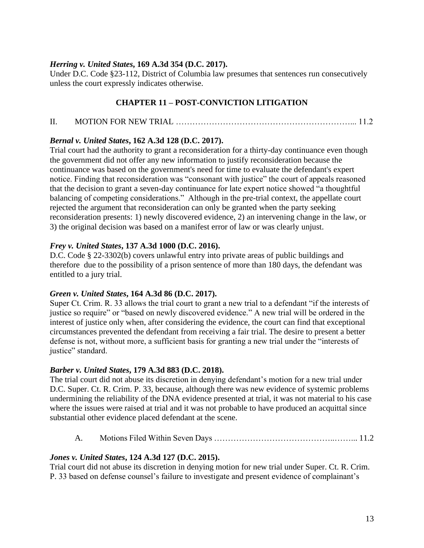## *Herring v. United States***, 169 A.3d 354 (D.C. 2017).**

Under D.C. Code §23-112, District of Columbia law presumes that sentences run consecutively unless the court expressly indicates otherwise.

# **CHAPTER 11 – POST-CONVICTION LITIGATION**

# II. MOTION FOR NEW TRIAL ………………………………………………………... 11.2

## *Bernal v. United States***, 162 A.3d 128 (D.C. 2017).**

Trial court had the authority to grant a reconsideration for a thirty-day continuance even though the government did not offer any new information to justify reconsideration because the continuance was based on the government's need for time to evaluate the defendant's expert notice. Finding that reconsideration was "consonant with justice" the court of appeals reasoned that the decision to grant a seven-day continuance for late expert notice showed "a thoughtful balancing of competing considerations." Although in the pre-trial context, the appellate court rejected the argument that reconsideration can only be granted when the party seeking reconsideration presents: 1) newly discovered evidence, 2) an intervening change in the law, or 3) the original decision was based on a manifest error of law or was clearly unjust.

#### *Frey v. United States***, 137 A.3d 1000 (D.C. 2016).**

D.C. Code § 22-3302(b) covers unlawful entry into private areas of public buildings and therefore due to the possibility of a prison sentence of more than 180 days, the defendant was entitled to a jury trial.

## *Green v. United States***, 164 A.3d 86 (D.C. 2017).**

Super Ct. Crim. R. 33 allows the trial court to grant a new trial to a defendant "if the interests of justice so require" or "based on newly discovered evidence." A new trial will be ordered in the interest of justice only when, after considering the evidence, the court can find that exceptional circumstances prevented the defendant from receiving a fair trial. The desire to present a better defense is not, without more, a sufficient basis for granting a new trial under the "interests of justice" standard.

## *Barber v. United States***, 179 A.3d 883 (D.C. 2018).**

The trial court did not abuse its discretion in denying defendant's motion for a new trial under D.C. Super. Ct. R. Crim. P. 33, because, although there was new evidence of systemic problems undermining the reliability of the DNA evidence presented at trial, it was not material to his case where the issues were raised at trial and it was not probable to have produced an acquittal since substantial other evidence placed defendant at the scene.

A. Motions Filed Within Seven Days ……………………………………..……... 11.2

## *Jones v. United States***, 124 A.3d 127 (D.C. 2015).**

Trial court did not abuse its discretion in denying motion for new trial under Super. Ct. R. Crim. P. 33 based on defense counsel's failure to investigate and present evidence of complainant's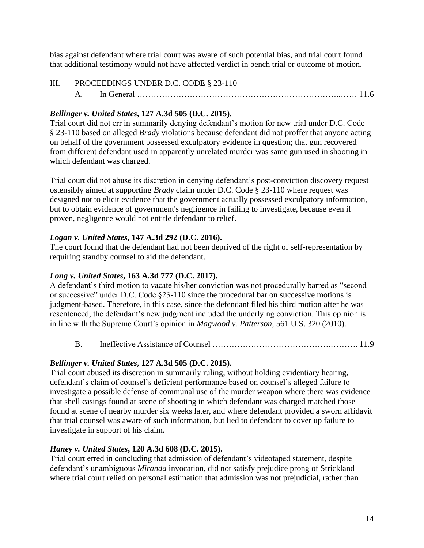bias against defendant where trial court was aware of such potential bias, and trial court found that additional testimony would not have affected verdict in bench trial or outcome of motion.

III. PROCEEDINGS UNDER D.C. CODE § 23-110 A. In General ………………………………………………………………..…… 11.6

## *Bellinger v. United States***, 127 A.3d 505 (D.C. 2015).**

Trial court did not err in summarily denying defendant's motion for new trial under D.C. Code § 23-110 based on alleged *Brady* violations because defendant did not proffer that anyone acting on behalf of the government possessed exculpatory evidence in question; that gun recovered from different defendant used in apparently unrelated murder was same gun used in shooting in which defendant was charged.

Trial court did not abuse its discretion in denying defendant's post-conviction discovery request ostensibly aimed at supporting *Brady* claim under D.C. Code § 23-110 where request was designed not to elicit evidence that the government actually possessed exculpatory information, but to obtain evidence of government's negligence in failing to investigate, because even if proven, negligence would not entitle defendant to relief.

## *Logan v. United States***, 147 A.3d 292 (D.C. 2016).**

The court found that the defendant had not been deprived of the right of self-representation by requiring standby counsel to aid the defendant.

## *Long v. United States***, 163 A.3d 777 (D.C. 2017).**

A defendant's third motion to vacate his/her conviction was not procedurally barred as "second or successive" under D.C. Code §23-110 since the procedural bar on successive motions is judgment-based. Therefore, in this case, since the defendant filed his third motion after he was resentenced, the defendant's new judgment included the underlying conviction. This opinion is in line with the Supreme Court's opinion in *Magwood v. Patterson*, 561 U.S. 320 (2010).

B. Ineffective Assistance of Counsel …………………………………….………. 11.9

## *Bellinger v. United States***, 127 A.3d 505 (D.C. 2015).**

Trial court abused its discretion in summarily ruling, without holding evidentiary hearing, defendant's claim of counsel's deficient performance based on counsel's alleged failure to investigate a possible defense of communal use of the murder weapon where there was evidence that shell casings found at scene of shooting in which defendant was charged matched those found at scene of nearby murder six weeks later, and where defendant provided a sworn affidavit that trial counsel was aware of such information, but lied to defendant to cover up failure to investigate in support of his claim.

## *Haney v. United States***, 120 A.3d 608 (D.C. 2015).**

Trial court erred in concluding that admission of defendant's videotaped statement, despite defendant's unambiguous *Miranda* invocation, did not satisfy prejudice prong of Strickland where trial court relied on personal estimation that admission was not prejudicial, rather than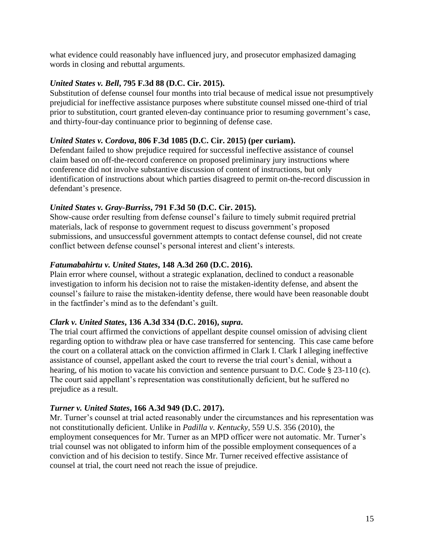what evidence could reasonably have influenced jury, and prosecutor emphasized damaging words in closing and rebuttal arguments.

## *United States v. Bell***, 795 F.3d 88 (D.C. Cir. 2015).**

Substitution of defense counsel four months into trial because of medical issue not presumptively prejudicial for ineffective assistance purposes where substitute counsel missed one-third of trial prior to substitution, court granted eleven-day continuance prior to resuming government's case, and thirty-four-day continuance prior to beginning of defense case.

## *United States v. Cordova***, 806 F.3d 1085 (D.C. Cir. 2015) (per curiam).**

Defendant failed to show prejudice required for successful ineffective assistance of counsel claim based on off-the-record conference on proposed preliminary jury instructions where conference did not involve substantive discussion of content of instructions, but only identification of instructions about which parties disagreed to permit on-the-record discussion in defendant's presence.

# *United States v. Gray-Burriss***, 791 F.3d 50 (D.C. Cir. 2015).**

Show-cause order resulting from defense counsel's failure to timely submit required pretrial materials, lack of response to government request to discuss government's proposed submissions, and unsuccessful government attempts to contact defense counsel, did not create conflict between defense counsel's personal interest and client's interests.

# *Fatumabahirtu v. United States***, 148 A.3d 260 (D.C. 2016).**

Plain error where counsel, without a strategic explanation, declined to conduct a reasonable investigation to inform his decision not to raise the mistaken-identity defense, and absent the counsel's failure to raise the mistaken-identity defense, there would have been reasonable doubt in the factfinder's mind as to the defendant's guilt.

## *Clark v. United States***, 136 A.3d 334 (D.C. 2016),** *supra***.**

The trial court affirmed the convictions of appellant despite counsel omission of advising client regarding option to withdraw plea or have case transferred for sentencing. This case came before the court on a collateral attack on the conviction affirmed in Clark I. Clark I alleging ineffective assistance of counsel, appellant asked the court to reverse the trial court's denial, without a hearing, of his motion to vacate his conviction and sentence pursuant to D.C. Code § 23-110 (c). The court said appellant's representation was constitutionally deficient, but he suffered no prejudice as a result.

## *Turner v. United States***, 166 A.3d 949 (D.C. 2017).**

Mr. Turner's counsel at trial acted reasonably under the circumstances and his representation was not constitutionally deficient. Unlike in *Padilla v. Kentucky*, 559 U.S. 356 (2010), the employment consequences for Mr. Turner as an MPD officer were not automatic. Mr. Turner's trial counsel was not obligated to inform him of the possible employment consequences of a conviction and of his decision to testify. Since Mr. Turner received effective assistance of counsel at trial, the court need not reach the issue of prejudice.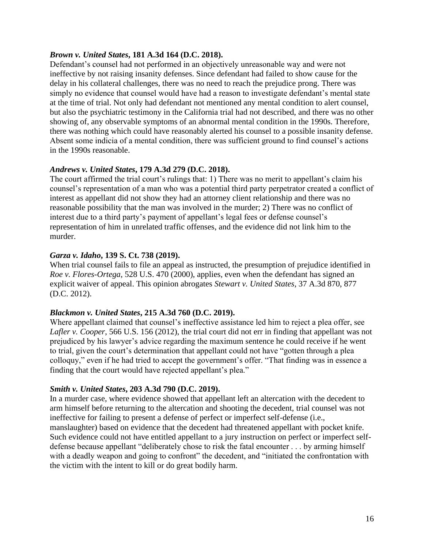#### *Brown v. United States***, 181 A.3d 164 (D.C. 2018).**

Defendant's counsel had not performed in an objectively unreasonable way and were not ineffective by not raising insanity defenses. Since defendant had failed to show cause for the delay in his collateral challenges, there was no need to reach the prejudice prong. There was simply no evidence that counsel would have had a reason to investigate defendant's mental state at the time of trial. Not only had defendant not mentioned any mental condition to alert counsel, but also the psychiatric testimony in the California trial had not described, and there was no other showing of, any observable symptoms of an abnormal mental condition in the 1990s. Therefore, there was nothing which could have reasonably alerted his counsel to a possible insanity defense. Absent some indicia of a mental condition, there was sufficient ground to find counsel's actions in the 1990s reasonable.

## *Andrews v. United States***, 179 A.3d 279 (D.C. 2018).**

The court affirmed the trial court's rulings that: 1) There was no merit to appellant's claim his counsel's representation of a man who was a potential third party perpetrator created a conflict of interest as appellant did not show they had an attorney client relationship and there was no reasonable possibility that the man was involved in the murder; 2) There was no conflict of interest due to a third party's payment of appellant's legal fees or defense counsel's representation of him in unrelated traffic offenses, and the evidence did not link him to the murder.

#### *Garza v. Idaho***, 139 S. Ct. 738 (2019).**

When trial counsel fails to file an appeal as instructed, the presumption of prejudice identified in *Roe v. Flores-Ortega*, 528 U.S. 470 (2000), applies, even when the defendant has signed an explicit waiver of appeal. This opinion abrogates *Stewart v. United States*, 37 A.3d 870, 877 (D.C. 2012).

#### *Blackmon v. United States***, 215 A.3d 760 (D.C. 2019).**

Where appellant claimed that counsel's ineffective assistance led him to reject a plea offer, see *Lafler v. Cooper*, 566 U.S. 156 (2012), the trial court did not err in finding that appellant was not prejudiced by his lawyer's advice regarding the maximum sentence he could receive if he went to trial, given the court's determination that appellant could not have "gotten through a plea colloquy," even if he had tried to accept the government's offer. "That finding was in essence a finding that the court would have rejected appellant's plea."

## *Smith v. United States***, 203 A.3d 790 (D.C. 2019).**

In a murder case, where evidence showed that appellant left an altercation with the decedent to arm himself before returning to the altercation and shooting the decedent, trial counsel was not ineffective for failing to present a defense of perfect or imperfect self-defense (i.e., manslaughter) based on evidence that the decedent had threatened appellant with pocket knife. Such evidence could not have entitled appellant to a jury instruction on perfect or imperfect selfdefense because appellant "deliberately chose to risk the fatal encounter . . . by arming himself with a deadly weapon and going to confront" the decedent, and "initiated the confrontation with the victim with the intent to kill or do great bodily harm.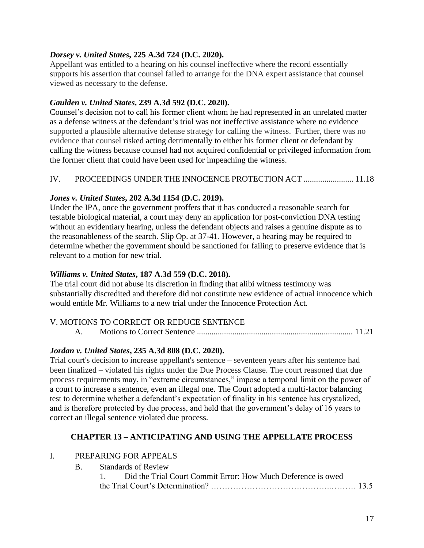## *Dorsey v. United States***, 225 A.3d 724 (D.C. 2020).**

Appellant was entitled to a hearing on his counsel ineffective where the record essentially supports his assertion that counsel failed to arrange for the DNA expert assistance that counsel viewed as necessary to the defense.

# *Gaulden v. United States***, 239 A.3d 592 (D.C. 2020).**

Counsel's decision not to call his former client whom he had represented in an unrelated matter as a defense witness at the defendant's trial was not ineffective assistance where no evidence supported a plausible alternative defense strategy for calling the witness. Further, there was no evidence that counsel risked acting detrimentally to either his former client or defendant by calling the witness because counsel had not acquired confidential or privileged information from the former client that could have been used for impeaching the witness.

# IV. PROCEEDINGS UNDER THE INNOCENCE PROTECTION ACT ........................ 11.18

# *Jones v. United States***, 202 A.3d 1154 (D.C. 2019).**

Under the IPA, once the government proffers that it has conducted a reasonable search for testable biological material, a court may deny an application for post-conviction DNA testing without an evidentiary hearing, unless the defendant objects and raises a genuine dispute as to the reasonableness of the search. Slip Op. at 37-41. However, a hearing may be required to determine whether the government should be sanctioned for failing to preserve evidence that is relevant to a motion for new trial.

# *Williams v. United States***, 187 A.3d 559 (D.C. 2018).**

The trial court did not abuse its discretion in finding that alibi witness testimony was substantially discredited and therefore did not constitute new evidence of actual innocence which would entitle Mr. Williams to a new trial under the Innocence Protection Act.

# V. MOTIONS TO CORRECT OR REDUCE SENTENCE

A. Motions to Correct Sentence ........................................................................... 11.21

# *Jordan v. United States***, 235 A.3d 808 (D.C. 2020).**

Trial court's decision to increase appellant's sentence – seventeen years after his sentence had been finalized – violated his rights under the Due Process Clause. The court reasoned that due process requirements may, in "extreme circumstances," impose a temporal limit on the power of a court to increase a sentence, even an illegal one. The Court adopted a multi-factor balancing test to determine whether a defendant's expectation of finality in his sentence has crystalized, and is therefore protected by due process, and held that the government's delay of 16 years to correct an illegal sentence violated due process.

## **CHAPTER 13 – ANTICIPATING AND USING THE APPELLATE PROCESS**

## I. PREPARING FOR APPEALS

B. Standards of Review

|  | Did the Trial Court Commit Error: How Much Deference is owed |  |
|--|--------------------------------------------------------------|--|
|  |                                                              |  |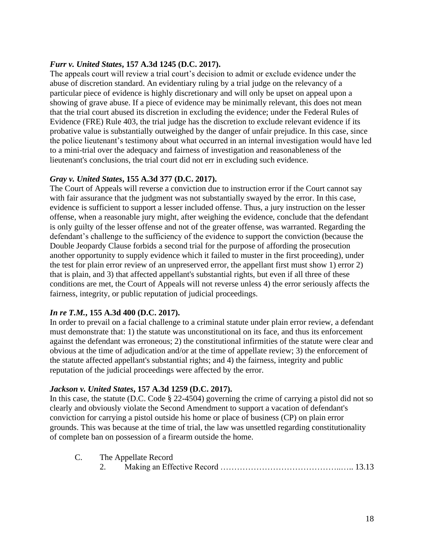## *Furr v. United States***, 157 A.3d 1245 (D.C. 2017).**

The appeals court will review a trial court's decision to admit or exclude evidence under the abuse of discretion standard. An evidentiary ruling by a trial judge on the relevancy of a particular piece of evidence is highly discretionary and will only be upset on appeal upon a showing of grave abuse. If a piece of evidence may be minimally relevant, this does not mean that the trial court abused its discretion in excluding the evidence; under the Federal Rules of Evidence (FRE) Rule 403, the trial judge has the discretion to exclude relevant evidence if its probative value is substantially outweighed by the danger of unfair prejudice. In this case, since the police lieutenant's testimony about what occurred in an internal investigation would have led to a mini-trial over the adequacy and fairness of investigation and reasonableness of the lieutenant's conclusions, the trial court did not err in excluding such evidence.

#### *Gray v. United States***, 155 A.3d 377 (D.C. 2017).**

The Court of Appeals will reverse a conviction due to instruction error if the Court cannot say with fair assurance that the judgment was not substantially swayed by the error. In this case, evidence is sufficient to support a lesser included offense. Thus, a jury instruction on the lesser offense, when a reasonable jury might, after weighing the evidence, conclude that the defendant is only guilty of the lesser offense and not of the greater offense, was warranted. Regarding the defendant's challenge to the sufficiency of the evidence to support the conviction (because the Double Jeopardy Clause forbids a second trial for the purpose of affording the prosecution another opportunity to supply evidence which it failed to muster in the first proceeding), under the test for plain error review of an unpreserved error, the appellant first must show 1) error 2) that is plain, and 3) that affected appellant's substantial rights, but even if all three of these conditions are met, the Court of Appeals will not reverse unless 4) the error seriously affects the fairness, integrity, or public reputation of judicial proceedings.

#### *In re T.M.***, 155 A.3d 400 (D.C. 2017).**

In order to prevail on a facial challenge to a criminal statute under plain error review, a defendant must demonstrate that: 1) the statute was unconstitutional on its face, and thus its enforcement against the defendant was erroneous; 2) the constitutional infirmities of the statute were clear and obvious at the time of adjudication and/or at the time of appellate review; 3) the enforcement of the statute affected appellant's substantial rights; and 4) the fairness, integrity and public reputation of the judicial proceedings were affected by the error.

## *Jackson v. United States***, 157 A.3d 1259 (D.C. 2017).**

In this case, the statute (D.C. Code § 22-4504) governing the crime of carrying a pistol did not so clearly and obviously violate the Second Amendment to support a vacation of defendant's conviction for carrying a pistol outside his home or place of business (CP) on plain error grounds. This was because at the time of trial, the law was unsettled regarding constitutionality of complete ban on possession of a firearm outside the home.

| C. | The Appellate Record |  |  |  |  |
|----|----------------------|--|--|--|--|
|    |                      |  |  |  |  |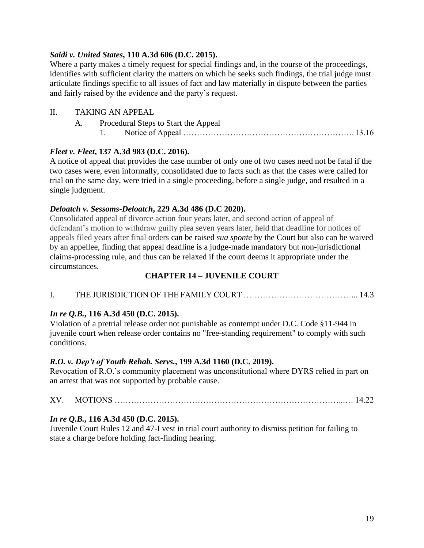## *Saidi v. United States***, 110 A.3d 606 (D.C. 2015).**

Where a party makes a timely request for special findings and, in the course of the proceedings, identifies with sufficient clarity the matters on which he seeks such findings, the trial judge must articulate findings specific to all issues of fact and law materially in dispute between the parties and fairly raised by the evidence and the party's request.

## II. TAKING AN APPEAL

| A. | Procedural Steps to Start the Appeal |
|----|--------------------------------------|
|    |                                      |

# *Fleet v. Fleet***, 137 A.3d 983 (D.C. 2016).**

A notice of appeal that provides the case number of only one of two cases need not be fatal if the two cases were, even informally, consolidated due to facts such as that the cases were called for trial on the same day, were tried in a single proceeding, before a single judge, and resulted in a single judgment.

## *Deloatch v. Sessoms-Deloatch***, 229 A.3d 486 (D.C 2020).**

Consolidated appeal of divorce action four years later, and second action of appeal of defendant's motion to withdraw guilty plea seven years later, held that deadline for notices of appeals filed years after final orders can be raised *sua sponte* by the Court but also can be waived by an appellee, finding that appeal deadline is a judge-made mandatory but non-jurisdictional claims-processing rule, and thus can be relaxed if the court deems it appropriate under the circumstances.

# **CHAPTER 14 – JUVENILE COURT**

I. THE JURISDICTION OF THE FAMILY COURT …………………………………... 14.3

# *In re Q.B.***, 116 A.3d 450 (D.C. 2015).**

Violation of a pretrial release order not punishable as contempt under D.C. Code §11-944 in juvenile court when release order contains no "free-standing requirement" to comply with such conditions.

# *R.O. v. Dep't of Youth Rehab. Servs.***, 199 A.3d 1160 (D.C. 2019).**

Revocation of R.O.'s community placement was unconstitutional where DYRS relied in part on an arrest that was not supported by probable cause.

# XV. MOTIONS ………………………………………………………………………...… 14.22

# *In re Q.B.***, 116 A.3d 450 (D.C. 2015).**

Juvenile Court Rules 12 and 47-I vest in trial court authority to dismiss petition for failing to state a charge before holding fact-finding hearing.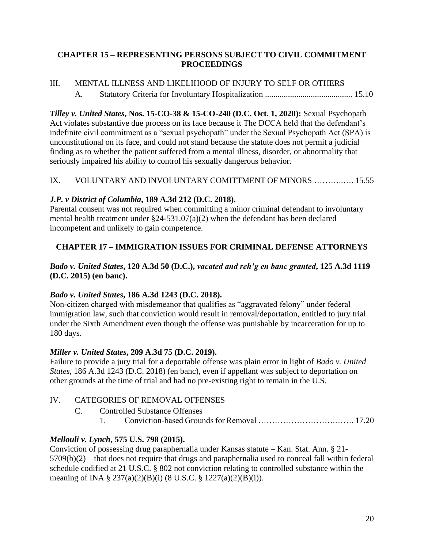## **CHAPTER 15 – REPRESENTING PERSONS SUBJECT TO CIVIL COMMITMENT PROCEEDINGS**

# III. MENTAL ILLNESS AND LIKELIHOOD OF INJURY TO SELF OR OTHERS A. Statutory Criteria for Involuntary Hospitalization .......................................... 15.10

*Tilley v. United States***, Nos. 15-CO-38 & 15-CO-240 (D.C. Oct. 1, 2020):** Sexual Psychopath Act violates substantive due process on its face because it The DCCA held that the defendant's indefinite civil commitment as a "sexual psychopath" under the Sexual Psychopath Act (SPA) is unconstitutional on its face, and could not stand because the statute does not permit a judicial finding as to whether the patient suffered from a mental illness, disorder, or abnormality that seriously impaired his ability to control his sexually dangerous behavior.

# IX. VOLUNTARY AND INVOLUNTARY COMITTMENT OF MINORS ………..…. 15.55

# *J.P. v District of Columbia***, 189 A.3d 212 (D.C. 2018).**

Parental consent was not required when committing a minor criminal defendant to involuntary mental health treatment under §24-531.07(a)(2) when the defendant has been declared incompetent and unlikely to gain competence.

# **CHAPTER 17 – IMMIGRATION ISSUES FOR CRIMINAL DEFENSE ATTORNEYS**

# *Bado v. United States***, 120 A.3d 50 (D.C.),** *vacated and reh'g en banc granted***, 125 A.3d 1119 (D.C. 2015) (en banc).**

# *Bado v. United States***, 186 A.3d 1243 (D.C. 2018).**

Non-citizen charged with misdemeanor that qualifies as "aggravated felony" under federal immigration law, such that conviction would result in removal/deportation, entitled to jury trial under the Sixth Amendment even though the offense was punishable by incarceration for up to 180 days.

## *Miller v. United States***, 209 A.3d 75 (D.C. 2019).**

Failure to provide a jury trial for a deportable offense was plain error in light of *Bado v. United States*, 186 A.3d 1243 (D.C. 2018) (en banc), even if appellant was subject to deportation on other grounds at the time of trial and had no pre-existing right to remain in the U.S.

# IV. CATEGORIES OF REMOVAL OFFENSES

C. Controlled Substance Offenses

1. Conviction-based Grounds for Removal ……………………….……. 17.20

# *Mellouli v. Lynch***, 575 U.S. 798 (2015).**

Conviction of possessing drug paraphernalia under Kansas statute – Kan. Stat. Ann. § 21- 5709(b)(2) – that does not require that drugs and paraphernalia used to conceal fall within federal schedule codified at 21 U.S.C. § 802 not conviction relating to controlled substance within the meaning of INA § 237(a)(2)(B)(i) (8 U.S.C. § 1227(a)(2)(B)(i)).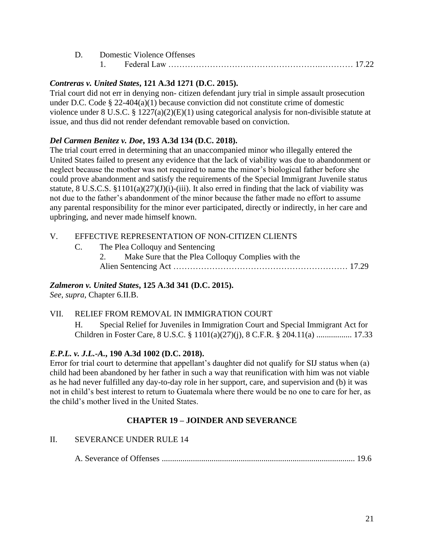|  | D. Domestic Violence Offenses |  |
|--|-------------------------------|--|
|  |                               |  |

#### *Contreras v. United States***, 121 A.3d 1271 (D.C. 2015).**

Trial court did not err in denying non- citizen defendant jury trial in simple assault prosecution under D.C. Code § 22-404(a)(1) because conviction did not constitute crime of domestic violence under 8 U.S.C. § 1227(a)(2)(E)(1) using categorical analysis for non-divisible statute at issue, and thus did not render defendant removable based on conviction.

#### *Del Carmen Benitez v. Doe***, 193 A.3d 134 (D.C. 2018).**

The trial court erred in determining that an unaccompanied minor who illegally entered the United States failed to present any evidence that the lack of viability was due to abandonment or neglect because the mother was not required to name the minor's biological father before she could prove abandonment and satisfy the requirements of the Special Immigrant Juvenile status statute, 8 U.S.C.S.  $\S1101(a)(27)(J)(i)$ -(iii). It also erred in finding that the lack of viability was not due to the father's abandonment of the minor because the father made no effort to assume any parental responsibility for the minor ever participated, directly or indirectly, in her care and upbringing, and never made himself known.

#### V. EFFECTIVE REPRESENTATION OF NON-CITIZEN CLIENTS

C. The Plea Colloquy and Sentencing 2. Make Sure that the Plea Colloquy Complies with the Alien Sentencing Act ……………………………………………………… 17.29

## *Zalmeron v. United States***, 125 A.3d 341 (D.C. 2015).**

*See*, *supra*, Chapter 6.II.B.

#### VII. RELIEF FROM REMOVAL IN IMMIGRATION COURT

H. Special Relief for Juveniles in Immigration Court and Special Immigrant Act for Children in Foster Care, 8 U.S.C. § 1101(a)(27)(j), 8 C.F.R. § 204.11(a) ................. 17.33

#### *E.P.L. v. J.L.-A.***, 190 A.3d 1002 (D.C. 2018).**

Error for trial court to determine that appellant's daughter did not qualify for SIJ status when (a) child had been abandoned by her father in such a way that reunification with him was not viable as he had never fulfilled any day-to-day role in her support, care, and supervision and (b) it was not in child's best interest to return to Guatemala where there would be no one to care for her, as the child's mother lived in the United States.

## **CHAPTER 19 – JOINDER AND SEVERANCE**

#### II. SEVERANCE UNDER RULE 14

A. Severance of Offenses ............................................................................................. 19.6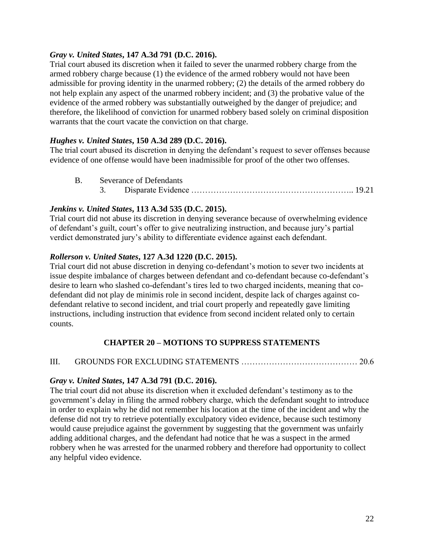## *Gray v. United States***, 147 A.3d 791 (D.C. 2016).**

Trial court abused its discretion when it failed to sever the unarmed robbery charge from the armed robbery charge because (1) the evidence of the armed robbery would not have been admissible for proving identity in the unarmed robbery; (2) the details of the armed robbery do not help explain any aspect of the unarmed robbery incident; and (3) the probative value of the evidence of the armed robbery was substantially outweighed by the danger of prejudice; and therefore, the likelihood of conviction for unarmed robbery based solely on criminal disposition warrants that the court vacate the conviction on that charge.

#### *Hughes v. United States***, 150 A.3d 289 (D.C. 2016).**

The trial court abused its discretion in denying the defendant's request to sever offenses because evidence of one offense would have been inadmissible for proof of the other two offenses.

| <b>B.</b> Severance of Defendants |  |  |  |  |  |
|-----------------------------------|--|--|--|--|--|
|                                   |  |  |  |  |  |

#### *Jenkins v. United States***, 113 A.3d 535 (D.C. 2015).**

Trial court did not abuse its discretion in denying severance because of overwhelming evidence of defendant's guilt, court's offer to give neutralizing instruction, and because jury's partial verdict demonstrated jury's ability to differentiate evidence against each defendant.

#### *Rollerson v. United States***, 127 A.3d 1220 (D.C. 2015).**

Trial court did not abuse discretion in denying co-defendant's motion to sever two incidents at issue despite imbalance of charges between defendant and co-defendant because co-defendant's desire to learn who slashed co-defendant's tires led to two charged incidents, meaning that codefendant did not play de minimis role in second incident, despite lack of charges against codefendant relative to second incident, and trial court properly and repeatedly gave limiting instructions, including instruction that evidence from second incident related only to certain counts.

## **CHAPTER 20 – MOTIONS TO SUPPRESS STATEMENTS**

III. GROUNDS FOR EXCLUDING STATEMENTS …………………………………… 20.6

#### *Gray v. United States***, 147 A.3d 791 (D.C. 2016).**

The trial court did not abuse its discretion when it excluded defendant's testimony as to the government's delay in filing the armed robbery charge, which the defendant sought to introduce in order to explain why he did not remember his location at the time of the incident and why the defense did not try to retrieve potentially exculpatory video evidence, because such testimony would cause prejudice against the government by suggesting that the government was unfairly adding additional charges, and the defendant had notice that he was a suspect in the armed robbery when he was arrested for the unarmed robbery and therefore had opportunity to collect any helpful video evidence.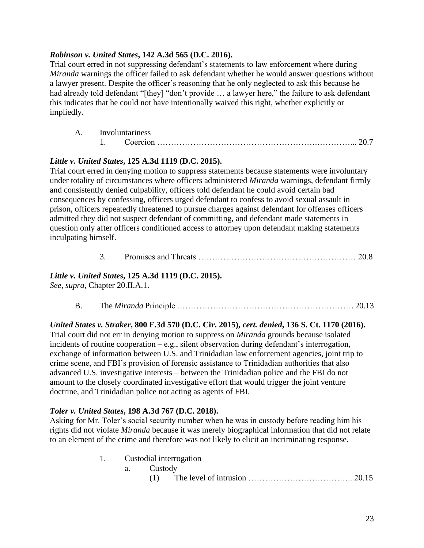## *Robinson v. United States***, 142 A.3d 565 (D.C. 2016).**

Trial court erred in not suppressing defendant's statements to law enforcement where during *Miranda* warnings the officer failed to ask defendant whether he would answer questions without a lawyer present. Despite the officer's reasoning that he only neglected to ask this because he had already told defendant "[they] "don't provide ... a lawyer here," the failure to ask defendant this indicates that he could not have intentionally waived this right, whether explicitly or impliedly.

| A. Involuntariness |  |  |  |  |
|--------------------|--|--|--|--|
|                    |  |  |  |  |

# *Little v. United States***, 125 A.3d 1119 (D.C. 2015).**

Trial court erred in denying motion to suppress statements because statements were involuntary under totality of circumstances where officers administered *Miranda* warnings, defendant firmly and consistently denied culpability, officers told defendant he could avoid certain bad consequences by confessing, officers urged defendant to confess to avoid sexual assault in prison, officers repeatedly threatened to pursue charges against defendant for offenses officers admitted they did not suspect defendant of committing, and defendant made statements in question only after officers conditioned access to attorney upon defendant making statements inculpating himself.

3. Promises and Threats ………………………………………………… 20.8

# *Little v. United States***, 125 A.3d 1119 (D.C. 2015).**

*See*, *supra*, Chapter 20.II.A.1.

B. The *Miranda* Principle ………………………………………………………. 20.13

*United States v. Straker***, 800 F.3d 570 (D.C. Cir. 2015),** *cert. denied***, 136 S. Ct. 1170 (2016).** Trial court did not err in denying motion to suppress on *Miranda* grounds because isolated incidents of routine cooperation – e.g., silent observation during defendant's interrogation, exchange of information between U.S. and Trinidadian law enforcement agencies, joint trip to crime scene, and FBI's provision of forensic assistance to Trinidadian authorities that also advanced U.S. investigative interests – between the Trinidadian police and the FBI do not amount to the closely coordinated investigative effort that would trigger the joint venture doctrine, and Trinidadian police not acting as agents of FBI.

## *Toler v. United States***, 198 A.3d 767 (D.C. 2018).**

Asking for Mr. Toler's social security number when he was in custody before reading him his rights did not violate *Miranda* because it was merely biographical information that did not relate to an element of the crime and therefore was not likely to elicit an incriminating response.

> 1. Custodial interrogation a. Custody  $(1)$  The level of intrusion  $\ldots$   $\ldots$   $\ldots$   $\ldots$   $\ldots$   $(20.15)$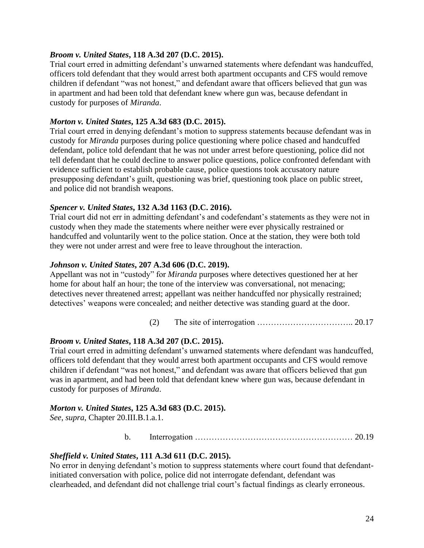#### *Broom v. United States***, 118 A.3d 207 (D.C. 2015).**

Trial court erred in admitting defendant's unwarned statements where defendant was handcuffed, officers told defendant that they would arrest both apartment occupants and CFS would remove children if defendant "was not honest," and defendant aware that officers believed that gun was in apartment and had been told that defendant knew where gun was, because defendant in custody for purposes of *Miranda*.

#### *Morton v. United States***, 125 A.3d 683 (D.C. 2015).**

Trial court erred in denying defendant's motion to suppress statements because defendant was in custody for *Miranda* purposes during police questioning where police chased and handcuffed defendant, police told defendant that he was not under arrest before questioning, police did not tell defendant that he could decline to answer police questions, police confronted defendant with evidence sufficient to establish probable cause, police questions took accusatory nature presupposing defendant's guilt, questioning was brief, questioning took place on public street, and police did not brandish weapons.

#### *Spencer v. United States***, 132 A.3d 1163 (D.C. 2016).**

Trial court did not err in admitting defendant's and codefendant's statements as they were not in custody when they made the statements where neither were ever physically restrained or handcuffed and voluntarily went to the police station. Once at the station, they were both told they were not under arrest and were free to leave throughout the interaction.

#### *Johnson v. United States***, 207 A.3d 606 (D.C. 2019).**

Appellant was not in "custody" for *Miranda* purposes where detectives questioned her at her home for about half an hour; the tone of the interview was conversational, not menacing; detectives never threatened arrest; appellant was neither handcuffed nor physically restrained; detectives' weapons were concealed; and neither detective was standing guard at the door.

#### (2) The site of interrogation  $\ldots$   $\ldots$   $\ldots$   $\ldots$   $\ldots$  20.17

#### *Broom v. United States***, 118 A.3d 207 (D.C. 2015).**

Trial court erred in admitting defendant's unwarned statements where defendant was handcuffed, officers told defendant that they would arrest both apartment occupants and CFS would remove children if defendant "was not honest," and defendant was aware that officers believed that gun was in apartment, and had been told that defendant knew where gun was, because defendant in custody for purposes of *Miranda*.

#### *Morton v. United States***, 125 A.3d 683 (D.C. 2015).**

*See*, *supra*, Chapter 20.III.B.1.a.1.

#### b. Interrogation ………………………………………………… 20.19

#### *Sheffield v. United States***, 111 A.3d 611 (D.C. 2015).**

No error in denying defendant's motion to suppress statements where court found that defendantinitiated conversation with police, police did not interrogate defendant, defendant was clearheaded, and defendant did not challenge trial court's factual findings as clearly erroneous.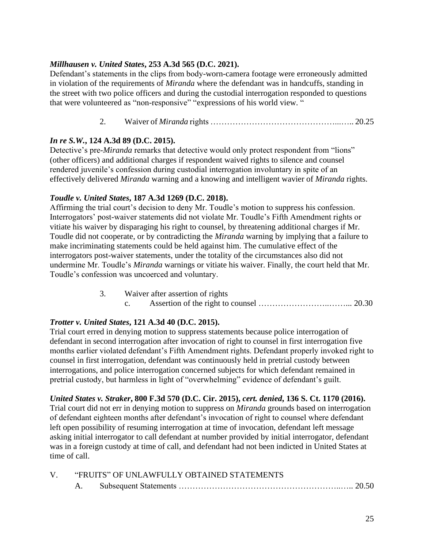## *Millhausen v. United States***, 253 A.3d 565 (D.C. 2021).**

Defendant's statements in the clips from body-worn-camera footage were erroneously admitted in violation of the requirements of *[Miranda](https://1.next.westlaw.com/Link/Document/FullText?findType=Y&serNum=1966131580&pubNum=0000780&originatingDoc=Ic75f4b80e00d11eba48ad8c74eab983c&refType=RP&originationContext=document&transitionType=DocumentItem&ppcid=30c3ec21dc624dbdb6addbeb30e110d3&contextData=(sc.Search))* where the defendant was in handcuffs, standing in the street with two police officers and during the custodial interrogation responded to questions that were volunteered as "non-responsive" "expressions of his world view. "

# 2. Waiver of *Miranda* rights ………………………………………...….. 20.25

# *In re S.W.***, 124 A.3d 89 (D.C. 2015).**

Detective's pre-*Miranda* remarks that detective would only protect respondent from "lions" (other officers) and additional charges if respondent waived rights to silence and counsel rendered juvenile's confession during custodial interrogation involuntary in spite of an effectively delivered *Miranda* warning and a knowing and intelligent wavier of *Miranda* rights.

# *Toudle v. United States***, 187 A.3d 1269 (D.C. 2018).**

Affirming the trial court's decision to deny Mr. Toudle's motion to suppress his confession. Interrogators' post-waiver statements did not violate Mr. Toudle's Fifth Amendment rights or vitiate his waiver by disparaging his right to counsel, by threatening additional charges if Mr. Toudle did not cooperate, or by contradicting the *Miranda* warning by implying that a failure to make incriminating statements could be held against him. The cumulative effect of the interrogators post-waiver statements, under the totality of the circumstances also did not undermine Mr. Toudle's *Miranda* warnings or vitiate his waiver. Finally, the court held that Mr. Toudle's confession was uncoerced and voluntary.

> 3. Waiver after assertion of rights c. Assertion of the right to counsel ……………………..……... 20.30

# *Trotter v. United States***, 121 A.3d 40 (D.C. 2015).**

Trial court erred in denying motion to suppress statements because police interrogation of defendant in second interrogation after invocation of right to counsel in first interrogation five months earlier violated defendant's Fifth Amendment rights. Defendant properly invoked right to counsel in first interrogation, defendant was continuously held in pretrial custody between interrogations, and police interrogation concerned subjects for which defendant remained in pretrial custody, but harmless in light of "overwhelming" evidence of defendant's guilt.

# *United States v. Straker***, 800 F.3d 570 (D.C. Cir. 2015),** *cert. denied***, 136 S. Ct. 1170 (2016).**

Trial court did not err in denying motion to suppress on *Miranda* grounds based on interrogation of defendant eighteen months after defendant's invocation of right to counsel where defendant left open possibility of resuming interrogation at time of invocation, defendant left message asking initial interrogator to call defendant at number provided by initial interrogator, defendant was in a foreign custody at time of call, and defendant had not been indicted in United States at time of call.

|  | "FRUITS" OF UNLAWFULLY OBTAINED STATEMENTS |  |
|--|--------------------------------------------|--|
|  |                                            |  |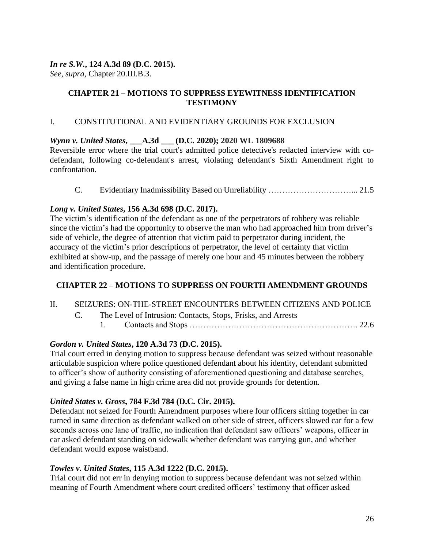## *In re S.W.***, 124 A.3d 89 (D.C. 2015).**

*See*, *supra*, Chapter 20.III.B.3.

## **CHAPTER 21 – MOTIONS TO SUPPRESS EYEWITNESS IDENTIFICATION TESTIMONY**

## I. CONSTITUTIONAL AND EVIDENTIARY GROUNDS FOR EXCLUSION

# *Wynn v. United States***, \_\_\_A.3d \_\_\_ (D.C. 2020); 2020 WL 1809688**

Reversible error where the trial court's admitted police detective's redacted interview with codefendant, following co-defendant's arrest, violating defendant's Sixth Amendment right to confrontation.

C. Evidentiary Inadmissibility Based on Unreliability …………………………... 21.5

# *Long v. United States***, 156 A.3d 698 (D.C. 2017).**

The victim's identification of the defendant as one of the perpetrators of robbery was reliable since the victim's had the opportunity to observe the man who had approached him from driver's side of vehicle, the degree of attention that victim paid to perpetrator during incident, the accuracy of the victim's prior descriptions of perpetrator, the level of certainty that victim exhibited at show-up, and the passage of merely one hour and 45 minutes between the robbery and identification procedure.

# **CHAPTER 22 – MOTIONS TO SUPPRESS ON FOURTH AMENDMENT GROUNDS**

- II. SEIZURES: ON-THE-STREET ENCOUNTERS BETWEEN CITIZENS AND POLICE
	- C. The Level of Intrusion: Contacts, Stops, Frisks, and Arrests
		- 1. Contacts and Stops ……………………………………………………. 22.6

# *Gordon v. United States***, 120 A.3d 73 (D.C. 2015).**

Trial court erred in denying motion to suppress because defendant was seized without reasonable articulable suspicion where police questioned defendant about his identity, defendant submitted to officer's show of authority consisting of aforementioned questioning and database searches, and giving a false name in high crime area did not provide grounds for detention.

## *United States v. Gross***, 784 F.3d 784 (D.C. Cir. 2015).**

Defendant not seized for Fourth Amendment purposes where four officers sitting together in car turned in same direction as defendant walked on other side of street, officers slowed car for a few seconds across one lane of traffic, no indication that defendant saw officers' weapons, officer in car asked defendant standing on sidewalk whether defendant was carrying gun, and whether defendant would expose waistband.

## *Towles v. United States***, 115 A.3d 1222 (D.C. 2015).**

Trial court did not err in denying motion to suppress because defendant was not seized within meaning of Fourth Amendment where court credited officers' testimony that officer asked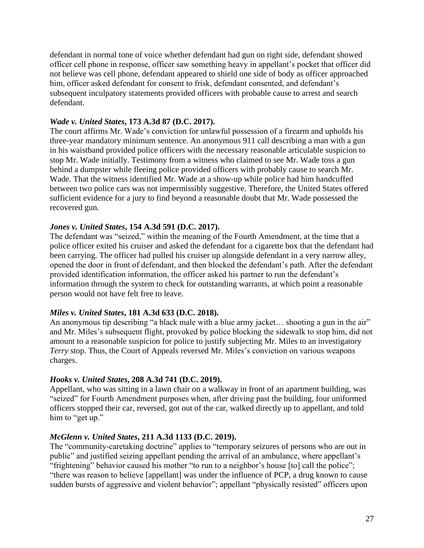defendant in normal tone of voice whether defendant had gun on right side, defendant showed officer cell phone in response, officer saw something heavy in appellant's pocket that officer did not believe was cell phone, defendant appeared to shield one side of body as officer approached him, officer asked defendant for consent to frisk, defendant consented, and defendant's subsequent inculpatory statements provided officers with probable cause to arrest and search defendant.

#### *Wade v. United States***, 173 A.3d 87 (D.C. 2017).**

The court affirms Mr. Wade's conviction for unlawful possession of a firearm and upholds his three-year mandatory minimum sentence. An anonymous 911 call describing a man with a gun in his waistband provided police officers with the necessary reasonable articulable suspicion to stop Mr. Wade initially. Testimony from a witness who claimed to see Mr. Wade toss a gun behind a dumpster while fleeing police provided officers with probably cause to search Mr. Wade. That the witness identified Mr. Wade at a show-up while police had him handcuffed between two police cars was not impermissibly suggestive. Therefore, the United States offered sufficient evidence for a jury to find beyond a reasonable doubt that Mr. Wade possessed the recovered gun.

## *Jones v. United States***, 154 A.3d 591 (D.C. 2017).**

The defendant was "seized," within the meaning of the Fourth Amendment, at the time that a police officer exited his cruiser and asked the defendant for a cigarette box that the defendant had been carrying. The officer had pulled his cruiser up alongside defendant in a very narrow alley, opened the door in front of defendant, and then blocked the defendant's path. After the defendant provided identification information, the officer asked his partner to run the defendant's information through the system to check for outstanding warrants, at which point a reasonable person would not have felt free to leave.

#### *Miles v. United States***, 181 A.3d 633 (D.C. 2018).**

An anonymous tip describing "a black male with a blue army jacket... shooting a gun in the air" and Mr. Miles's subsequent flight, provoked by police blocking the sidewalk to stop him, did not amount to a reasonable suspicion for police to justify subjecting Mr. Miles to an investigatory *Terry* stop. Thus, the Court of Appeals reversed Mr. Miles's conviction on various weapons charges.

#### *Hooks v. United States***, 208 A.3d 741 (D.C. 2019).**

Appellant, who was sitting in a lawn chair on a walkway in front of an apartment building, was "seized" for Fourth Amendment purposes when, after driving past the building, four uniformed officers stopped their car, reversed, got out of the car, walked directly up to appellant, and told him to "get up."

#### *McGlenn v. United States***, 211 A.3d 1133 (D.C. 2019).**

The "community-caretaking doctrine" applies to "temporary seizures of persons who are out in public" and justified seizing appellant pending the arrival of an ambulance, where appellant's "frightening" behavior caused his mother "to run to a neighbor's house [to] call the police"; "there was reason to believe [appellant] was under the influence of PCP, a drug known to cause sudden bursts of aggressive and violent behavior"; appellant "physically resisted" officers upon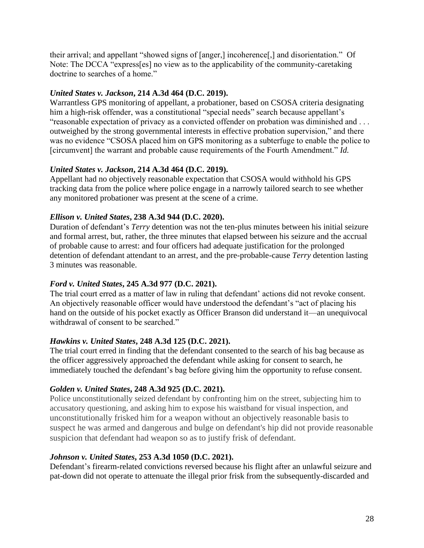their arrival; and appellant "showed signs of [anger,] incoherence[,] and disorientation." Of Note: The DCCA "express[es] no view as to the applicability of the community-caretaking doctrine to searches of a home."

## *United States v. Jackson***, 214 A.3d 464 (D.C. 2019).**

Warrantless GPS monitoring of appellant, a probationer, based on CSOSA criteria designating him a high-risk offender, was a constitutional "special needs" search because appellant's "reasonable expectation of privacy as a convicted offender on probation was diminished and . . . outweighed by the strong governmental interests in effective probation supervision," and there was no evidence "CSOSA placed him on GPS monitoring as a subterfuge to enable the police to [circumvent] the warrant and probable cause requirements of the Fourth Amendment." *Id.* 

# *United States v. Jackson***, 214 A.3d 464 (D.C. 2019).**

Appellant had no objectively reasonable expectation that CSOSA would withhold his GPS tracking data from the police where police engage in a narrowly tailored search to see whether any monitored probationer was present at the scene of a crime.

# *Ellison v. United States***, 238 A.3d 944 (D.C. 2020).**

Duration of defendant's *Terry* detention was not the ten-plus minutes between his initial seizure and formal arrest, but, rather, the three minutes that elapsed between his seizure and the accrual of probable cause to arrest: and four officers had adequate justification for the prolonged detention of defendant attendant to an arrest, and the pre-probable-cause *Terry* detention lasting 3 minutes was reasonable.

# *Ford v. United States***, 245 A.3d 977 (D.C. 2021).**

The trial court erred as a matter of law in ruling that defendant' actions did not revoke consent. An objectively reasonable officer would have understood the defendant's "act of placing his hand on the outside of his pocket exactly as Officer Branson did understand it—an unequivocal withdrawal of consent to be searched."

## *Hawkins v. United States***, 248 A.3d 125 (D.C. 2021).**

The trial court erred in finding that the defendant consented to the search of his bag because as the officer aggressively approached the defendant while asking for consent to search, he immediately touched the defendant's bag before giving him the opportunity to refuse consent.

## *Golden v. United States***, 248 A.3d 925 (D.C. 2021).**

Police unconstitutionally seized defendant by confronting him on the street, subjecting him to accusatory questioning, and asking him to expose his waistband for visual inspection, and unconstitutionally frisked him for a weapon without an objectively reasonable basis to suspect he was armed and dangerous and bulge on defendant's hip did not provide reasonable suspicion that defendant had weapon so as to justify frisk of defendant.

## *Johnson v. United States***, 253 A.3d 1050 (D.C. 2021).**

Defendant's firearm-related convictions reversed because his flight after an unlawful seizure and pat-down did not operate to attenuate the illegal prior frisk from the subsequently-discarded and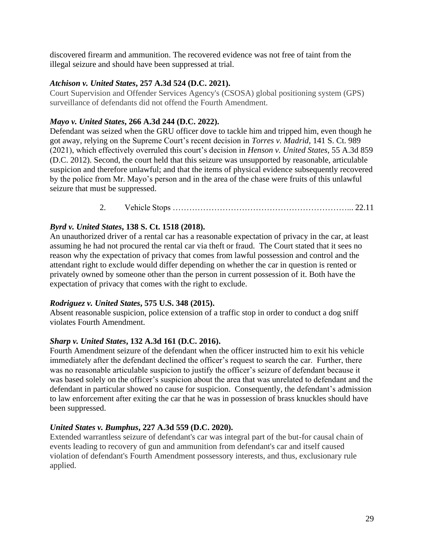discovered firearm and ammunition. The recovered evidence was not free of taint from the illegal seizure and should have been suppressed at trial.

#### *Atchison v. United States***, 257 A.3d 524 (D.C. 2021).**

Court Supervision and Offender Services Agency's (CSOSA) global positioning system (GPS) surveillance of defendants did not offend the Fourth Amendment.

## *Mayo v. United States***, 266 A.3d 244 (D.C. 2022).**

Defendant was seized when the GRU officer dove to tackle him and tripped him, even though he got away, relying on the Supreme Court's recent decision in *Torres v. Madrid*, 141 S. Ct. 989 (2021), which effectively overruled this court's decision in *Henson v. United States*, 55 A.3d 859 (D.C. 2012). Second, the court held that this seizure was unsupported by reasonable, articulable suspicion and therefore unlawful; and that the items of physical evidence subsequently recovered by the police from Mr. Mayo's person and in the area of the chase were fruits of this unlawful seizure that must be suppressed.

2. Vehicle Stops ………………………………………………………... 22.11

# *Byrd v. United States***, 138 S. Ct. 1518 (2018).**

An unauthorized driver of a rental car has a reasonable expectation of privacy in the car, at least assuming he had not procured the rental car via theft or fraud. The Court stated that it sees no reason why the expectation of privacy that comes from lawful possession and control and the attendant right to exclude would differ depending on whether the car in question is rented or privately owned by someone other than the person in current possession of it. Both have the expectation of privacy that comes with the right to exclude.

## *Rodriguez v. United States***, 575 U.S. 348 (2015).**

Absent reasonable suspicion, police extension of a traffic stop in order to conduct a dog sniff violates Fourth Amendment.

## *Sharp v. United States***, 132 A.3d 161 (D.C. 2016).**

Fourth Amendment seizure of the defendant when the officer instructed him to exit his vehicle immediately after the defendant declined the officer's request to search the car. Further, there was no reasonable articulable suspicion to justify the officer's seizure of defendant because it was based solely on the officer's suspicion about the area that was unrelated to defendant and the defendant in particular showed no cause for suspicion. Consequently, the defendant's admission to law enforcement after exiting the car that he was in possession of brass knuckles should have been suppressed.

## *United States v. Bumphus***, 227 A.3d 559 (D.C. 2020).**

Extended warrantless seizure of defendant's car was integral part of the but-for causal chain of events leading to recovery of gun and ammunition from defendant's car and itself caused violation of defendant's Fourth Amendment possessory interests, and thus, exclusionary rule applied.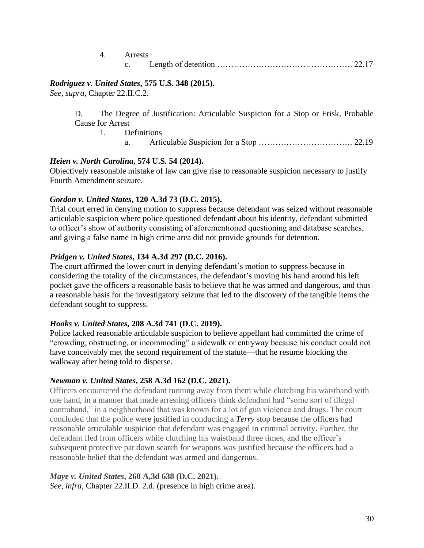| 4. Arrests |  |  |  |  |  |
|------------|--|--|--|--|--|
|            |  |  |  |  |  |

#### *Rodriguez v. United States***, 575 U.S. 348 (2015).**

*See*, *supra*, Chapter 22.II.C.2.

D. The Degree of Justification: Articulable Suspicion for a Stop or Frisk, Probable Cause for Arrest

1. Definitions a. Articulable Suspicion for a Stop ……………………………. 22.19

#### *Heien v. North Carolina***, 574 U.S. 54 (2014).**

Objectively reasonable mistake of law can give rise to reasonable suspicion necessary to justify Fourth Amendment seizure.

#### *Gordon v. United States***, 120 A.3d 73 (D.C. 2015).**

Trial court erred in denying motion to suppress because defendant was seized without reasonable articulable suspicion where police questioned defendant about his identity, defendant submitted to officer's show of authority consisting of aforementioned questioning and database searches, and giving a false name in high crime area did not provide grounds for detention.

#### *Pridgen v. United States***, 134 A.3d 297 (D.C. 2016).**

The court affirmed the lower court in denying defendant's motion to suppress because in considering the totality of the circumstances, the defendant's moving his hand around his left pocket gave the officers a reasonable basis to believe that he was armed and dangerous, and thus a reasonable basis for the investigatory seizure that led to the discovery of the tangible items the defendant sought to suppress.

#### *Hooks v. United States***, 208 A.3d 741 (D.C. 2019).**

Police lacked reasonable articulable suspicion to believe appellant had committed the crime of "crowding, obstructing, or incommoding" a sidewalk or entryway because his conduct could not have conceivably met the second requirement of the statute—that he resume blocking the walkway after being told to disperse.

#### *Newman v. United States***, 258 A.3d 162 (D.C. 2021).**

Officers encountered the defendant running away from them while clutching his waistband with one hand, in a manner that made arresting officers think defendant had "some sort of illegal contraband," in a neighborhood that was known for a lot of gun violence and drugs. The court concluded that the police were justified in conducting a *[Terry](https://1.next.westlaw.com/Link/Document/FullText?findType=Y&serNum=1968131212&pubNum=0000708&originatingDoc=I18cc07b00c0f11eca2c9cdfd717544ca&refType=RP&originationContext=document&transitionType=DocumentItem&ppcid=e78a1519a0a04f6fa64e2e585787185c&contextData=(sc.Default))* stop because the officers had reasonable articulable suspicion that defendant was engaged in criminal activity. Further, the defendant fled from officers while clutching his waistband three times, and the officer's subsequent protective pat down search for weapons was justified because the officers had a reasonable belief that the defendant was armed and dangerous.

*Maye v. United States***, 260 A,3d 638 (D.C. 2021).** *See*, *infra*, Chapter 22.II.D. 2.d. (presence in high crime area).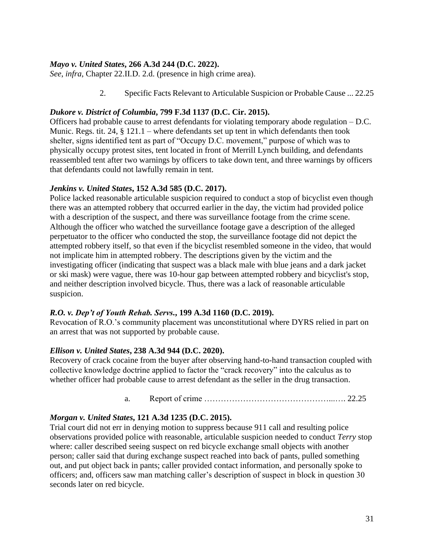## *Mayo v. United States***, 266 A.3d 244 (D.C. 2022).**

*See*, *infra*, Chapter 22.II.D. 2.d. (presence in high crime area).

2. Specific Facts Relevant to Articulable Suspicion or Probable Cause ... 22.25

#### *Dukore v. District of Columbia***, 799 F.3d 1137 (D.C. Cir. 2015).**

Officers had probable cause to arrest defendants for violating temporary abode regulation – D.C. Munic. Regs. tit. 24, § 121.1 – where defendants set up tent in which defendants then took shelter, signs identified tent as part of "Occupy D.C. movement," purpose of which was to physically occupy protest sites, tent located in front of Merrill Lynch building, and defendants reassembled tent after two warnings by officers to take down tent, and three warnings by officers that defendants could not lawfully remain in tent.

#### *Jenkins v. United States***, 152 A.3d 585 (D.C. 2017).**

Police lacked reasonable articulable suspicion required to conduct a stop of bicyclist even though there was an attempted robbery that occurred earlier in the day, the victim had provided police with a description of the suspect, and there was surveillance footage from the crime scene. Although the officer who watched the surveillance footage gave a description of the alleged perpetuator to the officer who conducted the stop, the surveillance footage did not depict the attempted robbery itself, so that even if the bicyclist resembled someone in the video, that would not implicate him in attempted robbery. The descriptions given by the victim and the investigating officer (indicating that suspect was a black male with blue jeans and a dark jacket or ski mask) were vague, there was 10-hour gap between attempted robbery and bicyclist's stop, and neither description involved bicycle. Thus, there was a lack of reasonable articulable suspicion.

#### *R.O. v. Dep't of Youth Rehab. Servs.***, 199 A.3d 1160 (D.C. 2019).**

Revocation of R.O.'s community placement was unconstitutional where DYRS relied in part on an arrest that was not supported by probable cause.

#### *Ellison v. United States***, 238 A.3d 944 (D.C. 2020).**

Recovery of crack cocaine from the buyer after observing hand-to-hand transaction coupled with collective knowledge doctrine applied to factor the "crack recovery" into the calculus as to whether officer had probable cause to arrest defendant as the seller in the drug transaction.

a. Report of crime ………………………………………...…. 22.25

## *Morgan v. United States***, 121 A.3d 1235 (D.C. 2015).**

Trial court did not err in denying motion to suppress because 911 call and resulting police observations provided police with reasonable, articulable suspicion needed to conduct *Terry* stop where: caller described seeing suspect on red bicycle exchange small objects with another person; caller said that during exchange suspect reached into back of pants, pulled something out, and put object back in pants; caller provided contact information, and personally spoke to officers; and, officers saw man matching caller's description of suspect in block in question 30 seconds later on red bicycle.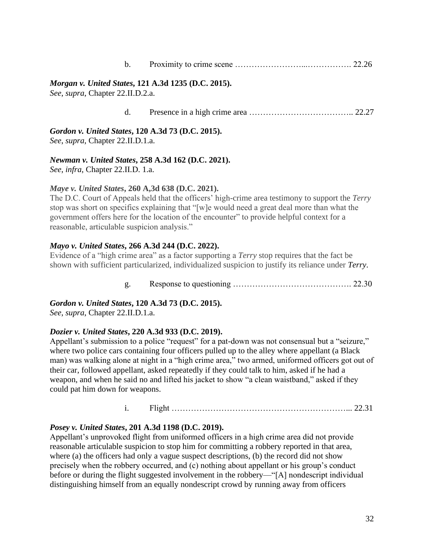| $\mathbf b$ . |  |  |
|---------------|--|--|
|               |  |  |

#### *Morgan v. United States***, 121 A.3d 1235 (D.C. 2015).**

*See*, *supra*, Chapter 22.II.D.2.a.

| d. |  |
|----|--|
|    |  |

*Gordon v. United States***, 120 A.3d 73 (D.C. 2015).** *See*, *supra*, Chapter 22.II.D.1.a.

# *Newman v. United States***, 258 A.3d 162 (D.C. 2021).**

*See*, *infra*, Chapter 22.II.D. 1.a.

#### *Maye v. United States***, 260 A,3d 638 (D.C. 2021).**

The D.C. Court of Appeals held that the officers' high-crime area testimony to support the *Terry* stop was short on specifics explaining that "[w]e would need a great deal more than what the government offers here for the location of the encounter" to provide helpful context for a reasonable, articulable suspicion analysis."

## *Mayo v. United States***, 266 A.3d 244 (D.C. 2022).**

Evidence of a "high crime area" as a factor supporting a *Terry* stop requires that the fact be shown with sufficient particularized, individualized suspicion to justify its reliance under *[Terry](https://1.next.westlaw.com/Link/Document/FullText?findType=Y&serNum=1968131212&pubNum=0000780&originatingDoc=If831fb906f1e11ec9d07baaeba647595&refType=RP&originationContext=document&transitionType=DocumentItem&ppcid=35e815a7fa2e4b6fbcf53b83b07201c6&contextData=(sc.Keycite))*.

g. Response to questioning ……………………………………. 22.30

*Gordon v. United States***, 120 A.3d 73 (D.C. 2015).**

*See*, *supra*, Chapter 22.II.D.1.a.

## *Dozier v. United States***, 220 A.3d 933 (D.C. 2019).**

Appellant's submission to a police "request" for a pat-down was not consensual but a "seizure," where two police cars containing four officers pulled up to the alley where appellant (a Black man) was walking alone at night in a "high crime area," two armed, uniformed officers got out of their car, followed appellant, asked repeatedly if they could talk to him, asked if he had a weapon, and when he said no and lifted his jacket to show "a clean waistband," asked if they could pat him down for weapons.

i. Flight ………………………………………………………... 22.31

## *Posey v. United States***, 201 A.3d 1198 (D.C. 2019).**

Appellant's unprovoked flight from uniformed officers in a high crime area did not provide reasonable articulable suspicion to stop him for committing a robbery reported in that area, where (a) the officers had only a vague suspect descriptions, (b) the record did not show precisely when the robbery occurred, and (c) nothing about appellant or his group's conduct before or during the flight suggested involvement in the robbery—"[A] nondescript individual distinguishing himself from an equally nondescript crowd by running away from officers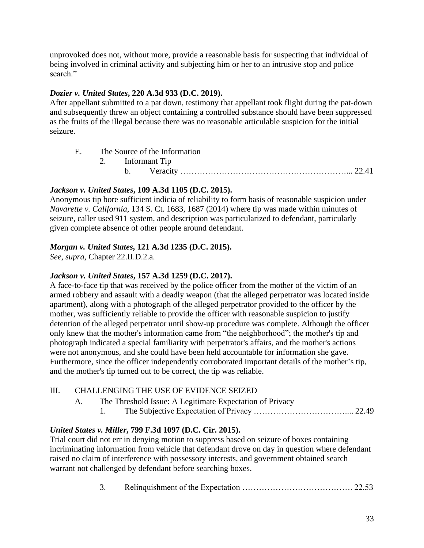unprovoked does not, without more, provide a reasonable basis for suspecting that individual of being involved in criminal activity and subjecting him or her to an intrusive stop and police search."

# *Dozier v. United States***, 220 A.3d 933 (D.C. 2019).**

After appellant submitted to a pat down, testimony that appellant took flight during the pat-down and subsequently threw an object containing a controlled substance should have been suppressed as the fruits of the illegal because there was no reasonable articulable suspicion for the initial seizure.

| E. The Source of the Information |  |                  |  |  |
|----------------------------------|--|------------------|--|--|
|                                  |  | 2. Informant Tip |  |  |
|                                  |  |                  |  |  |

## *Jackson v. United States***, 109 A.3d 1105 (D.C. 2015).**

Anonymous tip bore sufficient indicia of reliability to form basis of reasonable suspicion under *Navarette v. California*, 134 S. Ct. 1683, 1687 (2014) where tip was made within minutes of seizure, caller used 911 system, and description was particularized to defendant, particularly given complete absence of other people around defendant.

# *Morgan v. United States***, 121 A.3d 1235 (D.C. 2015).**

*See*, *supra*, Chapter 22.II.D.2.a.

## *Jackson v. United States***, 157 A.3d 1259 (D.C. 2017).**

A face-to-face tip that was received by the police officer from the mother of the victim of an armed robbery and assault with a deadly weapon (that the alleged perpetrator was located inside apartment), along with a photograph of the alleged perpetrator provided to the officer by the mother, was sufficiently reliable to provide the officer with reasonable suspicion to justify detention of the alleged perpetrator until show-up procedure was complete. Although the officer only knew that the mother's information came from "the neighborhood"; the mother's tip and photograph indicated a special familiarity with perpetrator's affairs, and the mother's actions were not anonymous, and she could have been held accountable for information she gave. Furthermore, since the officer independently corroborated important details of the mother's tip, and the mother's tip turned out to be correct, the tip was reliable.

# III. CHALLENGING THE USE OF EVIDENCE SEIZED

- A. The Threshold Issue: A Legitimate Expectation of Privacy
	- 1. The Subjective Expectation of Privacy …………………………….... 22.49

# *United States v. Miller***, 799 F.3d 1097 (D.C. Cir. 2015).**

Trial court did not err in denying motion to suppress based on seizure of boxes containing incriminating information from vehicle that defendant drove on day in question where defendant raised no claim of interference with possessory interests, and government obtained search warrant not challenged by defendant before searching boxes.

3. Relinquishment of the Expectation …………………………………. 22.53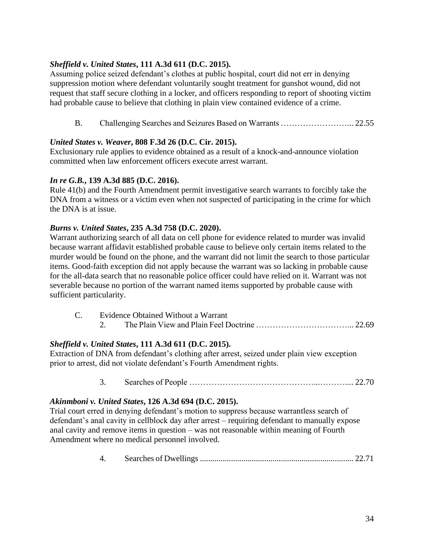# *Sheffield v. United States***, 111 A.3d 611 (D.C. 2015).**

Assuming police seized defendant's clothes at public hospital, court did not err in denying suppression motion where defendant voluntarily sought treatment for gunshot wound, did not request that staff secure clothing in a locker, and officers responding to report of shooting victim had probable cause to believe that clothing in plain view contained evidence of a crime.

B. Challenging Searches and Seizures Based on Warrants ……………………... 22.55

## *United States v. Weaver***, 808 F.3d 26 (D.C. Cir. 2015).**

Exclusionary rule applies to evidence obtained as a result of a knock-and-announce violation committed when law enforcement officers execute arrest warrant.

## *In re G.B.***, 139 A.3d 885 (D.C. 2016).**

Rule 41(b) and the Fourth Amendment permit investigative search warrants to forcibly take the DNA from a witness or a victim even when not suspected of participating in the crime for which the DNA is at issue.

## *Burns v. United States***, 235 A.3d 758 (D.C. 2020).**

Warrant authorizing search of all data on cell phone for evidence related to murder was invalid because warrant affidavit established probable cause to believe only certain items related to the murder would be found on the phone, and the warrant did not limit the search to those particular items. Good-faith exception did not apply because the warrant was so lacking in probable cause for the all-data search that no reasonable police officer could have relied on it. Warrant was not severable because no portion of the warrant named items supported by probable cause with sufficient particularity.

| Evidence Obtained Without a Warrant |  |  |  |  |  |
|-------------------------------------|--|--|--|--|--|
|                                     |  |  |  |  |  |

## *Sheffield v. United States***, 111 A.3d 611 (D.C. 2015).**

Extraction of DNA from defendant's clothing after arrest, seized under plain view exception prior to arrest, did not violate defendant's Fourth Amendment rights.

3. Searches of People ………………………………………...……….... 22.70

## *Akinmboni v. United States***, 126 A.3d 694 (D.C. 2015).**

Trial court erred in denying defendant's motion to suppress because warrantless search of defendant's anal cavity in cellblock day after arrest – requiring defendant to manually expose anal cavity and remove items in question – was not reasonable within meaning of Fourth Amendment where no medical personnel involved.

4. Searches of Dwellings .......................................................................... 22.71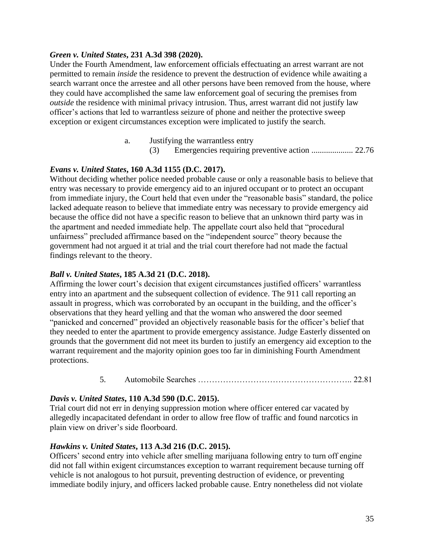#### *Green v. United States***, 231 A.3d 398 (2020).**

Under the Fourth Amendment, law enforcement officials effectuating an arrest warrant are not permitted to remain *inside* the residence to prevent the destruction of evidence while awaiting a search warrant once the arrestee and all other persons have been removed from the house, where they could have accomplished the same law enforcement goal of securing the premises from *outside* the residence with minimal privacy intrusion. Thus, arrest warrant did not justify law officer's actions that led to warrantless seizure of phone and neither the protective sweep exception or exigent circumstances exception were implicated to justify the search.

- a. Justifying the warrantless entry
	- (3) Emergencies requiring preventive action .................... 22.76

# *Evans v. United States***, 160 A.3d 1155 (D.C. 2017).**

Without deciding whether police needed probable cause or only a reasonable basis to believe that entry was necessary to provide emergency aid to an injured occupant or to protect an occupant from immediate injury, the Court held that even under the "reasonable basis" standard, the police lacked adequate reason to believe that immediate entry was necessary to provide emergency aid because the office did not have a specific reason to believe that an unknown third party was in the apartment and needed immediate help. The appellate court also held that "procedural unfairness" precluded affirmance based on the "independent source" theory because the government had not argued it at trial and the trial court therefore had not made the factual findings relevant to the theory.

## *Ball v. United States***, 185 A.3d 21 (D.C. 2018).**

Affirming the lower court's decision that exigent circumstances justified officers' warrantless entry into an apartment and the subsequent collection of evidence. The 911 call reporting an assault in progress, which was corroborated by an occupant in the building, and the officer's observations that they heard yelling and that the woman who answered the door seemed "panicked and concerned" provided an objectively reasonable basis for the officer's belief that they needed to enter the apartment to provide emergency assistance. Judge Easterly dissented on grounds that the government did not meet its burden to justify an emergency aid exception to the warrant requirement and the majority opinion goes too far in diminishing Fourth Amendment protections.

5. Automobile Searches ……………………………………………….. 22.81

## *Davis v. United States***, 110 A.3d 590 (D.C. 2015).**

Trial court did not err in denying suppression motion where officer entered car vacated by allegedly incapacitated defendant in order to allow free flow of traffic and found narcotics in plain view on driver's side floorboard.

## *Hawkins v. United States***, 113 A.3d 216 (D.C. 2015).**

Officers' second entry into vehicle after smelling marijuana following entry to turn off engine did not fall within exigent circumstances exception to warrant requirement because turning off vehicle is not analogous to hot pursuit, preventing destruction of evidence, or preventing immediate bodily injury, and officers lacked probable cause. Entry nonetheless did not violate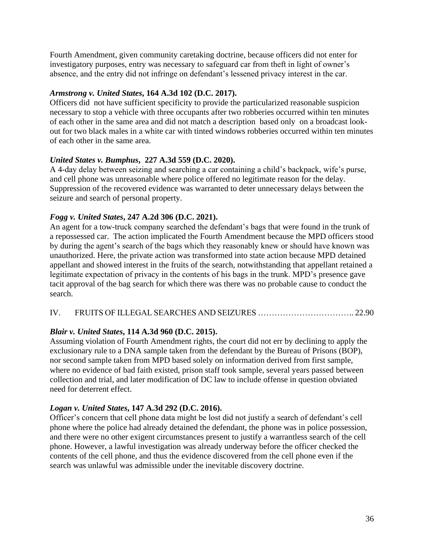Fourth Amendment, given community caretaking doctrine, because officers did not enter for investigatory purposes, entry was necessary to safeguard car from theft in light of owner's absence, and the entry did not infringe on defendant's lessened privacy interest in the car.

### *Armstrong v. United States***, 164 A.3d 102 (D.C. 2017).**

Officers did not have sufficient specificity to provide the particularized reasonable suspicion necessary to stop a vehicle with three occupants after two robberies occurred within ten minutes of each other in the same area and did not match a description based only on a broadcast lookout for two black males in a white car with tinted windows robberies occurred within ten minutes of each other in the same area.

## *United States v. Bumphus***, 227 A.3d 559 (D.C. 2020).**

A 4-day delay between seizing and searching a car containing a child's backpack, wife's purse, and cell phone was unreasonable where police offered no legitimate reason for the delay. Suppression of the recovered evidence was warranted to deter unnecessary delays between the seizure and search of personal property.

## *Fogg v. United States***, 247 A.2d 306 (D.C. 2021).**

An agent for a tow-truck company searched the defendant's bags that were found in the trunk of a repossessed car. The action implicated the Fourth Amendment because the MPD officers stood by during the agent's search of the bags which they reasonably knew or should have known was unauthorized. Here, the private action was transformed into state action because MPD detained appellant and showed interest in the fruits of the search, notwithstanding that appellant retained a legitimate expectation of privacy in the contents of his bags in the trunk. MPD's presence gave tacit approval of the bag search for which there was there was no probable cause to conduct the search.

### IV. FRUITS OF ILLEGAL SEARCHES AND SEIZURES …………………………….. 22.90

## *Blair v. United States***, 114 A.3d 960 (D.C. 2015).**

Assuming violation of Fourth Amendment rights, the court did not err by declining to apply the exclusionary rule to a DNA sample taken from the defendant by the Bureau of Prisons (BOP), nor second sample taken from MPD based solely on information derived from first sample, where no evidence of bad faith existed, prison staff took sample, several years passed between collection and trial, and later modification of DC law to include offense in question obviated need for deterrent effect.

### *Logan v. United States***, 147 A.3d 292 (D.C. 2016).**

Officer's concern that cell phone data might be lost did not justify a search of defendant's cell phone where the police had already detained the defendant, the phone was in police possession, and there were no other exigent circumstances present to justify a warrantless search of the cell phone. However, a lawful investigation was already underway before the officer checked the contents of the cell phone, and thus the evidence discovered from the cell phone even if the search was unlawful was admissible under the inevitable discovery doctrine.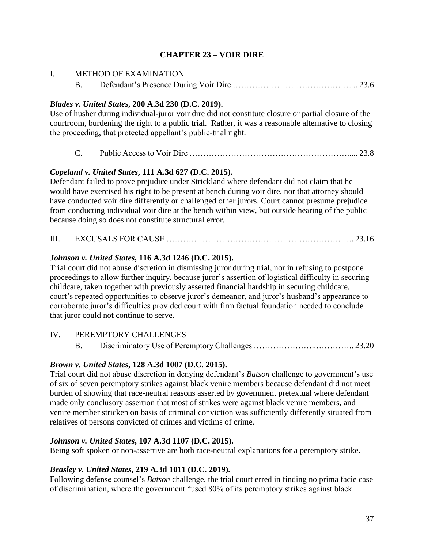## **CHAPTER 23 – VOIR DIRE**

| I. | <b>METHOD OF EXAMINATION</b> |                                                                                                      |  |
|----|------------------------------|------------------------------------------------------------------------------------------------------|--|
|    | <b>B.</b>                    |                                                                                                      |  |
|    |                              | Blades v. United States, 200 A.3d 230 (D.C. 2019).                                                   |  |
|    |                              | Use of husher during individual-juror voir dire did not constitute closure or partial closure of the |  |
|    |                              | courtroom, burdening the right to a public trial. Rather, it was a reasonable alternative to closing |  |
|    |                              | the proceeding, that protected appellant's public-trial right.                                       |  |

C. Public Access to Voir Dire …………………………………………………..... 23.8

### *Copeland v. United States***, 111 A.3d 627 (D.C. 2015).**

Defendant failed to prove prejudice under Strickland where defendant did not claim that he would have exercised his right to be present at bench during voir dire, nor that attorney should have conducted voir dire differently or challenged other jurors. Court cannot presume prejudice from conducting individual voir dire at the bench within view, but outside hearing of the public because doing so does not constitute structural error.

III. EXCUSALS FOR CAUSE ………………………………………………………….. 23.16

### *Johnson v. United States***, 116 A.3d 1246 (D.C. 2015).**

Trial court did not abuse discretion in dismissing juror during trial, nor in refusing to postpone proceedings to allow further inquiry, because juror's assertion of logistical difficulty in securing childcare, taken together with previously asserted financial hardship in securing childcare, court's repeated opportunities to observe juror's demeanor, and juror's husband's appearance to corroborate juror's difficulties provided court with firm factual foundation needed to conclude that juror could not continue to serve.

### IV. PEREMPTORY CHALLENGES

B. Discriminatory Use of Peremptory Challenges …………………..………….. 23.20

### *Brown v. United States***, 128 A.3d 1007 (D.C. 2015).**

Trial court did not abuse discretion in denying defendant's *Batson* challenge to government's use of six of seven peremptory strikes against black venire members because defendant did not meet burden of showing that race-neutral reasons asserted by government pretextual where defendant made only conclusory assertion that most of strikes were against black venire members, and venire member stricken on basis of criminal conviction was sufficiently differently situated from relatives of persons convicted of crimes and victims of crime.

### *Johnson v. United States***, 107 A.3d 1107 (D.C. 2015).**

Being soft spoken or non-assertive are both race-neutral explanations for a peremptory strike.

### *Beasley v. United States***, 219 A.3d 1011 (D.C. 2019).**

Following defense counsel's *Batson* challenge, the trial court erred in finding no prima facie case of discrimination, where the government "used 80% of its peremptory strikes against black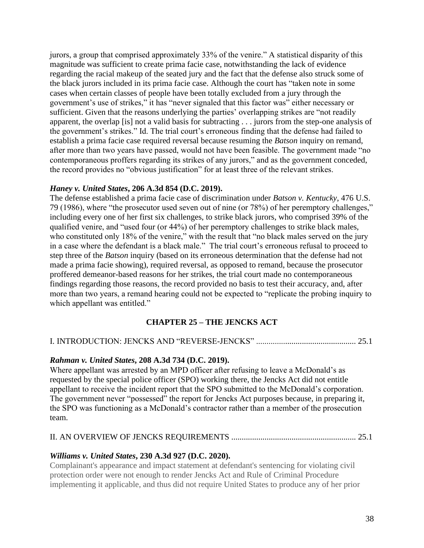jurors, a group that comprised approximately 33% of the venire." A statistical disparity of this magnitude was sufficient to create prima facie case, notwithstanding the lack of evidence regarding the racial makeup of the seated jury and the fact that the defense also struck some of the black jurors included in its prima facie case. Although the court has "taken note in some cases when certain classes of people have been totally excluded from a jury through the government's use of strikes," it has "never signaled that this factor was" either necessary or sufficient. Given that the reasons underlying the parties' overlapping strikes are "not readily apparent, the overlap [is] not a valid basis for subtracting . . . jurors from the step-one analysis of the government's strikes." Id. The trial court's erroneous finding that the defense had failed to establish a prima facie case required reversal because resuming the *Batson* inquiry on remand, after more than two years have passed, would not have been feasible. The government made "no contemporaneous proffers regarding its strikes of any jurors," and as the government conceded, the record provides no "obvious justification" for at least three of the relevant strikes.

#### *Haney v. United States***, 206 A.3d 854 (D.C. 2019).**

The defense established a prima facie case of discrimination under *Batson v. Kentucky*, 476 U.S. 79 (1986), where "the prosecutor used seven out of nine (or 78%) of her peremptory challenges," including every one of her first six challenges, to strike black jurors, who comprised 39% of the qualified venire, and "used four (or 44%) of her peremptory challenges to strike black males, who constituted only 18% of the venire," with the result that "no black males served on the jury in a case where the defendant is a black male." The trial court's erroneous refusal to proceed to step three of the *Batson* inquiry (based on its erroneous determination that the defense had not made a prima facie showing), required reversal, as opposed to remand, because the prosecutor proffered demeanor-based reasons for her strikes, the trial court made no contemporaneous findings regarding those reasons, the record provided no basis to test their accuracy, and, after more than two years, a remand hearing could not be expected to "replicate the probing inquiry to which appellant was entitled."

### **CHAPTER 25 – THE JENCKS ACT**

#### I. INTRODUCTION: JENCKS AND "REVERSE-JENCKS" ................................................ 25.1

#### *Rahman v. United States***, 208 A.3d 734 (D.C. 2019).**

Where appellant was arrested by an MPD officer after refusing to leave a McDonald's as requested by the special police officer (SPO) working there, the Jencks Act did not entitle appellant to receive the incident report that the SPO submitted to the McDonald's corporation. The government never "possessed" the report for Jencks Act purposes because, in preparing it, the SPO was functioning as a McDonald's contractor rather than a member of the prosecution team.

#### II. AN OVERVIEW OF JENCKS REQUIREMENTS ............................................................ 25.1

#### *Williams v. United States***, 230 A.3d 927 (D.C. 2020).**

Complainant's appearance and impact statement at defendant's sentencing for violating civil protection order were not enough to render Jencks Act and Rule of Criminal Procedure implementing it applicable, and thus did not require United States to produce any of her prior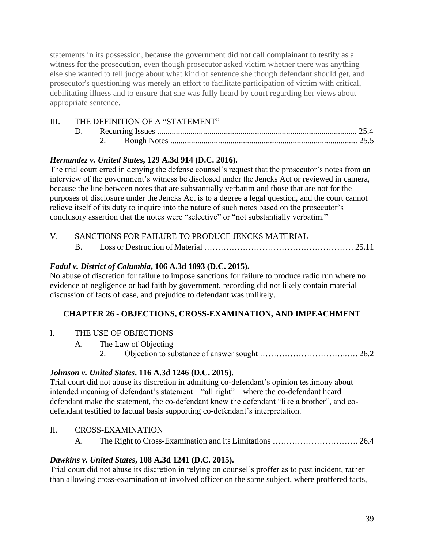statements in its possession, because the government did not call complainant to testify as a witness for the prosecution, even though prosecutor asked victim whether there was anything else she wanted to tell judge about what kind of sentence she though defendant should get, and prosecutor's questioning was merely an effort to facilitate participation of victim with critical, debilitating illness and to ensure that she was fully heard by court regarding her views about appropriate sentence.

## III. THE DEFINITION OF A "STATEMENT"

| D. |  |  |
|----|--|--|
|    |  |  |

## *Hernandez v. United States***, 129 A.3d 914 (D.C. 2016).**

The trial court erred in denying the defense counsel's request that the prosecutor's notes from an interview of the government's witness be disclosed under the Jencks Act or reviewed in camera, because the line between notes that are substantially verbatim and those that are not for the purposes of disclosure under the Jencks Act is to a degree a legal question, and the court cannot relieve itself of its duty to inquire into the nature of such notes based on the prosecutor's conclusory assertion that the notes were "selective" or "not substantially verbatim."

# V. SANCTIONS FOR FAILURE TO PRODUCE JENCKS MATERIAL

B. Loss or Destruction of Material ……………………………………………… 25.11

## *Fadul v. District of Columbia***, 106 A.3d 1093 (D.C. 2015).**

No abuse of discretion for failure to impose sanctions for failure to produce radio run where no evidence of negligence or bad faith by government, recording did not likely contain material discussion of facts of case, and prejudice to defendant was unlikely.

## **CHAPTER 26 - OBJECTIONS, CROSS-EXAMINATION, AND IMPEACHMENT**

- I. THE USE OF OBJECTIONS
	- A. The Law of Objecting
		- 2. Objection to substance of answer sought …………………………..…. 26.2

## *Johnson v. United States***, 116 A.3d 1246 (D.C. 2015).**

Trial court did not abuse its discretion in admitting co-defendant's opinion testimony about intended meaning of defendant's statement – "all right" – where the co-defendant heard defendant make the statement, the co-defendant knew the defendant "like a brother", and codefendant testified to factual basis supporting co-defendant's interpretation.

## II. CROSS-EXAMINATION

A. The Right to Cross-Examination and its Limitations …………………………. 26.4

## *Dawkins v. United States***, 108 A.3d 1241 (D.C. 2015).**

Trial court did not abuse its discretion in relying on counsel's proffer as to past incident, rather than allowing cross-examination of involved officer on the same subject, where proffered facts,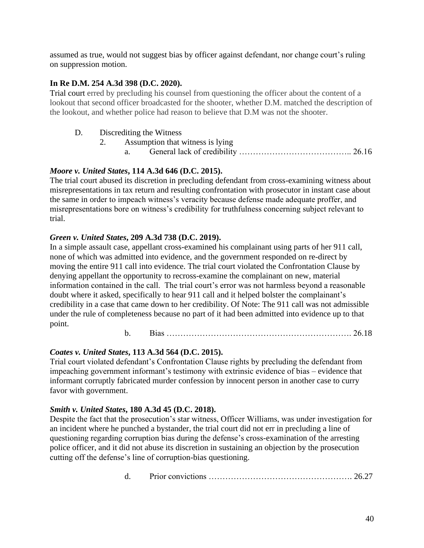assumed as true, would not suggest bias by officer against defendant, nor change court's ruling on suppression motion.

### **In Re D.M. 254 A.3d 398 (D.C. 2020).**

Trial court erred by precluding his counsel from questioning the officer about the content of a lookout that second officer broadcasted for the shooter, whether D.M. matched the description of the lookout, and whether police had reason to believe that D.M was not the shooter.

### D. Discrediting the Witness

- 2. Assumption that witness is lying
	- a. General lack of credibility ………………………………….. 26.16

## *Moore v. United States***, 114 A.3d 646 (D.C. 2015).**

The trial court abused its discretion in precluding defendant from cross-examining witness about misrepresentations in tax return and resulting confrontation with prosecutor in instant case about the same in order to impeach witness's veracity because defense made adequate proffer, and misrepresentations bore on witness's credibility for truthfulness concerning subject relevant to trial.

## *Green v. United States***, 209 A.3d 738 (D.C. 2019).**

In a simple assault case, appellant cross-examined his complainant using parts of her 911 call, none of which was admitted into evidence, and the government responded on re-direct by moving the entire 911 call into evidence. The trial court violated the Confrontation Clause by denying appellant the opportunity to recross-examine the complainant on new, material information contained in the call. The trial court's error was not harmless beyond a reasonable doubt where it asked, specifically to hear 911 call and it helped bolster the complainant's credibility in a case that came down to her credibility. Of Note: The 911 call was not admissible under the rule of completeness because no part of it had been admitted into evidence up to that point.

b. Bias …………………………………………………………. 26.18

## *Coates v. United States***, 113 A.3d 564 (D.C. 2015).**

Trial court violated defendant's Confrontation Clause rights by precluding the defendant from impeaching government informant's testimony with extrinsic evidence of bias – evidence that informant corruptly fabricated murder confession by innocent person in another case to curry favor with government.

## *Smith v. United States***, 180 A.3d 45 (D.C. 2018).**

Despite the fact that the prosecution's star witness, Officer Williams, was under investigation for an incident where he punched a bystander, the trial court did not err in precluding a line of questioning regarding corruption bias during the defense's cross-examination of the arresting police officer, and it did not abuse its discretion in sustaining an objection by the prosecution cutting off the defense's line of corruption-bias questioning.

|--|--|--|--|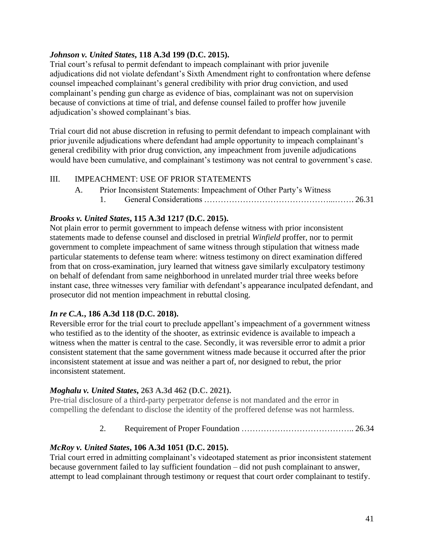### *Johnson v. United States***, 118 A.3d 199 (D.C. 2015).**

Trial court's refusal to permit defendant to impeach complainant with prior juvenile adjudications did not violate defendant's Sixth Amendment right to confrontation where defense counsel impeached complainant's general credibility with prior drug conviction, and used complainant's pending gun charge as evidence of bias, complainant was not on supervision because of convictions at time of trial, and defense counsel failed to proffer how juvenile adjudication's showed complainant's bias.

Trial court did not abuse discretion in refusing to permit defendant to impeach complainant with prior juvenile adjudications where defendant had ample opportunity to impeach complainant's general credibility with prior drug conviction, any impeachment from juvenile adjudications would have been cumulative, and complainant's testimony was not central to government's case.

### III. IMPEACHMENT: USE OF PRIOR STATEMENTS

A. Prior Inconsistent Statements: Impeachment of Other Party's Witness 1. General Considerations ………………………………………...……. 26.31

### *Brooks v. United States***, 115 A.3d 1217 (D.C. 2015).**

Not plain error to permit government to impeach defense witness with prior inconsistent statements made to defense counsel and disclosed in pretrial *Winfield* proffer, nor to permit government to complete impeachment of same witness through stipulation that witness made particular statements to defense team where: witness testimony on direct examination differed from that on cross-examination, jury learned that witness gave similarly exculpatory testimony on behalf of defendant from same neighborhood in unrelated murder trial three weeks before instant case, three witnesses very familiar with defendant's appearance inculpated defendant, and prosecutor did not mention impeachment in rebuttal closing.

### *In re C.A.***, 186 A.3d 118 (D.C. 2018).**

Reversible error for the trial court to preclude appellant's impeachment of a government witness who testified as to the identity of the shooter, as extrinsic evidence is available to impeach a witness when the matter is central to the case. Secondly, it was reversible error to admit a prior consistent statement that the same government witness made because it occurred after the prior inconsistent statement at issue and was neither a part of, nor designed to rebut, the prior inconsistent statement.

#### *Moghalu v. United States***, 263 A.3d 462 (D.C. 2021).**

Pre-trial disclosure of a third-party perpetrator defense is not mandated and the error in compelling the defendant to disclose the identity of the proffered defense was not harmless.

2. Requirement of Proper Foundation ………………………………….. 26.34

### *McRoy v. United States***, 106 A.3d 1051 (D.C. 2015).**

Trial court erred in admitting complainant's videotaped statement as prior inconsistent statement because government failed to lay sufficient foundation – did not push complainant to answer, attempt to lead complainant through testimony or request that court order complainant to testify.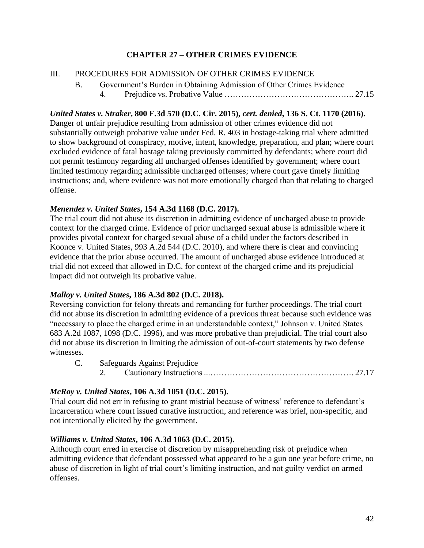## **CHAPTER 27 – OTHER CRIMES EVIDENCE**

### III. PROCEDURES FOR ADMISSION OF OTHER CRIMES EVIDENCE

B. Government's Burden in Obtaining Admission of Other Crimes Evidence 4. Prejudice vs. Probative Value ……………………………………….. 27.15

### *United States v. Straker***, 800 F.3d 570 (D.C. Cir. 2015),** *cert. denied***, 136 S. Ct. 1170 (2016).**

Danger of unfair prejudice resulting from admission of other crimes evidence did not substantially outweigh probative value under Fed. R. 403 in hostage-taking trial where admitted to show background of conspiracy, motive, intent, knowledge, preparation, and plan; where court excluded evidence of fatal hostage taking previously committed by defendants; where court did not permit testimony regarding all uncharged offenses identified by government; where court limited testimony regarding admissible uncharged offenses; where court gave timely limiting instructions; and, where evidence was not more emotionally charged than that relating to charged offense.

#### *Menendez v. United States***, 154 A.3d 1168 (D.C. 2017).**

The trial court did not abuse its discretion in admitting evidence of uncharged abuse to provide context for the charged crime. Evidence of prior uncharged sexual abuse is admissible where it provides pivotal context for charged sexual abuse of a child under the factors described in Koonce v. United States, 993 A.2d 544 (D.C. 2010), and where there is clear and convincing evidence that the prior abuse occurred. The amount of uncharged abuse evidence introduced at trial did not exceed that allowed in D.C. for context of the charged crime and its prejudicial impact did not outweigh its probative value.

### *Malloy v. United States***, 186 A.3d 802 (D.C. 2018).**

Reversing conviction for felony threats and remanding for further proceedings. The trial court did not abuse its discretion in admitting evidence of a previous threat because such evidence was "necessary to place the charged crime in an understandable context," Johnson v. United States 683 A.2d 1087, 1098 (D.C. 1996), and was more probative than prejudicial. The trial court also did not abuse its discretion in limiting the admission of out-of-court statements by two defense witnesses.

C. Safeguards Against Prejudice 2. Cautionary Instructions ...……………………………………………. 27.17

### *McRoy v. United States***, 106 A.3d 1051 (D.C. 2015).**

Trial court did not err in refusing to grant mistrial because of witness' reference to defendant's incarceration where court issued curative instruction, and reference was brief, non-specific, and not intentionally elicited by the government.

### *Williams v. United States***, 106 A.3d 1063 (D.C. 2015).**

Although court erred in exercise of discretion by misapprehending risk of prejudice when admitting evidence that defendant possessed what appeared to be a gun one year before crime, no abuse of discretion in light of trial court's limiting instruction, and not guilty verdict on armed offenses.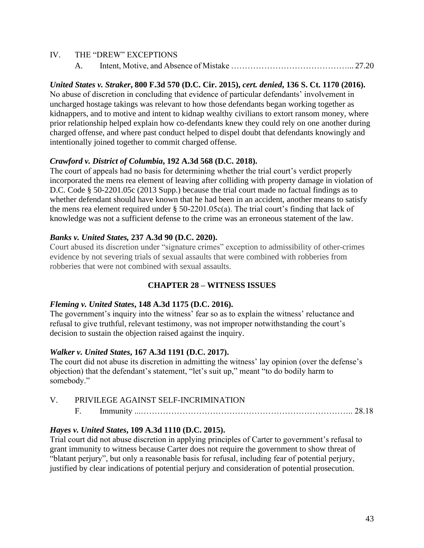| IV. | THE "DREW" EXCEPTIONS |
|-----|-----------------------|
|     |                       |

#### *United States v. Straker***, 800 F.3d 570 (D.C. Cir. 2015),** *cert. denied***, 136 S. Ct. 1170 (2016).**

No abuse of discretion in concluding that evidence of particular defendants' involvement in uncharged hostage takings was relevant to how those defendants began working together as kidnappers, and to motive and intent to kidnap wealthy civilians to extort ransom money, where prior relationship helped explain how co-defendants knew they could rely on one another during charged offense, and where past conduct helped to dispel doubt that defendants knowingly and intentionally joined together to commit charged offense.

#### *Crawford v. District of Columbia***, 192 A.3d 568 (D.C. 2018).**

The court of appeals had no basis for determining whether the trial court's verdict properly incorporated the mens rea element of leaving after colliding with property damage in violation of D.C. Code § 50-2201.05c (2013 Supp.) because the trial court made no factual findings as to whether defendant should have known that he had been in an accident, another means to satisfy the mens rea element required under § 50-2201.05c(a). The trial court's finding that lack of knowledge was not a sufficient defense to the crime was an erroneous statement of the law.

#### *Banks v. United States,* **237 A.3d 90 (D.C. 2020).**

Court abused its discretion under "signature crimes" exception to admissibility of other-crimes evidence by not severing trials of sexual assaults that were combined with robberies from robberies that were not combined with sexual assaults.

### **CHAPTER 28 – WITNESS ISSUES**

#### *Fleming v. United States***, 148 A.3d 1175 (D.C. 2016).**

The government's inquiry into the witness' fear so as to explain the witness' reluctance and refusal to give truthful, relevant testimony, was not improper notwithstanding the court's decision to sustain the objection raised against the inquiry.

#### *Walker v. United States***, 167 A.3d 1191 (D.C. 2017).**

The court did not abuse its discretion in admitting the witness' lay opinion (over the defense's objection) that the defendant's statement, "let's suit up," meant "to do bodily harm to somebody."

#### V. PRIVILEGE AGAINST SELF-INCRIMINATION

#### F. Immunity ...………………………………………………………………….. 28.18

#### *Hayes v. United States***, 109 A.3d 1110 (D.C. 2015).**

Trial court did not abuse discretion in applying principles of Carter to government's refusal to grant immunity to witness because Carter does not require the government to show threat of "blatant perjury", but only a reasonable basis for refusal, including fear of potential perjury, justified by clear indications of potential perjury and consideration of potential prosecution.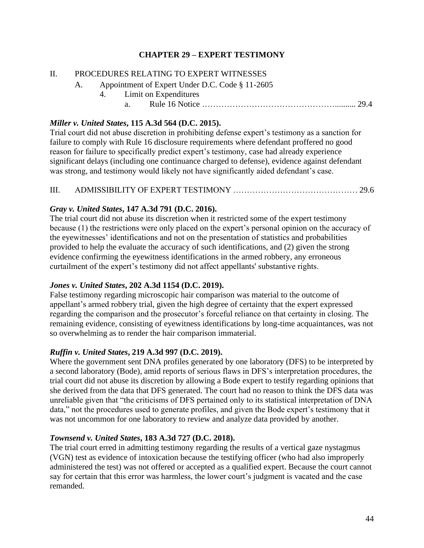## **CHAPTER 29 – EXPERT TESTIMONY**

#### II. PROCEDURES RELATING TO EXPERT WITNESSES

- A. Appointment of Expert Under D.C. Code § 11-2605
	- 4. Limit on Expenditures
		- a. Rule 16 Notice ………………………………………….......... 29.4

#### *Miller v. United States***, 115 A.3d 564 (D.C. 2015).**

Trial court did not abuse discretion in prohibiting defense expert's testimony as a sanction for failure to comply with Rule 16 disclosure requirements where defendant proffered no good reason for failure to specifically predict expert's testimony, case had already experience significant delays (including one continuance charged to defense), evidence against defendant was strong, and testimony would likely not have significantly aided defendant's case.

#### III. ADMISSIBILITY OF EXPERT TESTIMONY ……………………………………… 29.6

#### *Gray v. United States***, 147 A.3d 791 (D.C. 2016).**

The trial court did not abuse its discretion when it restricted some of the expert testimony because (1) the restrictions were only placed on the expert's personal opinion on the accuracy of the eyewitnesses' identifications and not on the presentation of statistics and probabilities provided to help the evaluate the accuracy of such identifications, and (2) given the strong evidence confirming the eyewitness identifications in the armed robbery, any erroneous curtailment of the expert's testimony did not affect appellants' substantive rights.

### *Jones v. United States***, 202 A.3d 1154 (D.C. 2019).**

False testimony regarding microscopic hair comparison was material to the outcome of appellant's armed robbery trial, given the high degree of certainty that the expert expressed regarding the comparison and the prosecutor's forceful reliance on that certainty in closing. The remaining evidence, consisting of eyewitness identifications by long-time acquaintances, was not so overwhelming as to render the hair comparison immaterial.

### *Ruffin v. United States***, 219 A.3d 997 (D.C. 2019).**

Where the government sent DNA profiles generated by one laboratory (DFS) to be interpreted by a second laboratory (Bode), amid reports of serious flaws in DFS's interpretation procedures, the trial court did not abuse its discretion by allowing a Bode expert to testify regarding opinions that she derived from the data that DFS generated. The court had no reason to think the DFS data was unreliable given that "the criticisms of DFS pertained only to its statistical interpretation of DNA data," not the procedures used to generate profiles, and given the Bode expert's testimony that it was not uncommon for one laboratory to review and analyze data provided by another.

#### *Townsend v. United States***, 183 A.3d 727 (D.C. 2018).**

The trial court erred in admitting testimony regarding the results of a vertical gaze nystagmus (VGN) test as evidence of intoxication because the testifying officer (who had also improperly administered the test) was not offered or accepted as a qualified expert. Because the court cannot say for certain that this error was harmless, the lower court's judgment is vacated and the case remanded.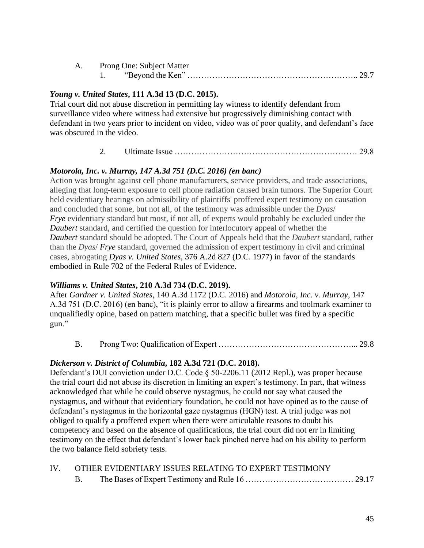| A. | <b>Prong One: Subject Matter</b> |  |
|----|----------------------------------|--|
|    |                                  |  |

### *Young v. United States***, 111 A.3d 13 (D.C. 2015).**

Trial court did not abuse discretion in permitting lay witness to identify defendant from surveillance video where witness had extensive but progressively diminishing contact with defendant in two years prior to incident on video, video was of poor quality, and defendant's face was obscured in the video.

### 2. Ultimate Issue ………………………………………………………… 29.8

## *Motorola, Inc. v. Murray, 147 A.3d 751 (D.C. 2016) (en banc)*

Action was brought against cell phone manufacturers, service providers, and trade associations, alleging that long-term exposure to cell phone radiation caused brain tumors. The Superior Court held evidentiary hearings on admissibility of plaintiffs' proffered expert testimony on causation and concluded that some, but not all, of the testimony was admissible under the *Dyas*/ *[Frye](https://1.next.westlaw.com/Link/Document/FullText?findType=Y&serNum=1924122438&pubNum=0000348&refType=RP&originationContext=trDiscoverSynopsis&transitionType=SearchItem&ppcid=bc453b3f591f4b3392d734a3fdb89379&contextData=(sc.Search)&listSource=Search&list=CASE&rank=2&navigationPath=Search%2Fv1%2Fresults%2Fnavigation%2Fi0ad604ac0000017fb21378aaa6695e2f%3Fppcid%3Dbc453b3f591f4b3392d734a3fdb89379%26Nav%3DCASE%26fragmentIdentifier%3DI4b26e57097f911e6b8b9e1ce282dafae%26parentRank%3D0%26startIndex%3D1%26contextData%3D%2528sc.Search%2529%26transitionType%3DSearchItem)* evidentiary standard but most, if not all, of experts would probably be excluded under the *[Daubert](https://1.next.westlaw.com/Link/Document/FullText?findType=Y&serNum=1993130674&pubNum=0000708&refType=RP&originationContext=trDiscoverSynopsis&transitionType=SearchItem&ppcid=bc453b3f591f4b3392d734a3fdb89379&contextData=(sc.Search)&listSource=Search&list=CASE&rank=2&navigationPath=Search%2Fv1%2Fresults%2Fnavigation%2Fi0ad604ac0000017fb21378aaa6695e2f%3Fppcid%3Dbc453b3f591f4b3392d734a3fdb89379%26Nav%3DCASE%26fragmentIdentifier%3DI4b26e57097f911e6b8b9e1ce282dafae%26parentRank%3D0%26startIndex%3D1%26contextData%3D%2528sc.Search%2529%26transitionType%3DSearchItem)* standard, and certified the question for interlocutory appeal of whether the *[Daubert](https://1.next.westlaw.com/Link/Document/FullText?findType=Y&serNum=1993130674&pubNum=0000708&refType=RP&originationContext=trDiscoverSynopsis&transitionType=SearchItem&ppcid=bc453b3f591f4b3392d734a3fdb89379&contextData=(sc.Search)&listSource=Search&list=CASE&rank=2&navigationPath=Search%2Fv1%2Fresults%2Fnavigation%2Fi0ad604ac0000017fb21378aaa6695e2f%3Fppcid%3Dbc453b3f591f4b3392d734a3fdb89379%26Nav%3DCASE%26fragmentIdentifier%3DI4b26e57097f911e6b8b9e1ce282dafae%26parentRank%3D0%26startIndex%3D1%26contextData%3D%2528sc.Search%2529%26transitionType%3DSearchItem)* standard should be adopted. The Court of Appeals held that the *Daubert* standard, rather than the *Dyas*/ *[Frye](https://1.next.westlaw.com/Link/Document/FullText?findType=Y&serNum=1924122438&pubNum=0000348&refType=RP&originationContext=trDiscoverSynopsis&transitionType=SearchItem&ppcid=bc453b3f591f4b3392d734a3fdb89379&contextData=(sc.Search)&listSource=Search&list=CASE&rank=2&navigationPath=Search%2Fv1%2Fresults%2Fnavigation%2Fi0ad604ac0000017fb21378aaa6695e2f%3Fppcid%3Dbc453b3f591f4b3392d734a3fdb89379%26Nav%3DCASE%26fragmentIdentifier%3DI4b26e57097f911e6b8b9e1ce282dafae%26parentRank%3D0%26startIndex%3D1%26contextData%3D%2528sc.Search%2529%26transitionType%3DSearchItem)* standard, governed the admission of expert testimony in civil and criminal cases, abrogating *Dyas v. [United](https://1.next.westlaw.com/Link/Document/FullText?findType=Y&serNum=1977120251&pubNum=0000162&refType=RP&originationContext=trDiscoverSynopsis&transitionType=SearchItem&ppcid=bc453b3f591f4b3392d734a3fdb89379&contextData=(sc.Search)&listSource=Search&list=CASE&rank=2&navigationPath=Search%2Fv1%2Fresults%2Fnavigation%2Fi0ad604ac0000017fb21378aaa6695e2f%3Fppcid%3Dbc453b3f591f4b3392d734a3fdb89379%26Nav%3DCASE%26fragmentIdentifier%3DI4b26e57097f911e6b8b9e1ce282dafae%26parentRank%3D0%26startIndex%3D1%26contextData%3D%2528sc.Search%2529%26transitionType%3DSearchItem) States*, 376 A.2d 827 (D.C. 1977) in favor of the standards embodied in Rule 702 of the Federal Rules of [Evidence.](https://1.next.westlaw.com/Link/Document/FullText?findType=L&pubNum=1000607&cite=USFRER702&originatingDoc=I4b26e57097f911e6b8b9e1ce282dafae&refType=LQ&originationContext=document&transitionType=DocumentItem&ppcid=db53e894dbb74edcafc1cd49b1265d2c&contextData=(sc.Search))

### *Williams v. United States***, 210 A.3d 734 (D.C. 2019).**

After *Gardner v. United States*, 140 A.3d 1172 (D.C. 2016) and *Motorola, Inc. v. Murray*, 147 A.3d 751 (D.C. 2016) (en banc), "it is plainly error to allow a firearms and toolmark examiner to unqualifiedly opine, based on pattern matching, that a specific bullet was fired by a specific gun."

B. Prong Two: Qualification of Expert …………………………………………... 29.8

### *Dickerson v. District of Columbia***, 182 A.3d 721 (D.C. 2018).**

Defendant's DUI conviction under D.C. Code § 50-2206.11 (2012 Repl.), was proper because the trial court did not abuse its discretion in limiting an expert's testimony. In part, that witness acknowledged that while he could observe nystagmus, he could not say what caused the nystagmus, and without that evidentiary foundation, he could not have opined as to the cause of defendant's nystagmus in the horizontal gaze nystagmus (HGN) test. A trial judge was not obliged to qualify a proffered expert when there were articulable reasons to doubt his competency and based on the absence of qualifications, the trial court did not err in limiting testimony on the effect that defendant's lower back pinched nerve had on his ability to perform the two balance field sobriety tests.

|  | IV. OTHER EVIDENTIARY ISSUES RELATING TO EXPERT TESTIMONY |
|--|-----------------------------------------------------------|
|  |                                                           |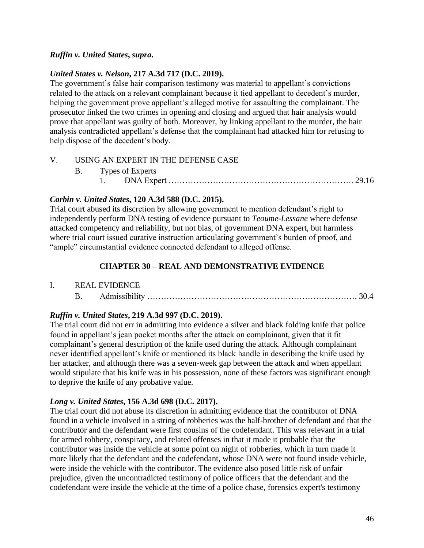### *Ruffin v. United States***,** *supra***.**

#### *United States v. Nelson***, 217 A.3d 717 (D.C. 2019).**

The government's false hair comparison testimony was material to appellant's convictions related to the attack on a relevant complainant because it tied appellant to decedent's murder, helping the government prove appellant's alleged motive for assaulting the complainant. The prosecutor linked the two crimes in opening and closing and argued that hair analysis would prove that appellant was guilty of both. Moreover, by linking appellant to the murder, the hair analysis contradicted appellant's defense that the complainant had attacked him for refusing to help dispose of the decedent's body.

#### V. USING AN EXPERT IN THE DEFENSE CASE

|  | B. Types of Experts |  |
|--|---------------------|--|
|  |                     |  |

#### *Corbin v. United States***, 120 A.3d 588 (D.C. 2015).**

Trial court abused its discretion by allowing government to mention defendant's right to independently perform DNA testing of evidence pursuant to *Teoume-Lessane* where defense attacked competency and reliability, but not bias, of government DNA expert, but harmless where trial court issued curative instruction articulating government's burden of proof, and "ample" circumstantial evidence connected defendant to alleged offense.

#### **CHAPTER 30 – REAL AND DEMONSTRATIVE EVIDENCE**

#### I. REAL EVIDENCE

B. Admissibility …………………………………………………………………. 30.4

### *Ruffin v. United States***, 219 A.3d 997 (D.C. 2019).**

The trial court did not err in admitting into evidence a silver and black folding knife that police found in appellant's jean pocket months after the attack on complainant, given that it fit complainant's general description of the knife used during the attack. Although complainant never identified appellant's knife or mentioned its black handle in describing the knife used by her attacker, and although there was a seven-week gap between the attack and when appellant would stipulate that his knife was in his possession, none of these factors was significant enough to deprive the knife of any probative value.

#### *Long v. United States***, 156 A.3d 698 (D.C. 2017).**

The trial court did not abuse its discretion in admitting evidence that the contributor of DNA found in a vehicle involved in a string of robberies was the half-brother of defendant and that the contributor and the defendant were first cousins of the codefendant. This was relevant in a trial for armed robbery, conspiracy, and related offenses in that it made it probable that the contributor was inside the vehicle at some point on night of robberies, which in turn made it more likely that the defendant and the codefendant, whose DNA were not found inside vehicle, were inside the vehicle with the contributor. The evidence also posed little risk of unfair prejudice, given the uncontradicted testimony of police officers that the defendant and the codefendant were inside the vehicle at the time of a police chase, forensics expert's testimony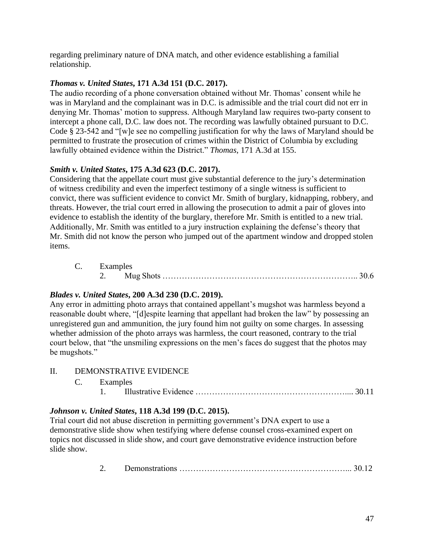regarding preliminary nature of DNA match, and other evidence establishing a familial relationship.

## *Thomas v. United States***, 171 A.3d 151 (D.C. 2017).**

The audio recording of a phone conversation obtained without Mr. Thomas' consent while he was in Maryland and the complainant was in D.C. is admissible and the trial court did not err in denying Mr. Thomas' motion to suppress. Although Maryland law requires two-party consent to intercept a phone call, D.C. law does not. The recording was lawfully obtained pursuant to D.C. Code § 23-542 and "[w]e see no compelling justification for why the laws of Maryland should be permitted to frustrate the prosecution of crimes within the District of Columbia by excluding lawfully obtained evidence within the District." *Thomas*, 171 A.3d at 155.

## *Smith v. United States***, 175 A.3d 623 (D.C. 2017).**

Considering that the appellate court must give substantial deference to the jury's determination of witness credibility and even the imperfect testimony of a single witness is sufficient to convict, there was sufficient evidence to convict Mr. Smith of burglary, kidnapping, robbery, and threats. However, the trial court erred in allowing the prosecution to admit a pair of gloves into evidence to establish the identity of the burglary, therefore Mr. Smith is entitled to a new trial. Additionally, Mr. Smith was entitled to a jury instruction explaining the defense's theory that Mr. Smith did not know the person who jumped out of the apartment window and dropped stolen items.

| C. Examples |  |  |
|-------------|--|--|
|             |  |  |

## *Blades v. United States***, 200 A.3d 230 (D.C. 2019).**

Any error in admitting photo arrays that contained appellant's mugshot was harmless beyond a reasonable doubt where, "[d]espite learning that appellant had broken the law" by possessing an unregistered gun and ammunition, the jury found him not guilty on some charges. In assessing whether admission of the photo arrays was harmless, the court reasoned, contrary to the trial court below, that "the unsmiling expressions on the men's faces do suggest that the photos may be mugshots."

- II. DEMONSTRATIVE EVIDENCE
	- C. Examples 1. Illustrative Evidence ……………………………………………….... 30.11

## *Johnson v. United States***, 118 A.3d 199 (D.C. 2015).**

Trial court did not abuse discretion in permitting government's DNA expert to use a demonstrative slide show when testifying where defense counsel cross-examined expert on topics not discussed in slide show, and court gave demonstrative evidence instruction before slide show.

2. Demonstrations ……………………………………………………... 30.12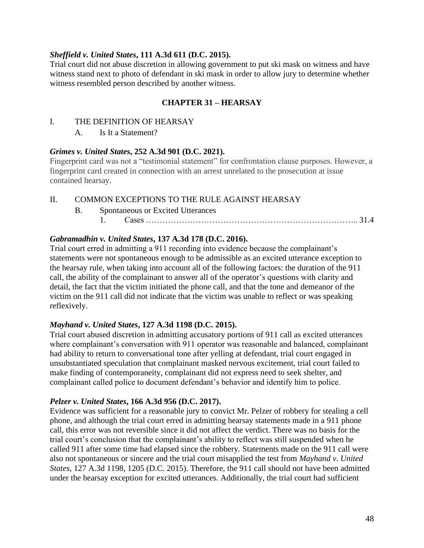#### *Sheffield v. United States***, 111 A.3d 611 (D.C. 2015).**

Trial court did not abuse discretion in allowing government to put ski mask on witness and have witness stand next to photo of defendant in ski mask in order to allow jury to determine whether witness resembled person described by another witness.

### **CHAPTER 31 – HEARSAY**

- I. THE DEFINITION OF HEARSAY
	- A. Is It a Statement?

#### *Grimes v. United States***, 252 A.3d 901 (D.C. 2021).**

Fingerprint card was not a "testimonial statement" for confrontation clause purposes. However, a fingerprint card created in connection with an arrest unrelated to the prosecution at issue contained hearsay.

II. COMMON EXCEPTIONS TO THE RULE AGAINST HEARSAY

- B. Spontaneous or Excited Utterances
	- 1. Cases ………………………………………………………………….. 31.4

### *Gabramadhin v. United States***, 137 A.3d 178 (D.C. 2016).**

Trial court erred in admitting a 911 recording into evidence because the complainant's statements were not spontaneous enough to be admissible as an excited utterance exception to the hearsay rule, when taking into account all of the following factors: the duration of the 911 call, the ability of the complainant to answer all of the operator's questions with clarity and detail, the fact that the victim initiated the phone call, and that the tone and demeanor of the victim on the 911 call did not indicate that the victim was unable to reflect or was speaking reflexively.

#### *Mayhand v. United States***, 127 A.3d 1198 (D.C. 2015).**

Trial court abused discretion in admitting accusatory portions of 911 call as excited utterances where complainant's conversation with 911 operator was reasonable and balanced, complainant had ability to return to conversational tone after yelling at defendant, trial court engaged in unsubstantiated speculation that complainant masked nervous excitement, trial court failed to make finding of contemporaneity, complainant did not express need to seek shelter, and complainant called police to document defendant's behavior and identify him to police.

#### *Pelzer v. United States***, 166 A.3d 956 (D.C. 2017).**

Evidence was sufficient for a reasonable jury to convict Mr. Pelzer of robbery for stealing a cell phone, and although the trial court erred in admitting hearsay statements made in a 911 phone call, this error was not reversible since it did not affect the verdict. There was no basis for the trial court's conclusion that the complainant's ability to reflect was still suspended when he called 911 after some time had elapsed since the robbery. Statements made on the 911 call were also not spontaneous or sincere and the trial court misapplied the test from *Mayhand v. United States*, 127 A.3d 1198, 1205 (D.C. 2015). Therefore, the 911 call should not have been admitted under the hearsay exception for excited utterances. Additionally, the trial court had sufficient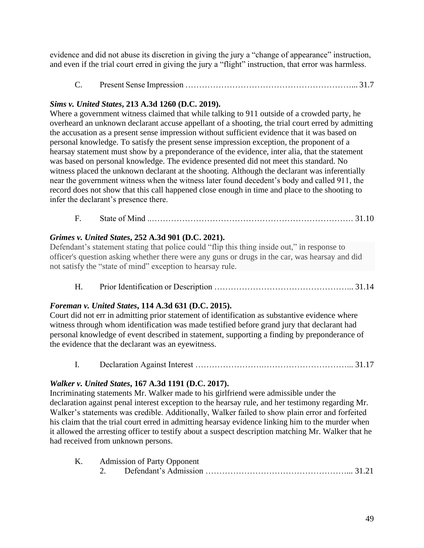evidence and did not abuse its discretion in giving the jury a "change of appearance" instruction, and even if the trial court erred in giving the jury a "flight" instruction, that error was harmless.

C. Present Sense Impression ……………………………………………………... 31.7

## *Sims v. United States***, 213 A.3d 1260 (D.C. 2019).**

Where a government witness claimed that while talking to 911 outside of a crowded party, he overheard an unknown declarant accuse appellant of a shooting, the trial court erred by admitting the accusation as a present sense impression without sufficient evidence that it was based on personal knowledge. To satisfy the present sense impression exception, the proponent of a hearsay statement must show by a preponderance of the evidence, inter alia, that the statement was based on personal knowledge. The evidence presented did not meet this standard. No witness placed the unknown declarant at the shooting. Although the declarant was inferentially near the government witness when the witness later found decedent's body and called 911, the record does not show that this call happened close enough in time and place to the shooting to infer the declarant's presence there.

## F. State of Mind ..………………………………………………………………. 31.10

## *Grimes v. United States***, 252 A.3d 901 (D.C. 2021).**

Defendant's statement stating that police could "flip this thing inside out," in response to officer's question asking whether there were any guns or drugs in the car, was hearsay and did not satisfy the "state of mind" exception to hearsay rule.

H. Prior Identification or Description …………………………………………... 31.14

## *Foreman v. United States***, 114 A.3d 631 (D.C. 2015).**

Court did not err in admitting prior statement of identification as substantive evidence where witness through whom identification was made testified before grand jury that declarant had personal knowledge of event described in statement, supporting a finding by preponderance of the evidence that the declarant was an eyewitness.

I. Declaration Against Interest …………………….…………………………... 31.17

## *Walker v. United States***, 167 A.3d 1191 (D.C. 2017).**

Incriminating statements Mr. Walker made to his girlfriend were admissible under the declaration against penal interest exception to the hearsay rule, and her testimony regarding Mr. Walker's statements was credible. Additionally, Walker failed to show plain error and forfeited his claim that the trial court erred in admitting hearsay evidence linking him to the murder when it allowed the arresting officer to testify about a suspect description matching Mr. Walker that he had received from unknown persons.

|  | K. Admission of Party Opponent |  |
|--|--------------------------------|--|
|  |                                |  |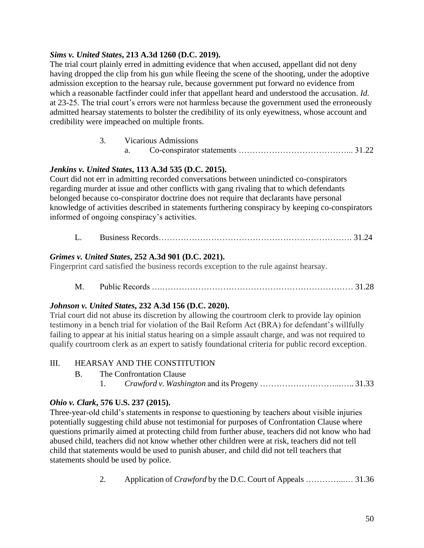## *Sims v. United States***, 213 A.3d 1260 (D.C. 2019).**

The trial court plainly erred in admitting evidence that when accused, appellant did not deny having dropped the clip from his gun while fleeing the scene of the shooting, under the adoptive admission exception to the hearsay rule, because government put forward no evidence from which a reasonable factfinder could infer that appellant heard and understood the accusation. *Id.* at 23-25. The trial court's errors were not harmless because the government used the erroneously admitted hearsay statements to bolster the credibility of its only eyewitness, whose account and credibility were impeached on multiple fronts.

| ິ. | <b>Vicarious Admissions</b> |  |
|----|-----------------------------|--|
|    |                             |  |

|--|--|--|--|--|

## *Jenkins v. United States***, 113 A.3d 535 (D.C. 2015).**

Court did not err in admitting recorded conversations between unindicted co-conspirators regarding murder at issue and other conflicts with gang rivaling that to which defendants belonged because co-conspirator doctrine does not require that declarants have personal knowledge of activities described in statements furthering conspiracy by keeping co-conspirators informed of ongoing conspiracy's activities.

L. Business Records……………………………………………………………. 31.24

## *Grimes v. United States***, 252 A.3d 901 (D.C. 2021).**

Fingerprint card satisfied the business records exception to the rule against hearsay.

M. Public Records ….…………………………………………………………… 31.28

### *Johnson v. United States***, 232 A.3d 156 (D.C. 2020).**

Trial court did not abuse its discretion by allowing the courtroom clerk to provide lay opinion testimony in a bench trial for violation of the Bail Reform Act (BRA) for defendant's willfully failing to appear at his initial status hearing on a simple assault charge, and was not required to qualify courtroom clerk as an expert to satisfy foundational criteria for public record exception.

### III. HEARSAY AND THE CONSTITUTION

- B. The Confrontation Clause
	- 1. *Crawford v. Washington* and its Progeny ………………………...….. 31.33

## *Ohio v. Clark***, 576 U.S. 237 (2015).**

Three-year-old child's statements in response to questioning by teachers about visible injuries potentially suggesting child abuse not testimonial for purposes of Confrontation Clause where questions primarily aimed at protecting child from further abuse, teachers did not know who had abused child, teachers did not know whether other children were at risk, teachers did not tell child that statements would be used to punish abuser, and child did not tell teachers that statements should be used by police.

2. Application of *Crawford* by the D.C. Court of Appeals …………...… 31.36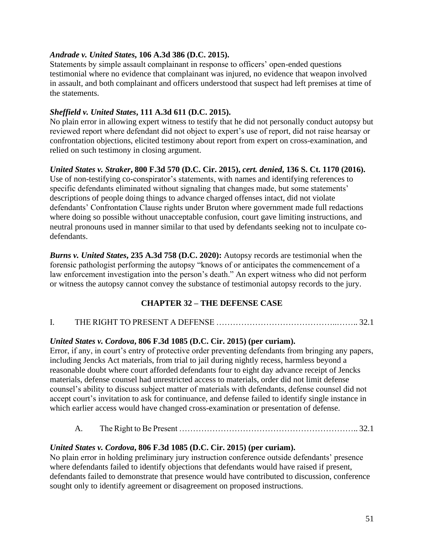## *Andrade v. United States***, 106 A.3d 386 (D.C. 2015).**

Statements by simple assault complainant in response to officers' open-ended questions testimonial where no evidence that complainant was injured, no evidence that weapon involved in assault, and both complainant and officers understood that suspect had left premises at time of the statements.

## *Sheffield v. United States***, 111 A.3d 611 (D.C. 2015).**

No plain error in allowing expert witness to testify that he did not personally conduct autopsy but reviewed report where defendant did not object to expert's use of report, did not raise hearsay or confrontation objections, elicited testimony about report from expert on cross-examination, and relied on such testimony in closing argument.

## *United States v. Straker***, 800 F.3d 570 (D.C. Cir. 2015),** *cert. denied***, 136 S. Ct. 1170 (2016).**

Use of non-testifying co-conspirator's statements, with names and identifying references to specific defendants eliminated without signaling that changes made, but some statements' descriptions of people doing things to advance charged offenses intact, did not violate defendants' Confrontation Clause rights under Bruton where government made full redactions where doing so possible without unacceptable confusion, court gave limiting instructions, and neutral pronouns used in manner similar to that used by defendants seeking not to inculpate codefendants.

*Burns v. United States***, 235 A.3d 758 (D.C. 2020):** Autopsy records are testimonial when the forensic pathologist performing the autopsy "knows of or anticipates the commencement of a law enforcement investigation into the person's death." An expert witness who did not perform or witness the autopsy cannot convey the substance of testimonial autopsy records to the jury.

## **CHAPTER 32 – THE DEFENSE CASE**

### I. THE RIGHT TO PRESENT A DEFENSE ……………………………………..…….. 32.1

### *United States v. Cordova***, 806 F.3d 1085 (D.C. Cir. 2015) (per curiam).**

Error, if any, in court's entry of protective order preventing defendants from bringing any papers, including Jencks Act materials, from trial to jail during nightly recess, harmless beyond a reasonable doubt where court afforded defendants four to eight day advance receipt of Jencks materials, defense counsel had unrestricted access to materials, order did not limit defense counsel's ability to discuss subject matter of materials with defendants, defense counsel did not accept court's invitation to ask for continuance, and defense failed to identify single instance in which earlier access would have changed cross-examination or presentation of defense.

### A. The Right to Be Present ……………………………………………………….. 32.1

### *United States v. Cordova***, 806 F.3d 1085 (D.C. Cir. 2015) (per curiam).**

No plain error in holding preliminary jury instruction conference outside defendants' presence where defendants failed to identify objections that defendants would have raised if present, defendants failed to demonstrate that presence would have contributed to discussion, conference sought only to identify agreement or disagreement on proposed instructions.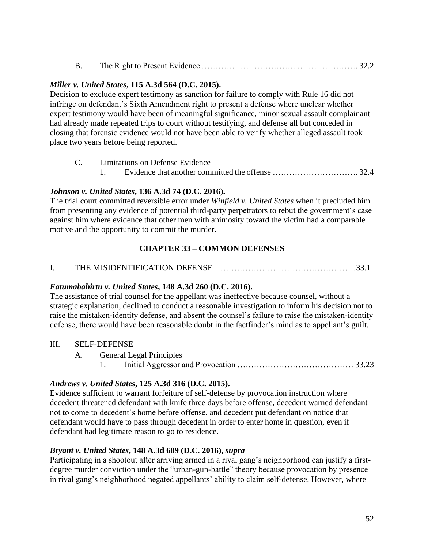| <b>B.</b> |  |  |
|-----------|--|--|
|           |  |  |

### *Miller v. United States***, 115 A.3d 564 (D.C. 2015).**

Decision to exclude expert testimony as sanction for failure to comply with Rule 16 did not infringe on defendant's Sixth Amendment right to present a defense where unclear whether expert testimony would have been of meaningful significance, minor sexual assault complainant had already made repeated trips to court without testifying, and defense all but conceded in closing that forensic evidence would not have been able to verify whether alleged assault took place two years before being reported.

C. Limitations on Defense Evidence 1. Evidence that another committed the offense …………………………. 32.4

## *Johnson v. United States***, 136 A.3d 74 (D.C. 2016).**

The trial court committed reversible error under *Winfield v. United States* when it precluded him from presenting any evidence of potential third-party perpetrators to rebut the government's case against him where evidence that other men with animosity toward the victim had a comparable motive and the opportunity to commit the murder.

### **CHAPTER 33 – COMMON DEFENSES**

### I. THE MISIDENTIFICATION DEFENSE ……………………………………………33.1

### *Fatumabahirtu v. United States***, 148 A.3d 260 (D.C. 2016).**

The assistance of trial counsel for the appellant was ineffective because counsel, without a strategic explanation, declined to conduct a reasonable investigation to inform his decision not to raise the mistaken-identity defense, and absent the counsel's failure to raise the mistaken-identity defense, there would have been reasonable doubt in the factfinder's mind as to appellant's guilt.

#### III. SELF-DEFENSE

- A. General Legal Principles
	- 1. Initial Aggressor and Provocation …………………………………… 33.23

### *Andrews v. United States***, 125 A.3d 316 (D.C. 2015).**

Evidence sufficient to warrant forfeiture of self-defense by provocation instruction where decedent threatened defendant with knife three days before offense, decedent warned defendant not to come to decedent's home before offense, and decedent put defendant on notice that defendant would have to pass through decedent in order to enter home in question, even if defendant had legitimate reason to go to residence.

### *Bryant v. United States***, 148 A.3d 689 (D.C. 2016),** *supra*

Participating in a shootout after arriving armed in a rival gang's neighborhood can justify a firstdegree murder conviction under the "urban-gun-battle" theory because provocation by presence in rival gang's neighborhood negated appellants' ability to claim self-defense. However, where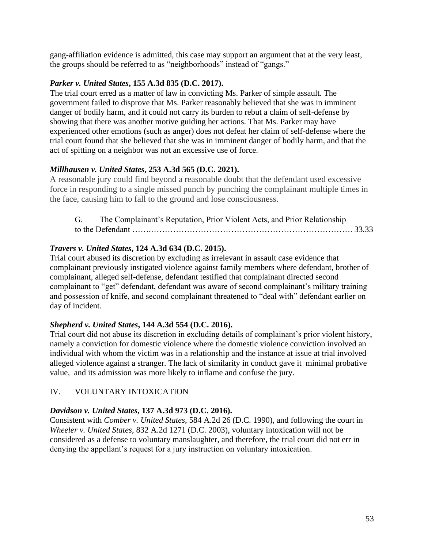gang-affiliation evidence is admitted, this case may support an argument that at the very least, the groups should be referred to as "neighborhoods" instead of "gangs."

### *Parker v. United States***, 155 A.3d 835 (D.C. 2017).**

The trial court erred as a matter of law in convicting Ms. Parker of simple assault. The government failed to disprove that Ms. Parker reasonably believed that she was in imminent danger of bodily harm, and it could not carry its burden to rebut a claim of self-defense by showing that there was another motive guiding her actions. That Ms. Parker may have experienced other emotions (such as anger) does not defeat her claim of self-defense where the trial court found that she believed that she was in imminent danger of bodily harm, and that the act of spitting on a neighbor was not an excessive use of force.

## *Millhausen v. United States***, 253 A.3d 565 (D.C. 2021).**

A reasonable jury could find beyond a reasonable doubt that the defendant used excessive force in responding to a single missed punch by punching the complainant multiple times in the face, causing him to fall to the ground and lose consciousness.

| G. | The Complainant's Reputation, Prior Violent Acts, and Prior Relationship |  |
|----|--------------------------------------------------------------------------|--|
|    |                                                                          |  |

## *Travers v. United States***, 124 A.3d 634 (D.C. 2015).**

Trial court abused its discretion by excluding as irrelevant in assault case evidence that complainant previously instigated violence against family members where defendant, brother of complainant, alleged self-defense, defendant testified that complainant directed second complainant to "get" defendant, defendant was aware of second complainant's military training and possession of knife, and second complainant threatened to "deal with" defendant earlier on day of incident.

### *Shepherd v. United States***, 144 A.3d 554 (D.C. 2016).**

Trial court did not abuse its discretion in excluding details of complainant's prior violent history, namely a conviction for domestic violence where the domestic violence conviction involved an individual with whom the victim was in a relationship and the instance at issue at trial involved alleged violence against a stranger. The lack of similarity in conduct gave it minimal probative value, and its admission was more likely to inflame and confuse the jury.

## IV. VOLUNTARY INTOXICATION

### *Davidson v. United States***, 137 A.3d 973 (D.C. 2016).**

Consistent with *Comber v. United States*, 584 A.2d 26 (D.C. 1990), and following the court in *Wheeler v. United States*, 832 A.2d 1271 (D.C. 2003), voluntary intoxication will not be considered as a defense to voluntary manslaughter, and therefore, the trial court did not err in denying the appellant's request for a jury instruction on voluntary intoxication.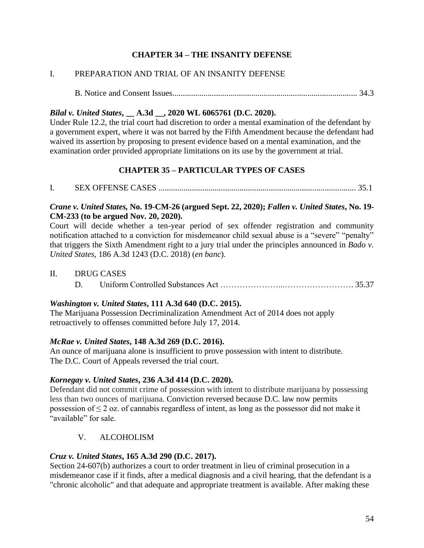## **CHAPTER 34 – THE INSANITY DEFENSE**

## I. PREPARATION AND TRIAL OF AN INSANITY DEFENSE

B. Notice and Consent Issues......................................................................................... 34.3

### *Bilal v. United States***, \_\_ A.3d \_\_, 2020 WL 6065761 (D.C. 2020).**

Under Rule 12.2, the trial court had discretion to order a mental examination of the defendant by a government expert, where it was not barred by the Fifth Amendment because the defendant had waived its assertion by proposing to present evidence based on a mental examination, and the examination order provided appropriate limitations on its use by the government at trial.

## **CHAPTER 35 – PARTICULAR TYPES OF CASES**

I. SEX OFFENSE CASES ............................................................................................... 35.1

### *Crane v. United States,* **No. 19-CM-26 (argued Sept. 22, 2020);** *Fallen v. United States***, No. 19- CM-233 (to be argued Nov. 20, 2020).**

Court will decide whether a ten-year period of sex offender registration and community notification attached to a conviction for misdemeanor child sexual abuse is a "severe" "penalty" that triggers the Sixth Amendment right to a jury trial under the principles announced in *Bado v. United States*, 186 A.3d 1243 (D.C. 2018) (*en banc*).

#### II. DRUG CASES

D. Uniform Controlled Substances Act …………………...……………………. 35.37

### *Washington v. United States***, 111 A.3d 640 (D.C. 2015).**

The Marijuana Possession Decriminalization Amendment Act of 2014 does not apply retroactively to offenses committed before July 17, 2014.

### *McRae v. United States***, 148 A.3d 269 (D.C. 2016).**

An ounce of marijuana alone is insufficient to prove possession with intent to distribute. The D.C. Court of Appeals reversed the trial court.

### *Kornegay v. United States***, 236 A.3d 414 (D.C. 2020).**

Defendant did not commit crime of possession with intent to distribute marijuana by possessing less than two ounces of marijuana. Conviction reversed because D.C. law now permits possession of  $\leq 2$  oz. of cannabis regardless of intent, as long as the possessor did not make it "available" for sale.

## V. ALCOHOLISM

### *Cruz v. United States***, 165 A.3d 290 (D.C. 2017).**

Section 24-607(b) authorizes a court to order treatment in lieu of criminal prosecution in a misdemeanor case if it finds, after a medical diagnosis and a civil hearing, that the defendant is a "chronic alcoholic" and that adequate and appropriate treatment is available. After making these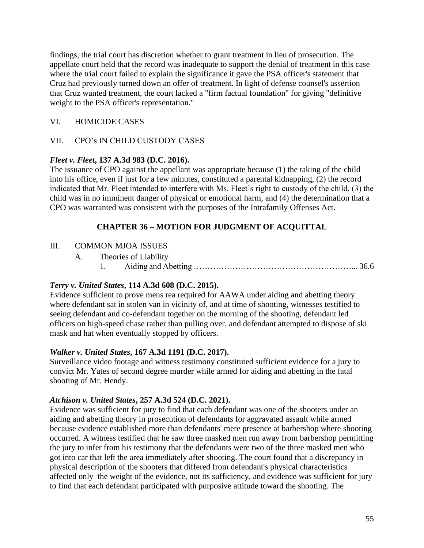findings, the trial court has discretion whether to grant treatment in lieu of prosecution. The appellate court held that the record was inadequate to support the denial of treatment in this case where the trial court failed to explain the significance it gave the PSA officer's statement that Cruz had previously turned down an offer of treatment. In light of defense counsel's assertion that Cruz wanted treatment, the court lacked a "firm factual foundation" for giving "definitive weight to the PSA officer's representation."

## VI. HOMICIDE CASES

## VII. CPO's IN CHILD CUSTODY CASES

## *Fleet v. Fleet***, 137 A.3d 983 (D.C. 2016).**

The issuance of CPO against the appellant was appropriate because (1) the taking of the child into his office, even if just for a few minutes, constituted a parental kidnapping, (2) the record indicated that Mr. Fleet intended to interfere with Ms. Fleet's right to custody of the child, (3) the child was in no imminent danger of physical or emotional harm, and (4) the determination that a CPO was warranted was consistent with the purposes of the Intrafamily Offenses Act.

## **CHAPTER 36 – MOTION FOR JUDGMENT OF ACQUITTAL**

### III. COMMON MJOA ISSUES

- A. Theories of Liability
	- 1. Aiding and Abetting …………………………………………………... 36.6

### *Terry v. United States***, 114 A.3d 608 (D.C. 2015).**

Evidence sufficient to prove mens rea required for AAWA under aiding and abetting theory where defendant sat in stolen van in vicinity of, and at time of shooting, witnesses testified to seeing defendant and co-defendant together on the morning of the shooting, defendant led officers on high-speed chase rather than pulling over, and defendant attempted to dispose of ski mask and hat when eventually stopped by officers.

### *Walker v. United States***, 167 A.3d 1191 (D.C. 2017).**

Surveillance video footage and witness testimony constituted sufficient evidence for a jury to convict Mr. Yates of second degree murder while armed for aiding and abetting in the fatal shooting of Mr. Hendy.

### *Atchison v. United States***, 257 A.3d 524 (D.C. 2021).**

Evidence was sufficient for jury to find that each defendant was one of the shooters under an aiding and abetting theory in prosecution of defendants for aggravated assault while armed because evidence established more than defendants' mere presence at barbershop where shooting occurred. A witness testified that he saw three masked men run away from barbershop permitting the jury to infer from his testimony that the defendants were two of the three masked men who got into car that left the area immediately after shooting. The court found that a discrepancy in physical description of the shooters that differed from defendant's physical characteristics affected only the weight of the evidence, not its sufficiency, and evidence was sufficient for jury to find that each defendant participated with purposive attitude toward the shooting. The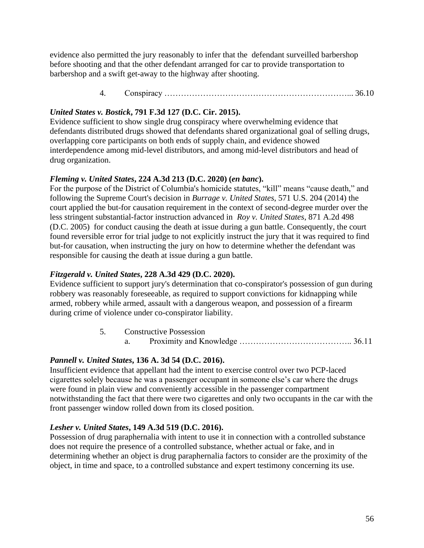evidence also permitted the jury reasonably to infer that the defendant surveilled barbershop before shooting and that the other defendant arranged for car to provide transportation to barbershop and a swift get-away to the highway after shooting.

4. Conspiracy …………………………………………………………... 36.10

## *United States v. Bostick***, 791 F.3d 127 (D.C. Cir. 2015).**

Evidence sufficient to show single drug conspiracy where overwhelming evidence that defendants distributed drugs showed that defendants shared organizational goal of selling drugs, overlapping core participants on both ends of supply chain, and evidence showed interdependence among mid-level distributors, and among mid-level distributors and head of drug organization.

## *[Fleming v. United States](https://1.next.westlaw.com/Link/Document/FullText?findType=Y&serNum=2050264884&pubNum=0007691&originatingDoc=I944571006ac211eaae65c24a92a27fc2&refType=RP&originationContext=document&transitionType=DocumentItem&contextData=(sc.Search))***, 224 A.3d 213 (D.C. 2020) (***en banc***).**

For the purpose of the District of Columbia's homicide statutes, "kill" means "cause death," and following the Supreme Court's decision in *[Burrage v. United States](https://1.next.westlaw.com/Link/Document/FullText?findType=Y&serNum=2032600812&pubNum=0000708&originatingDoc=Ib049bee043eb11ea959390ec898a3607&refType=RP&originationContext=document&transitionType=DocumentItem&contextData=(sc.DocLink))*, 571 U.S. 204 (2014) the court applied the but-for causation requirement in the context of second-degree murder over the less stringent substantial-factor instruction advanced in *[Roy v. United States](https://1.next.westlaw.com/Link/Document/FullText?findType=Y&serNum=2006431504&pubNum=0000162&originatingDoc=Ib049bee043eb11ea959390ec898a3607&refType=RP&originationContext=document&transitionType=DocumentItem&contextData=(sc.DocLink))*, 871 A.2d 498 [\(D.C. 2005\)](https://1.next.westlaw.com/Link/Document/FullText?findType=Y&serNum=2006431504&pubNum=0000162&originatingDoc=Ib049bee043eb11ea959390ec898a3607&refType=RP&originationContext=document&transitionType=DocumentItem&contextData=(sc.DocLink)) for conduct causing the death at issue during a gun battle. Consequently, the court found reversible error for trial judge to not explicitly instruct the jury that it was required to find but-for causation, when instructing the jury on how to determine whether the defendant was responsible for causing the death at issue during a gun battle.

### *Fitzgerald v. United States***, 228 A.3d 429 (D.C. 2020).**

Evidence sufficient to support jury's determination that co-conspirator's possession of gun during robbery was reasonably foreseeable, as required to support convictions for kidnapping while armed, robbery while armed, assault with a dangerous weapon, and possession of a firearm during crime of violence under co-conspirator liability.

> 5. Constructive Possession a. Proximity and Knowledge ………………………………….. 36.11

### *Pannell v. United States***, 136 A. 3d 54 (D.C. 2016).**

Insufficient evidence that appellant had the intent to exercise control over two PCP-laced cigarettes solely because he was a passenger occupant in someone else's car where the drugs were found in plain view and conveniently accessible in the passenger compartment notwithstanding the fact that there were two cigarettes and only two occupants in the car with the front passenger window rolled down from its closed position.

### *Lesher v. United States***, 149 A.3d 519 (D.C. 2016).**

Possession of drug paraphernalia with intent to use it in connection with a controlled substance does not require the presence of a controlled substance, whether actual or fake, and in determining whether an object is drug paraphernalia factors to consider are the proximity of the object, in time and space, to a controlled substance and expert testimony concerning its use.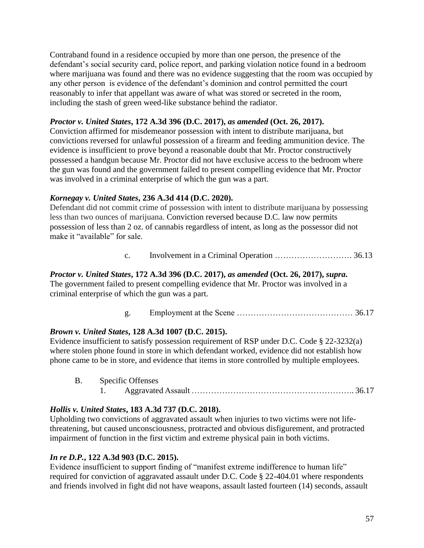Contraband found in a residence occupied by more than one person, the presence of the defendant's social security card, police report, and parking violation notice found in a bedroom where marijuana was found and there was no evidence suggesting that the room was occupied by any other person is evidence of the defendant's dominion and control permitted the court reasonably to infer that appellant was aware of what was stored or secreted in the room, including the stash of green weed-like substance behind the radiator.

### *Proctor v. United States***, 172 A.3d 396 (D.C. 2017),** *as amended* **(Oct. 26, 2017).**

Conviction affirmed for misdemeanor possession with intent to distribute marijuana, but convictions reversed for unlawful possession of a firearm and feeding ammunition device. The evidence is insufficient to prove beyond a reasonable doubt that Mr. Proctor constructively possessed a handgun because Mr. Proctor did not have exclusive access to the bedroom where the gun was found and the government failed to present compelling evidence that Mr. Proctor was involved in a criminal enterprise of which the gun was a part.

### *Kornegay v. United States***, 236 A.3d 414 (D.C. 2020).**

Defendant did not commit crime of possession with intent to distribute marijuana by possessing less than two ounces of marijuana. Conviction reversed because D.C. law now permits possession of less than 2 oz. of cannabis regardless of intent, as long as the possessor did not make it "available" for sale.

c. Involvement in a Criminal Operation ………………………. 36.13

#### *Proctor v. United States***, 172 A.3d 396 (D.C. 2017),** *as amended* **(Oct. 26, 2017),** *supra***.**

The government failed to present compelling evidence that Mr. Proctor was involved in a criminal enterprise of which the gun was a part.

g. Employment at the Scene …………………………………… 36.17

### *Brown v. United States***, 128 A.3d 1007 (D.C. 2015).**

Evidence insufficient to satisfy possession requirement of RSP under D.C. Code § 22-3232(a) where stolen phone found in store in which defendant worked, evidence did not establish how phone came to be in store, and evidence that items in store controlled by multiple employees.

B. Specific Offenses

## 1. Aggravated Assault ………………………………………………….. 36.17

### *Hollis v. United States***, 183 A.3d 737 (D.C. 2018).**

Upholding two convictions of aggravated assault when injuries to two victims were not lifethreatening, but caused unconsciousness, protracted and obvious disfigurement, and protracted impairment of function in the first victim and extreme physical pain in both victims.

### *In re D.P.***, 122 A.3d 903 (D.C. 2015).**

Evidence insufficient to support finding of "manifest extreme indifference to human life" required for conviction of aggravated assault under D.C. Code § 22-404.01 where respondents and friends involved in fight did not have weapons, assault lasted fourteen (14) seconds, assault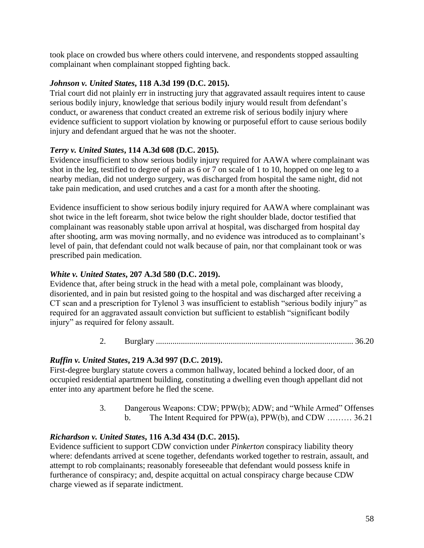took place on crowded bus where others could intervene, and respondents stopped assaulting complainant when complainant stopped fighting back.

### *Johnson v. United States***, 118 A.3d 199 (D.C. 2015).**

Trial court did not plainly err in instructing jury that aggravated assault requires intent to cause serious bodily injury, knowledge that serious bodily injury would result from defendant's conduct, or awareness that conduct created an extreme risk of serious bodily injury where evidence sufficient to support violation by knowing or purposeful effort to cause serious bodily injury and defendant argued that he was not the shooter.

## *Terry v. United States***, 114 A.3d 608 (D.C. 2015).**

Evidence insufficient to show serious bodily injury required for AAWA where complainant was shot in the leg, testified to degree of pain as 6 or 7 on scale of 1 to 10, hopped on one leg to a nearby median, did not undergo surgery, was discharged from hospital the same night, did not take pain medication, and used crutches and a cast for a month after the shooting.

Evidence insufficient to show serious bodily injury required for AAWA where complainant was shot twice in the left forearm, shot twice below the right shoulder blade, doctor testified that complainant was reasonably stable upon arrival at hospital, was discharged from hospital day after shooting, arm was moving normally, and no evidence was introduced as to complainant's level of pain, that defendant could not walk because of pain, nor that complainant took or was prescribed pain medication.

## *White v. United States***, 207 A.3d 580 (D.C. 2019).**

Evidence that, after being struck in the head with a metal pole, complainant was bloody, disoriented, and in pain but resisted going to the hospital and was discharged after receiving a CT scan and a prescription for Tylenol 3 was insufficient to establish "serious bodily injury" as required for an aggravated assault conviction but sufficient to establish "significant bodily injury" as required for felony assault.

2. Burglary ............................................................................................... 36.20

## *Ruffin v. United States***, 219 A.3d 997 (D.C. 2019).**

First-degree burglary statute covers a common hallway, located behind a locked door, of an occupied residential apartment building, constituting a dwelling even though appellant did not enter into any apartment before he fled the scene.

> 3. Dangerous Weapons: CDW; PPW(b); ADW; and "While Armed" Offenses b. The Intent Required for PPW(a), PPW(b), and CDW ……… 36.21

## *Richardson v. United States***, 116 A.3d 434 (D.C. 2015).**

Evidence sufficient to support CDW conviction under *Pinkerton* conspiracy liability theory where: defendants arrived at scene together, defendants worked together to restrain, assault, and attempt to rob complainants; reasonably foreseeable that defendant would possess knife in furtherance of conspiracy; and, despite acquittal on actual conspiracy charge because CDW charge viewed as if separate indictment.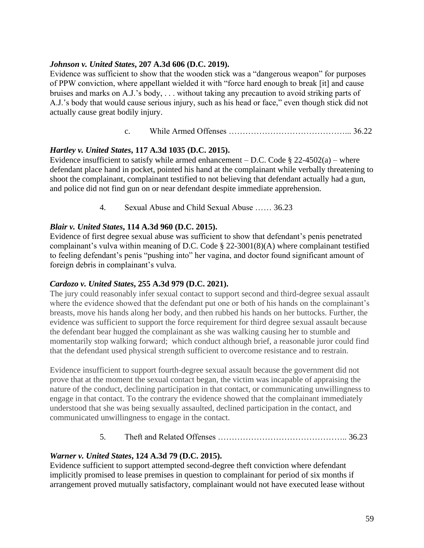#### *Johnson v. United States***, 207 A.3d 606 (D.C. 2019).**

Evidence was sufficient to show that the wooden stick was a "dangerous weapon" for purposes of PPW conviction, where appellant wielded it with "force hard enough to break [it] and cause bruises and marks on A.J.'s body, . . . without taking any precaution to avoid striking parts of A.J.'s body that would cause serious injury, such as his head or face," even though stick did not actually cause great bodily injury.

c. While Armed Offenses ……………………………………... 36.22

### *Hartley v. United States***, 117 A.3d 1035 (D.C. 2015).**

Evidence insufficient to satisfy while armed enhancement – D.C. Code  $\S$  22-4502(a) – where defendant place hand in pocket, pointed his hand at the complainant while verbally threatening to shoot the complainant, complainant testified to not believing that defendant actually had a gun, and police did not find gun on or near defendant despite immediate apprehension.

4. Sexual Abuse and Child Sexual Abuse …… 36.23

### *Blair v. United States***, 114 A.3d 960 (D.C. 2015).**

Evidence of first degree sexual abuse was sufficient to show that defendant's penis penetrated complainant's vulva within meaning of D.C. Code § 22-3001(8)(A) where complainant testified to feeling defendant's penis "pushing into" her vagina, and doctor found significant amount of foreign debris in complainant's vulva.

#### *Cardozo v. United States***, 255 A.3d 979 (D.C. 2021).**

The jury could reasonably infer sexual contact to support second and third-degree sexual assault where the evidence showed that the defendant put one or both of his hands on the complainant's breasts, move his hands along her body, and then rubbed his hands on her buttocks. Further, the evidence was sufficient to support the force requirement for third degree sexual assault because the defendant bear hugged the complainant as she was walking causing her to stumble and momentarily stop walking forward; which conduct although brief, a reasonable juror could find that the defendant used physical strength sufficient to overcome resistance and to restrain.

Evidence insufficient to support fourth-degree sexual assault because the government did not prove that at the moment the sexual contact began, the victim was incapable of appraising the nature of the conduct, declining participation in that contact, or communicating unwillingness to engage in that contact. To the contrary the evidence showed that the complainant immediately understood that she was being sexually assaulted, declined participation in the contact, and communicated unwillingness to engage in the contact.

5. Theft and Related Offenses ……………………………………….. 36.23

### *Warner v. United States***, 124 A.3d 79 (D.C. 2015).**

Evidence sufficient to support attempted second-degree theft conviction where defendant implicitly promised to lease premises in question to complainant for period of six months if arrangement proved mutually satisfactory, complainant would not have executed lease without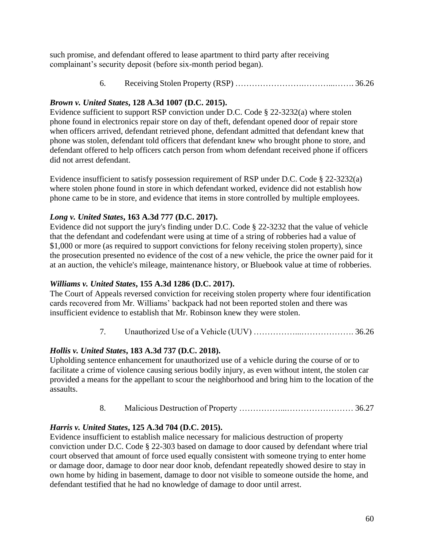such promise, and defendant offered to lease apartment to third party after receiving complainant's security deposit (before six-month period began).

6. Receiving Stolen Property (RSP) …………………….………...……. 36.26

## *Brown v. United States***, 128 A.3d 1007 (D.C. 2015).**

Evidence sufficient to support RSP conviction under D.C. Code § 22-3232(a) where stolen phone found in electronics repair store on day of theft, defendant opened door of repair store when officers arrived, defendant retrieved phone, defendant admitted that defendant knew that phone was stolen, defendant told officers that defendant knew who brought phone to store, and defendant offered to help officers catch person from whom defendant received phone if officers did not arrest defendant.

Evidence insufficient to satisfy possession requirement of RSP under D.C. Code § 22-3232(a) where stolen phone found in store in which defendant worked, evidence did not establish how phone came to be in store, and evidence that items in store controlled by multiple employees.

## *Long v. United States***, 163 A.3d 777 (D.C. 2017).**

Evidence did not support the jury's finding under D.C. Code § 22-3232 that the value of vehicle that the defendant and codefendant were using at time of a string of robberies had a value of \$1,000 or more (as required to support convictions for felony receiving stolen property), since the prosecution presented no evidence of the cost of a new vehicle, the price the owner paid for it at an auction, the vehicle's mileage, maintenance history, or Bluebook value at time of robberies.

## *Williams v. United States***, 155 A.3d 1286 (D.C. 2017).**

The Court of Appeals reversed conviction for receiving stolen property where four identification cards recovered from Mr. Williams' backpack had not been reported stolen and there was insufficient evidence to establish that Mr. Robinson knew they were stolen.

## 7. Unauthorized Use of a Vehicle (UUV) ……………...………………. 36.26

## *Hollis v. United States***, 183 A.3d 737 (D.C. 2018).**

Upholding sentence enhancement for unauthorized use of a vehicle during the course of or to facilitate a crime of violence causing serious bodily injury, as even without intent, the stolen car provided a means for the appellant to scour the neighborhood and bring him to the location of the assaults.

8. Malicious Destruction of Property ……………...…………………… 36.27

## *Harris v. United States***, 125 A.3d 704 (D.C. 2015).**

Evidence insufficient to establish malice necessary for malicious destruction of property conviction under D.C. Code § 22-303 based on damage to door caused by defendant where trial court observed that amount of force used equally consistent with someone trying to enter home or damage door, damage to door near door knob, defendant repeatedly showed desire to stay in own home by hiding in basement, damage to door not visible to someone outside the home, and defendant testified that he had no knowledge of damage to door until arrest.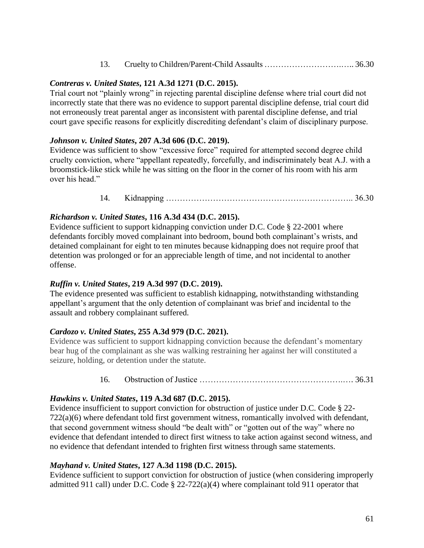| 13. |  |  |
|-----|--|--|
|-----|--|--|

#### *Contreras v. United States***, 121 A.3d 1271 (D.C. 2015).**

Trial court not "plainly wrong" in rejecting parental discipline defense where trial court did not incorrectly state that there was no evidence to support parental discipline defense, trial court did not erroneously treat parental anger as inconsistent with parental discipline defense, and trial court gave specific reasons for explicitly discrediting defendant's claim of disciplinary purpose.

#### *Johnson v. United States***, 207 A.3d 606 (D.C. 2019).**

Evidence was sufficient to show "excessive force" required for attempted second degree child cruelty conviction, where "appellant repeatedly, forcefully, and indiscriminately beat A.J. with a broomstick-like stick while he was sitting on the floor in the corner of his room with his arm over his head."

14. Kidnapping ………………………………………………………….. 36.30

### *Richardson v. United States***, 116 A.3d 434 (D.C. 2015).**

Evidence sufficient to support kidnapping conviction under D.C. Code § 22-2001 where defendants forcibly moved complainant into bedroom, bound both complainant's wrists, and detained complainant for eight to ten minutes because kidnapping does not require proof that detention was prolonged or for an appreciable length of time, and not incidental to another offense.

### *Ruffin v. United States***, 219 A.3d 997 (D.C. 2019).**

The evidence presented was sufficient to establish kidnapping, notwithstanding withstanding appellant's argument that the only detention of complainant was brief and incidental to the assault and robbery complainant suffered.

### *Cardozo v. United States***, 255 A.3d 979 (D.C. 2021).**

Evidence was sufficient to support kidnapping conviction because the defendant's momentary bear hug of the complainant as she was walking restraining her against her will constituted a seizure, holding, or detention under the statute.

#### 16. Obstruction of Justice …………………………………………….…. 36.31

### *Hawkins v. United States***, 119 A.3d 687 (D.C. 2015).**

Evidence insufficient to support conviction for obstruction of justice under D.C. Code § 22- 722(a)(6) where defendant told first government witness, romantically involved with defendant, that second government witness should "be dealt with" or "gotten out of the way" where no evidence that defendant intended to direct first witness to take action against second witness, and no evidence that defendant intended to frighten first witness through same statements.

#### *Mayhand v. United States***, 127 A.3d 1198 (D.C. 2015).**

Evidence sufficient to support conviction for obstruction of justice (when considering improperly admitted 911 call) under D.C. Code § 22-722(a)(4) where complainant told 911 operator that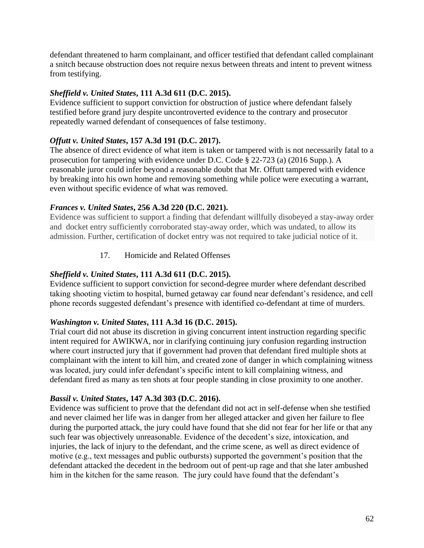defendant threatened to harm complainant, and officer testified that defendant called complainant a snitch because obstruction does not require nexus between threats and intent to prevent witness from testifying.

## *Sheffield v. United States***, 111 A.3d 611 (D.C. 2015).**

Evidence sufficient to support conviction for obstruction of justice where defendant falsely testified before grand jury despite uncontroverted evidence to the contrary and prosecutor repeatedly warned defendant of consequences of false testimony.

## *Offutt v. United States***, 157 A.3d 191 (D.C. 2017).**

The absence of direct evidence of what item is taken or tampered with is not necessarily fatal to a prosecution for tampering with evidence under D.C. Code § 22-723 (a) (2016 Supp.). A reasonable juror could infer beyond a reasonable doubt that Mr. Offutt tampered with evidence by breaking into his own home and removing something while police were executing a warrant, even without specific evidence of what was removed.

### *Frances v. United States***, 256 A.3d 220 (D.C. 2021).**

Evidence was sufficient to support a finding that defendant willfully disobeyed a stay-away order and docket entry sufficiently corroborated stay-away order, which was undated, to allow its admission. Further, certification of docket entry was not required to take judicial notice of it.

## 17. Homicide and Related Offenses

## *Sheffield v. United States***, 111 A.3d 611 (D.C. 2015).**

Evidence sufficient to support conviction for second-degree murder where defendant described taking shooting victim to hospital, burned getaway car found near defendant's residence, and cell phone records suggested defendant's presence with identified co-defendant at time of murders.

### *Washington v. United States***, 111 A.3d 16 (D.C. 2015).**

Trial court did not abuse its discretion in giving concurrent intent instruction regarding specific intent required for AWIKWA, nor in clarifying continuing jury confusion regarding instruction where court instructed jury that if government had proven that defendant fired multiple shots at complainant with the intent to kill him, and created zone of danger in which complaining witness was located, jury could infer defendant's specific intent to kill complaining witness, and defendant fired as many as ten shots at four people standing in close proximity to one another.

### *Bassil v. United States***, 147 A.3d 303 (D.C. 2016).**

Evidence was sufficient to prove that the defendant did not act in self-defense when she testified and never claimed her life was in danger from her alleged attacker and given her failure to flee during the purported attack, the jury could have found that she did not fear for her life or that any such fear was objectively unreasonable. Evidence of the decedent's size, intoxication, and injuries, the lack of injury to the defendant, and the crime scene, as well as direct evidence of motive (e.g., text messages and public outbursts) supported the government's position that the defendant attacked the decedent in the bedroom out of pent-up rage and that she later ambushed him in the kitchen for the same reason. The jury could have found that the defendant's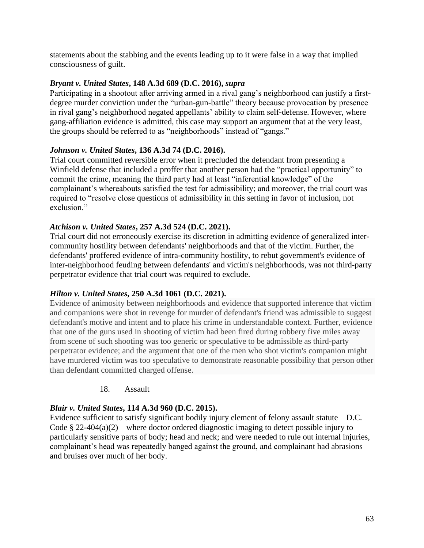statements about the stabbing and the events leading up to it were false in a way that implied consciousness of guilt.

#### *Bryant v. United States***, 148 A.3d 689 (D.C. 2016),** *supra*

Participating in a shootout after arriving armed in a rival gang's neighborhood can justify a firstdegree murder conviction under the "urban-gun-battle" theory because provocation by presence in rival gang's neighborhood negated appellants' ability to claim self-defense. However, where gang-affiliation evidence is admitted, this case may support an argument that at the very least, the groups should be referred to as "neighborhoods" instead of "gangs."

#### *Johnson v. United States***, 136 A.3d 74 (D.C. 2016).**

Trial court committed reversible error when it precluded the defendant from presenting a Winfield defense that included a proffer that another person had the "practical opportunity" to commit the crime, meaning the third party had at least "inferential knowledge" of the complainant's whereabouts satisfied the test for admissibility; and moreover, the trial court was required to "resolve close questions of admissibility in this setting in favor of inclusion, not exclusion."

### *Atchison v. United States***, 257 A.3d 524 (D.C. 2021).**

Trial court did not erroneously exercise its discretion in admitting evidence of generalized intercommunity hostility between defendants' neighborhoods and that of the victim. Further, the defendants' proffered evidence of intra-community hostility, to rebut government's evidence of inter-neighborhood feuding between defendants' and victim's neighborhoods, was not third-party perpetrator evidence that trial court was required to exclude.

### *Hilton v. United States***, 250 A.3d 1061 (D.C. 2021).**

Evidence of animosity between neighborhoods and evidence that supported inference that victim and companions were shot in revenge for murder of defendant's friend was admissible to suggest defendant's motive and intent and to place his crime in understandable context. Further, evidence that one of the guns used in shooting of victim had been fired during robbery five miles away from scene of such shooting was too generic or speculative to be admissible as third-party perpetrator evidence; and the argument that one of the men who shot victim's companion might have murdered victim was too speculative to demonstrate reasonable possibility that person other than defendant committed charged offense.

#### 18. Assault

### *Blair v. United States***, 114 A.3d 960 (D.C. 2015).**

Evidence sufficient to satisfy significant bodily injury element of felony assault statute – D.C. Code § 22-404(a)(2) – where doctor ordered diagnostic imaging to detect possible injury to particularly sensitive parts of body; head and neck; and were needed to rule out internal injuries, complainant's head was repeatedly banged against the ground, and complainant had abrasions and bruises over much of her body.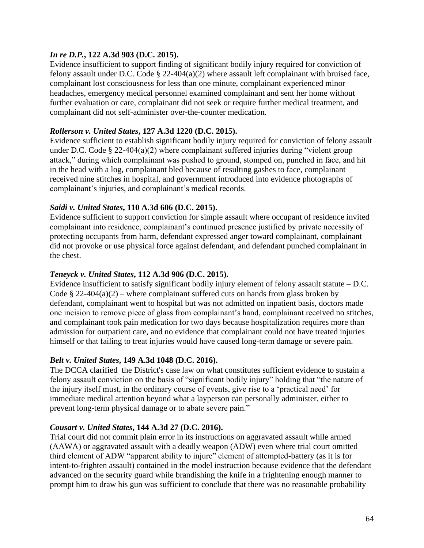#### *In re D.P.***, 122 A.3d 903 (D.C. 2015).**

Evidence insufficient to support finding of significant bodily injury required for conviction of felony assault under D.C. Code § 22-404(a)(2) where assault left complainant with bruised face, complainant lost consciousness for less than one minute, complainant experienced minor headaches, emergency medical personnel examined complainant and sent her home without further evaluation or care, complainant did not seek or require further medical treatment, and complainant did not self-administer over-the-counter medication.

#### *Rollerson v. United States***, 127 A.3d 1220 (D.C. 2015).**

Evidence sufficient to establish significant bodily injury required for conviction of felony assault under D.C. Code § 22-404(a)(2) where complainant suffered injuries during "violent group attack," during which complainant was pushed to ground, stomped on, punched in face, and hit in the head with a log, complainant bled because of resulting gashes to face, complainant received nine stitches in hospital, and government introduced into evidence photographs of complainant's injuries, and complainant's medical records.

#### *Saidi v. United States***, 110 A.3d 606 (D.C. 2015).**

Evidence sufficient to support conviction for simple assault where occupant of residence invited complainant into residence, complainant's continued presence justified by private necessity of protecting occupants from harm, defendant expressed anger toward complainant, complainant did not provoke or use physical force against defendant, and defendant punched complainant in the chest.

#### *Teneyck v. United States***, 112 A.3d 906 (D.C. 2015).**

Evidence insufficient to satisfy significant bodily injury element of felony assault statute – D.C. Code § 22-404(a)(2) – where complainant suffered cuts on hands from glass broken by defendant, complainant went to hospital but was not admitted on inpatient basis, doctors made one incision to remove piece of glass from complainant's hand, complainant received no stitches, and complainant took pain medication for two days because hospitalization requires more than admission for outpatient care, and no evidence that complainant could not have treated injuries himself or that failing to treat injuries would have caused long-term damage or severe pain.

#### *Belt v. United States***, 149 A.3d 1048 (D.C. 2016).**

The DCCA clarified the District's case law on what constitutes sufficient evidence to sustain a felony assault conviction on the basis of "significant bodily injury" holding that "the nature of the injury itself must, in the ordinary course of events, give rise to a 'practical need' for immediate medical attention beyond what a layperson can personally administer, either to prevent long-term physical damage or to abate severe pain."

#### *Cousart v. United States***, 144 A.3d 27 (D.C. 2016).**

Trial court did not commit plain error in its instructions on aggravated assault while armed (AAWA) or aggravated assault with a deadly weapon (ADW) even where trial court omitted third element of ADW "apparent ability to injure" element of attempted-battery (as it is for intent-to-frighten assault) contained in the model instruction because evidence that the defendant advanced on the security guard while brandishing the knife in a frightening enough manner to prompt him to draw his gun was sufficient to conclude that there was no reasonable probability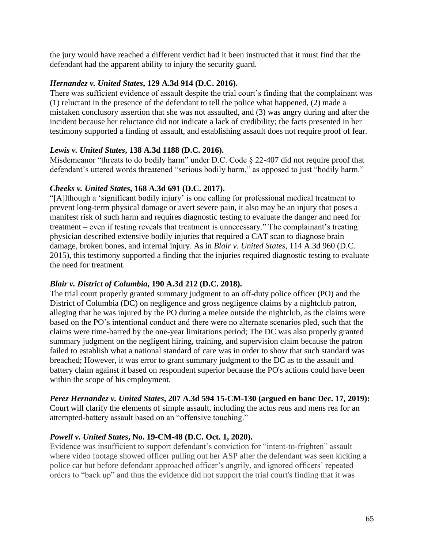the jury would have reached a different verdict had it been instructed that it must find that the defendant had the apparent ability to injury the security guard.

#### *Hernandez v. United States***, 129 A.3d 914 (D.C. 2016).**

There was sufficient evidence of assault despite the trial court's finding that the complainant was (1) reluctant in the presence of the defendant to tell the police what happened, (2) made a mistaken conclusory assertion that she was not assaulted, and (3) was angry during and after the incident because her reluctance did not indicate a lack of credibility; the facts presented in her testimony supported a finding of assault, and establishing assault does not require proof of fear.

### *Lewis v. United States***, 138 A.3d 1188 (D.C. 2016).**

Misdemeanor "threats to do bodily harm" under D.C. Code § 22-407 did not require proof that defendant's uttered words threatened "serious bodily harm," as opposed to just "bodily harm."

#### *Cheeks v. United States***, 168 A.3d 691 (D.C. 2017).**

"[A]lthough a 'significant bodily injury' is one calling for professional medical treatment to prevent long-term physical damage or avert severe pain, it also may be an injury that poses a manifest risk of such harm and requires diagnostic testing to evaluate the danger and need for treatment – even if testing reveals that treatment is unnecessary." The complainant's treating physician described extensive bodily injuries that required a CAT scan to diagnose brain damage, broken bones, and internal injury. As in *Blair v. United States*, 114 A.3d 960 (D.C. 2015), this testimony supported a finding that the injuries required diagnostic testing to evaluate the need for treatment.

#### *Blair v. District of Columbia***, 190 A.3d 212 (D.C. 2018).**

The trial court properly granted summary judgment to an off-duty police officer (PO) and the District of Columbia (DC) on negligence and gross negligence claims by a nightclub patron, alleging that he was injured by the PO during a melee outside the nightclub, as the claims were based on the PO's intentional conduct and there were no alternate scenarios pled, such that the claims were time-barred by the one-year limitations period; The DC was also properly granted summary judgment on the negligent hiring, training, and supervision claim because the patron failed to establish what a national standard of care was in order to show that such standard was breached; However, it was error to grant summary judgment to the DC as to the assault and battery claim against it based on respondent superior because the PO's actions could have been within the scope of his employment.

#### *Perez Hernandez v. United States***, 207 A.3d 594 15-CM-130 (argued en banc Dec. 17, 2019):** Court will clarify the elements of simple assault, including the actus reus and mens rea for an attempted-battery assault based on an "offensive touching."

## *Powell v. United States***, No. 19-CM-48 (D.C. Oct. 1, 2020).**

Evidence was insufficient to support defendant's conviction for "intent-to-frighten" assault where video footage showed officer pulling out her ASP after the defendant was seen kicking a police car but before defendant approached officer's angrily, and ignored officers' repeated orders to "back up" and thus the evidence did not support the trial court's finding that it was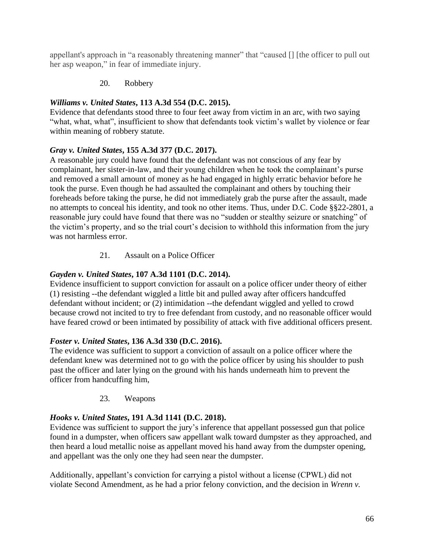appellant's approach in "a reasonably threatening manner" that "caused [] [the officer to pull out her asp weapon," in fear of immediate injury.

### 20. Robbery

## *Williams v. United States***, 113 A.3d 554 (D.C. 2015).**

Evidence that defendants stood three to four feet away from victim in an arc, with two saying "what, what, what", insufficient to show that defendants took victim's wallet by violence or fear within meaning of robbery statute.

## *Gray v. United States***, 155 A.3d 377 (D.C. 2017).**

A reasonable jury could have found that the defendant was not conscious of any fear by complainant, her sister-in-law, and their young children when he took the complainant's purse and removed a small amount of money as he had engaged in highly erratic behavior before he took the purse. Even though he had assaulted the complainant and others by touching their foreheads before taking the purse, he did not immediately grab the purse after the assault, made no attempts to conceal his identity, and took no other items. Thus, under D.C. Code §§22-2801, a reasonable jury could have found that there was no "sudden or stealthy seizure or snatching" of the victim's property, and so the trial court's decision to withhold this information from the jury was not harmless error.

## 21. Assault on a Police Officer

## *Gayden v. United States***, 107 A.3d 1101 (D.C. 2014).**

Evidence insufficient to support conviction for assault on a police officer under theory of either (1) resisting --the defendant wiggled a little bit and pulled away after officers handcuffed defendant without incident; or (2) intimidation --the defendant wiggled and yelled to crowd because crowd not incited to try to free defendant from custody, and no reasonable officer would have feared crowd or been intimated by possibility of attack with five additional officers present.

### *Foster v. United States***, 136 A.3d 330 (D.C. 2016).**

The evidence was sufficient to support a conviction of assault on a police officer where the defendant knew was determined not to go with the police officer by using his shoulder to push past the officer and later lying on the ground with his hands underneath him to prevent the officer from handcuffing him,

### 23. Weapons

## *Hooks v. United States***, 191 A.3d 1141 (D.C. 2018).**

Evidence was sufficient to support the jury's inference that appellant possessed gun that police found in a dumpster, when officers saw appellant walk toward dumpster as they approached, and then heard a loud metallic noise as appellant moved his hand away from the dumpster opening, and appellant was the only one they had seen near the dumpster.

Additionally, appellant's conviction for carrying a pistol without a license (CPWL) did not violate Second Amendment, as he had a prior felony conviction, and the decision in *Wrenn v.*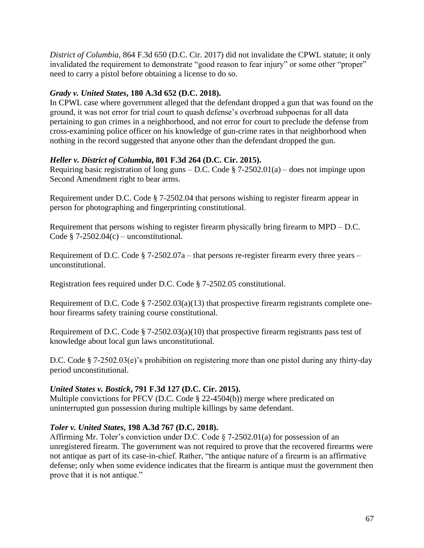*District of Columbia*, 864 F.3d 650 (D.C. Cir. 2017) did not invalidate the CPWL statute; it only invalidated the requirement to demonstrate "good reason to fear injury" or some other "proper" need to carry a pistol before obtaining a license to do so.

### *Grady v. United States***, 180 A.3d 652 (D.C. 2018).**

In CPWL case where government alleged that the defendant dropped a gun that was found on the ground, it was not error for trial court to quash defense's overbroad subpoenas for all data pertaining to gun crimes in a neighborhood, and not error for court to preclude the defense from cross-examining police officer on his knowledge of gun-crime rates in that neighborhood when nothing in the record suggested that anyone other than the defendant dropped the gun.

## *Heller v. District of Columbia***, 801 F.3d 264 (D.C. Cir. 2015).**

Requiring basic registration of long guns – D.C. Code  $\S$  7-2502.01(a) – does not impinge upon Second Amendment right to bear arms.

Requirement under D.C. Code § 7-2502.04 that persons wishing to register firearm appear in person for photographing and fingerprinting constitutional.

Requirement that persons wishing to register firearm physically bring firearm to MPD – D.C. Code  $$ 7-2502.04(c) -$  unconstitutional.

Requirement of D.C. Code  $\S$  7-2502.07a – that persons re-register firearm every three years – unconstitutional.

Registration fees required under D.C. Code § 7-2502.05 constitutional.

Requirement of D.C. Code § 7-2502.03(a)(13) that prospective firearm registrants complete onehour firearms safety training course constitutional.

Requirement of D.C. Code § 7-2502.03(a)(10) that prospective firearm registrants pass test of knowledge about local gun laws unconstitutional.

D.C. Code § 7-2502.03(e)'s prohibition on registering more than one pistol during any thirty-day period unconstitutional.

## *United States v. Bostick***, 791 F.3d 127 (D.C. Cir. 2015).**

Multiple convictions for PFCV (D.C. Code § 22-4504(b)) merge where predicated on uninterrupted gun possession during multiple killings by same defendant.

### *Toler v. United States***, 198 A.3d 767 (D.C. 2018).**

Affirming Mr. Toler's conviction under D.C. Code § 7-2502.01(a) for possession of an unregistered firearm. The government was not required to prove that the recovered firearms were not antique as part of its case-in-chief. Rather, "the antique nature of a firearm is an affirmative defense; only when some evidence indicates that the firearm is antique must the government then prove that it is not antique."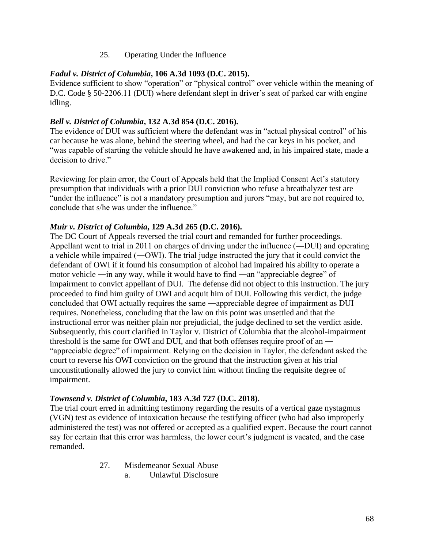### 25. Operating Under the Influence

#### *Fadul v. District of Columbia***, 106 A.3d 1093 (D.C. 2015).**

Evidence sufficient to show "operation" or "physical control" over vehicle within the meaning of D.C. Code § 50-2206.11 (DUI) where defendant slept in driver's seat of parked car with engine idling.

#### *Bell v. District of Columbia***, 132 A.3d 854 (D.C. 2016).**

The evidence of DUI was sufficient where the defendant was in "actual physical control" of his car because he was alone, behind the steering wheel, and had the car keys in his pocket, and "was capable of starting the vehicle should he have awakened and, in his impaired state, made a decision to drive."

Reviewing for plain error, the Court of Appeals held that the Implied Consent Act's statutory presumption that individuals with a prior DUI conviction who refuse a breathalyzer test are "under the influence" is not a mandatory presumption and jurors "may, but are not required to, conclude that s/he was under the influence."

#### *Muir v. District of Columbia***, 129 A.3d 265 (D.C. 2016).**

The DC Court of Appeals reversed the trial court and remanded for further proceedings. Appellant went to trial in 2011 on charges of driving under the influence (―DUI) and operating a vehicle while impaired (―OWI). The trial judge instructed the jury that it could convict the defendant of OWI if it found his consumption of alcohol had impaired his ability to operate a motor vehicle ―in any way, while it would have to find ―an "appreciable degree" of impairment to convict appellant of DUI. The defense did not object to this instruction. The jury proceeded to find him guilty of OWI and acquit him of DUI. Following this verdict, the judge concluded that OWI actually requires the same ―appreciable degree of impairment as DUI requires. Nonetheless, concluding that the law on this point was unsettled and that the instructional error was neither plain nor prejudicial, the judge declined to set the verdict aside. Subsequently, this court clarified in Taylor v. District of Columbia that the alcohol-impairment threshold is the same for OWI and DUI, and that both offenses require proof of an ― "appreciable degree" of impairment. Relying on the decision in Taylor, the defendant asked the court to reverse his OWI conviction on the ground that the instruction given at his trial unconstitutionally allowed the jury to convict him without finding the requisite degree of impairment.

#### *Townsend v. District of Columbia***, 183 A.3d 727 (D.C. 2018).**

The trial court erred in admitting testimony regarding the results of a vertical gaze nystagmus (VGN) test as evidence of intoxication because the testifying officer (who had also improperly administered the test) was not offered or accepted as a qualified expert. Because the court cannot say for certain that this error was harmless, the lower court's judgment is vacated, and the case remanded.

27. Misdemeanor Sexual Abuse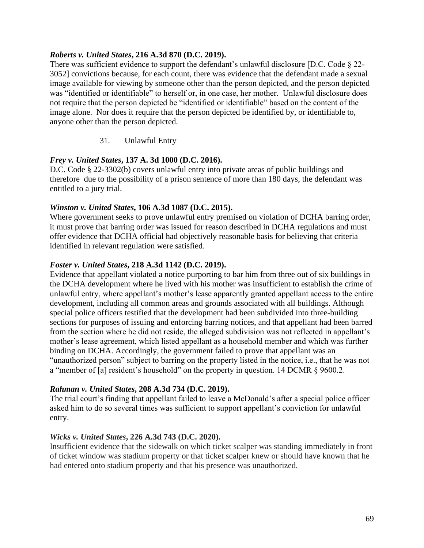#### *Roberts v. United States***, 216 A.3d 870 (D.C. 2019).**

There was sufficient evidence to support the defendant's unlawful disclosure [D.C. Code § 22- 3052] convictions because, for each count, there was evidence that the defendant made a sexual image available for viewing by someone other than the person depicted, and the person depicted was "identified or identifiable" to herself or, in one case, her mother. Unlawful disclosure does not require that the person depicted be "identified or identifiable" based on the content of the image alone. Nor does it require that the person depicted be identified by, or identifiable to, anyone other than the person depicted.

### 31. Unlawful Entry

## *Frey v. United States***, 137 A. 3d 1000 (D.C. 2016).**

D.C. Code § 22-3302(b) covers unlawful entry into private areas of public buildings and therefore due to the possibility of a prison sentence of more than 180 days, the defendant was entitled to a jury trial.

#### *Winston v. United States***, 106 A.3d 1087 (D.C. 2015).**

Where government seeks to prove unlawful entry premised on violation of DCHA barring order, it must prove that barring order was issued for reason described in DCHA regulations and must offer evidence that DCHA official had objectively reasonable basis for believing that criteria identified in relevant regulation were satisfied.

#### *Foster v. United States***, 218 A.3d 1142 (D.C. 2019).**

Evidence that appellant violated a notice purporting to bar him from three out of six buildings in the DCHA development where he lived with his mother was insufficient to establish the crime of unlawful entry, where appellant's mother's lease apparently granted appellant access to the entire development, including all common areas and grounds associated with all buildings. Although special police officers testified that the development had been subdivided into three-building sections for purposes of issuing and enforcing barring notices, and that appellant had been barred from the section where he did not reside, the alleged subdivision was not reflected in appellant's mother's lease agreement, which listed appellant as a household member and which was further binding on DCHA. Accordingly, the government failed to prove that appellant was an "unauthorized person" subject to barring on the property listed in the notice, i.e., that he was not a "member of [a] resident's household" on the property in question. 14 DCMR § 9600.2.

### *Rahman v. United States***, 208 A.3d 734 (D.C. 2019).**

The trial court's finding that appellant failed to leave a McDonald's after a special police officer asked him to do so several times was sufficient to support appellant's conviction for unlawful entry.

#### *Wicks v. United States***, 226 A.3d 743 (D.C. 2020).**

Insufficient evidence that the sidewalk on which ticket scalper was standing immediately in front of ticket window was stadium property or that ticket scalper knew or should have known that he had entered onto stadium property and that his presence was unauthorized.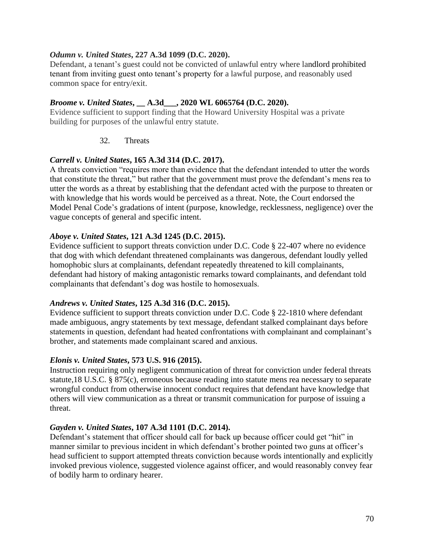#### *Odumn v. United States***, 227 A.3d 1099 (D.C. 2020).**

Defendant, a tenant's guest could not be convicted of unlawful entry where landlord prohibited tenant from inviting guest onto tenant's property for a lawful purpose, and reasonably used common space for entry/exit.

### *Broome v. United States***, \_\_ A.3d\_\_\_, 2020 WL 6065764 (D.C. 2020).**

Evidence sufficient to support finding that the Howard University Hospital was a private building for purposes of the unlawful entry statute.

#### 32. Threats

## *Carrell v. United States***, 165 A.3d 314 (D.C. 2017).**

A threats conviction "requires more than evidence that the defendant intended to utter the words that constitute the threat," but rather that the government must prove the defendant's mens rea to utter the words as a threat by establishing that the defendant acted with the purpose to threaten or with knowledge that his words would be perceived as a threat. Note, the Court endorsed the Model Penal Code's gradations of intent (purpose, knowledge, recklessness, negligence) over the vague concepts of general and specific intent.

### *Aboye v. United States***, 121 A.3d 1245 (D.C. 2015).**

Evidence sufficient to support threats conviction under D.C. Code § 22-407 where no evidence that dog with which defendant threatened complainants was dangerous, defendant loudly yelled homophobic slurs at complainants, defendant repeatedly threatened to kill complainants, defendant had history of making antagonistic remarks toward complainants, and defendant told complainants that defendant's dog was hostile to homosexuals.

### *Andrews v. United States***, 125 A.3d 316 (D.C. 2015).**

Evidence sufficient to support threats conviction under D.C. Code § 22-1810 where defendant made ambiguous, angry statements by text message, defendant stalked complainant days before statements in question, defendant had heated confrontations with complainant and complainant's brother, and statements made complainant scared and anxious.

### *Elonis v. United States***, 573 U.S. 916 (2015).**

Instruction requiring only negligent communication of threat for conviction under federal threats statute,18 U.S.C. § 875(c), erroneous because reading into statute mens rea necessary to separate wrongful conduct from otherwise innocent conduct requires that defendant have knowledge that others will view communication as a threat or transmit communication for purpose of issuing a threat.

#### *Gayden v. United States***, 107 A.3d 1101 (D.C. 2014).**

Defendant's statement that officer should call for back up because officer could get "hit" in manner similar to previous incident in which defendant's brother pointed two guns at officer's head sufficient to support attempted threats conviction because words intentionally and explicitly invoked previous violence, suggested violence against officer, and would reasonably convey fear of bodily harm to ordinary hearer.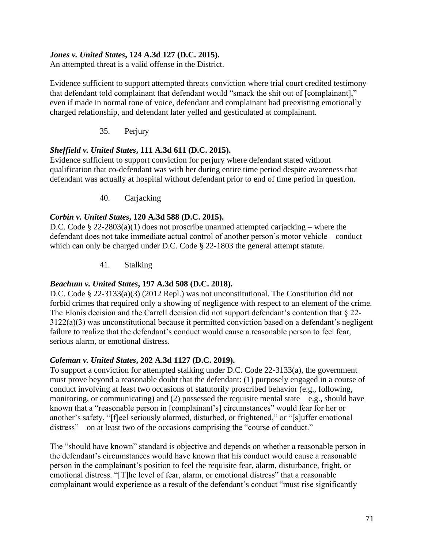### *Jones v. United States***, 124 A.3d 127 (D.C. 2015).**

An attempted threat is a valid offense in the District.

Evidence sufficient to support attempted threats conviction where trial court credited testimony that defendant told complainant that defendant would "smack the shit out of [complainant]," even if made in normal tone of voice, defendant and complainant had preexisting emotionally charged relationship, and defendant later yelled and gesticulated at complainant.

35. Perjury

### *Sheffield v. United States***, 111 A.3d 611 (D.C. 2015).**

Evidence sufficient to support conviction for perjury where defendant stated without qualification that co-defendant was with her during entire time period despite awareness that defendant was actually at hospital without defendant prior to end of time period in question.

40. Carjacking

### *Corbin v. United States***, 120 A.3d 588 (D.C. 2015).**

D.C. Code § 22-2803(a)(1) does not proscribe unarmed attempted carjacking – where the defendant does not take immediate actual control of another person's motor vehicle – conduct which can only be charged under D.C. Code § 22-1803 the general attempt statute.

41. Stalking

### *Beachum v. United States***, 197 A.3d 508 (D.C. 2018).**

D.C. Code § 22-3133(a)(3) (2012 Repl.) was not unconstitutional. The Constitution did not forbid crimes that required only a showing of negligence with respect to an element of the crime. The Elonis decision and the Carrell decision did not support defendant's contention that § 22- 3122(a)(3) was unconstitutional because it permitted conviction based on a defendant's negligent failure to realize that the defendant's conduct would cause a reasonable person to feel fear, serious alarm, or emotional distress.

### *Coleman v. United States***, 202 A.3d 1127 (D.C. 2019).**

To support a conviction for attempted stalking under D.C. Code 22-3133(a), the government must prove beyond a reasonable doubt that the defendant: (1) purposely engaged in a course of conduct involving at least two occasions of statutorily proscribed behavior (e.g., following, monitoring, or communicating) and (2) possessed the requisite mental state—e.g., should have known that a "reasonable person in [complainant's] circumstances" would fear for her or another's safety, "[f]eel seriously alarmed, disturbed, or frightened," or "[s]uffer emotional distress"—on at least two of the occasions comprising the "course of conduct."

The "should have known" standard is objective and depends on whether a reasonable person in the defendant's circumstances would have known that his conduct would cause a reasonable person in the complainant's position to feel the requisite fear, alarm, disturbance, fright, or emotional distress. "[T]he level of fear, alarm, or emotional distress" that a reasonable complainant would experience as a result of the defendant's conduct "must rise significantly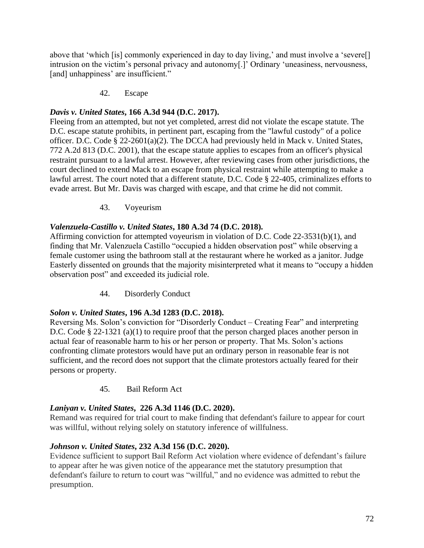above that 'which [is] commonly experienced in day to day living,' and must involve a 'severe[] intrusion on the victim's personal privacy and autonomy[.]' Ordinary 'uneasiness, nervousness, [and] unhappiness' are insufficient."

## 42. Escape

## *Davis v. United States***, 166 A.3d 944 (D.C. 2017).**

Fleeing from an attempted, but not yet completed, arrest did not violate the escape statute. The D.C. escape statute prohibits, in pertinent part, escaping from the "lawful custody" of a police officer. D.C. Code § 22-2601(a)(2). The DCCA had previously held in Mack v. United States, 772 A.2d 813 (D.C. 2001), that the escape statute applies to escapes from an officer's physical restraint pursuant to a lawful arrest. However, after reviewing cases from other jurisdictions, the court declined to extend Mack to an escape from physical restraint while attempting to make a lawful arrest. The court noted that a different statute, D.C. Code § 22-405, criminalizes efforts to evade arrest. But Mr. Davis was charged with escape, and that crime he did not commit.

## 43. Voyeurism

## *Valenzuela-Castillo v. United States***, 180 A.3d 74 (D.C. 2018).**

Affirming conviction for attempted voyeurism in violation of D.C. Code 22-3531(b)(1), and finding that Mr. Valenzuela Castillo "occupied a hidden observation post" while observing a female customer using the bathroom stall at the restaurant where he worked as a janitor. Judge Easterly dissented on grounds that the majority misinterpreted what it means to "occupy a hidden observation post" and exceeded its judicial role.

## 44. Disorderly Conduct

## *Solon v. United States***, 196 A.3d 1283 (D.C. 2018).**

Reversing Ms. Solon's conviction for "Disorderly Conduct – Creating Fear" and interpreting D.C. Code § 22-1321 (a)(1) to require proof that the person charged places another person in actual fear of reasonable harm to his or her person or property. That Ms. Solon's actions confronting climate protestors would have put an ordinary person in reasonable fear is not sufficient, and the record does not support that the climate protestors actually feared for their persons or property.

## 45. Bail Reform Act

## *Laniyan v. United States***, 226 A.3d 1146 (D.C. 2020).**

Remand was required for trial court to make finding that defendant's failure to appear for court was willful, without relying solely on statutory inference of willfulness.

## *Johnson v. United States***, 232 A.3d 156 (D.C. 2020).**

Evidence sufficient to support Bail Reform Act violation where evidence of defendant's failure to appear after he was given notice of the appearance met the statutory presumption that defendant's failure to return to court was "willful," and no evidence was admitted to rebut the presumption.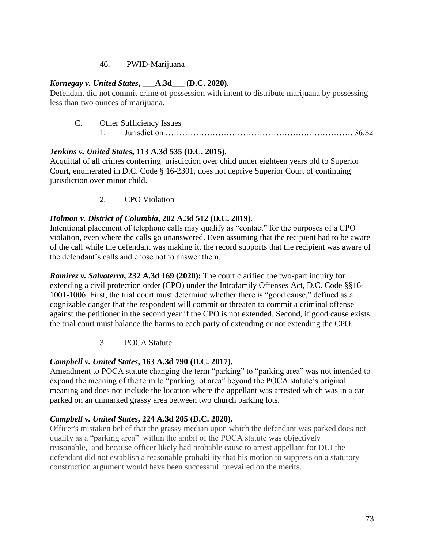## 46. PWID-Marijuana

## *Kornegay v. United States***, \_\_\_A.3d\_\_\_ (D.C. 2020).**

Defendant did not commit crime of possession with intent to distribute marijuana by possessing less than two ounces of marijuana.

C. Other Sufficiency Issues 1. Jurisdiction …………………………………………….……………. 36.32

# *Jenkins v. United State***s, 113 A.3d 535 (D.C. 2015).**

Acquittal of all crimes conferring jurisdiction over child under eighteen years old to Superior Court, enumerated in D.C. Code § 16-2301, does not deprive Superior Court of continuing jurisdiction over minor child.

2. CPO Violation

## *Holmon v. District of Columbia***, 202 A.3d 512 (D.C. 2019).**

Intentional placement of telephone calls may qualify as "contact" for the purposes of a CPO violation, even where the calls go unanswered. Even assuming that the recipient had to be aware of the call while the defendant was making it, the record supports that the recipient was aware of the defendant's calls and chose not to answer them.

*Ramirez v. Salvaterra***, 232 A.3d 169 (2020):** The court clarified the two-part inquiry for extending a civil protection order (CPO) under the Intrafamily Offenses Act, D.C. Code §§16- 1001-1006. First, the trial court must determine whether there is "good cause," defined as a cognizable danger that the respondent will commit or threaten to commit a criminal offense against the petitioner in the second year if the CPO is not extended. Second, if good cause exists, the trial court must balance the harms to each party of extending or not extending the CPO.

3. POCA Statute

# *Campbell v. United States***, 163 A.3d 790 (D.C. 2017).**

Amendment to POCA statute changing the term "parking" to "parking area" was not intended to expand the meaning of the term to "parking lot area" beyond the POCA statute's original meaning and does not include the location where the appellant was arrested which was in a car parked on an unmarked grassy area between two church parking lots.

## *Campbell v. United States***, 224 A.3d 205 (D.C. 2020).**

Officer's mistaken belief that the grassy median upon which the defendant was parked does not qualify as a "parking area" within the ambit of the POCA statute was objectively reasonable, and because officer likely had probable cause to arrest appellant for DUI the defendant did not establish a reasonable probability that his motion to suppress on a statutory construction argument would have been successful prevailed on the merits.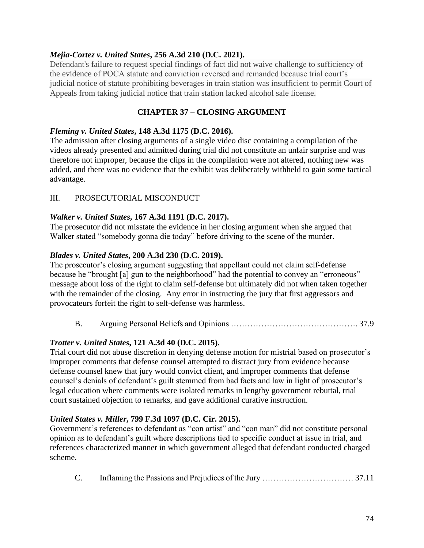## *Mejia-Cortez v. United States***, 256 A.3d 210 (D.C. 2021).**

Defendant's failure to request special findings of fact did not waive challenge to sufficiency of the evidence of POCA statute and conviction reversed and remanded because trial court's judicial notice of statute prohibiting beverages in train station was insufficient to permit Court of Appeals from taking judicial notice that train station lacked alcohol sale license.

## **CHAPTER 37 – CLOSING ARGUMENT**

#### *Fleming v. United States***, 148 A.3d 1175 (D.C. 2016).**

The admission after closing arguments of a single video disc containing a compilation of the videos already presented and admitted during trial did not constitute an unfair surprise and was therefore not improper, because the clips in the compilation were not altered, nothing new was added, and there was no evidence that the exhibit was deliberately withheld to gain some tactical advantage.

## III. PROSECUTORIAL MISCONDUCT

## *Walker v. United States***, 167 A.3d 1191 (D.C. 2017).**

The prosecutor did not misstate the evidence in her closing argument when she argued that Walker stated "somebody gonna die today" before driving to the scene of the murder.

## *Blades v. United States***, 200 A.3d 230 (D.C. 2019).**

The prosecutor's closing argument suggesting that appellant could not claim self-defense because he "brought [a] gun to the neighborhood" had the potential to convey an "erroneous" message about loss of the right to claim self-defense but ultimately did not when taken together with the remainder of the closing. Any error in instructing the jury that first aggressors and provocateurs forfeit the right to self-defense was harmless.

B. Arguing Personal Beliefs and Opinions ………………………………………. 37.9

## *Trotter v. United States***, 121 A.3d 40 (D.C. 2015).**

Trial court did not abuse discretion in denying defense motion for mistrial based on prosecutor's improper comments that defense counsel attempted to distract jury from evidence because defense counsel knew that jury would convict client, and improper comments that defense counsel's denials of defendant's guilt stemmed from bad facts and law in light of prosecutor's legal education where comments were isolated remarks in lengthy government rebuttal, trial court sustained objection to remarks, and gave additional curative instruction.

## *United States v. Miller***, 799 F.3d 1097 (D.C. Cir. 2015).**

Government's references to defendant as "con artist" and "con man" did not constitute personal opinion as to defendant's guilt where descriptions tied to specific conduct at issue in trial, and references characterized manner in which government alleged that defendant conducted charged scheme.

C. Inflaming the Passions and Prejudices of the Jury …………………………… 37.11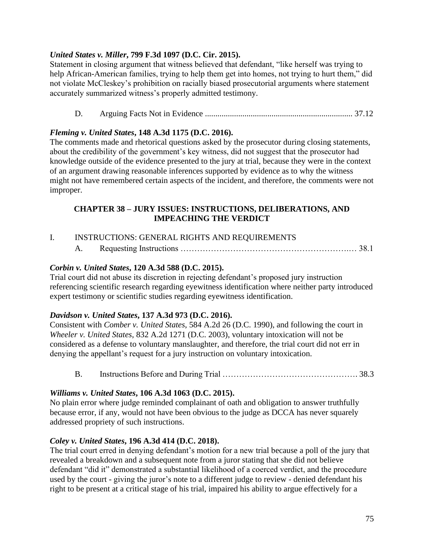## *United States v. Miller***, 799 F.3d 1097 (D.C. Cir. 2015).**

Statement in closing argument that witness believed that defendant, "like herself was trying to help African-American families, trying to help them get into homes, not trying to hurt them," did not violate McCleskey's prohibition on racially biased prosecutorial arguments where statement accurately summarized witness's properly admitted testimony.

D. Arguing Facts Not in Evidence ....................................................................... 37.12

# *Fleming v. United States***, 148 A.3d 1175 (D.C. 2016).**

The comments made and rhetorical questions asked by the prosecutor during closing statements, about the credibility of the government's key witness, did not suggest that the prosecutor had knowledge outside of the evidence presented to the jury at trial, because they were in the context of an argument drawing reasonable inferences supported by evidence as to why the witness might not have remembered certain aspects of the incident, and therefore, the comments were not improper.

#### **CHAPTER 38 – JURY ISSUES: INSTRUCTIONS, DELIBERATIONS, AND IMPEACHING THE VERDICT**

I. INSTRUCTIONS: GENERAL RIGHTS AND REQUIREMENTS A. Requesting Instructions …………………………………………………….… 38.1

## *Corbin v. United States***, 120 A.3d 588 (D.C. 2015).**

Trial court did not abuse its discretion in rejecting defendant's proposed jury instruction referencing scientific research regarding eyewitness identification where neither party introduced expert testimony or scientific studies regarding eyewitness identification.

## *Davidson v. United States***, 137 A.3d 973 (D.C. 2016).**

Consistent with *Comber v. United States*, 584 A.2d 26 (D.C. 1990), and following the court in *Wheeler v. United States*, 832 A.2d 1271 (D.C. 2003), voluntary intoxication will not be considered as a defense to voluntary manslaughter, and therefore, the trial court did not err in denying the appellant's request for a jury instruction on voluntary intoxication.

B. Instructions Before and During Trial …………………………………………. 38.3

## *Williams v. United States***, 106 A.3d 1063 (D.C. 2015).**

No plain error where judge reminded complainant of oath and obligation to answer truthfully because error, if any, would not have been obvious to the judge as DCCA has never squarely addressed propriety of such instructions.

## *Coley v. United States***, 196 A.3d 414 (D.C. 2018).**

The trial court erred in denying defendant's motion for a new trial because a poll of the jury that revealed a breakdown and a subsequent note from a juror stating that she did not believe defendant "did it" demonstrated a substantial likelihood of a coerced verdict, and the procedure used by the court - giving the juror's note to a different judge to review - denied defendant his right to be present at a critical stage of his trial, impaired his ability to argue effectively for a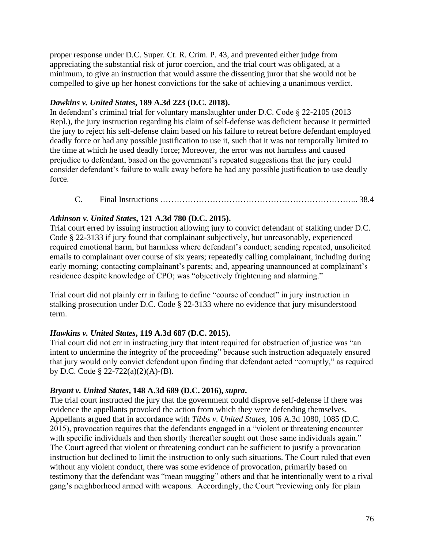proper response under D.C. Super. Ct. R. Crim. P. 43, and prevented either judge from appreciating the substantial risk of juror coercion, and the trial court was obligated, at a minimum, to give an instruction that would assure the dissenting juror that she would not be compelled to give up her honest convictions for the sake of achieving a unanimous verdict.

## *Dawkins v. United States***, 189 A.3d 223 (D.C. 2018).**

In defendant's criminal trial for voluntary manslaughter under D.C. Code § 22-2105 (2013 Repl.), the jury instruction regarding his claim of self-defense was deficient because it permitted the jury to reject his self-defense claim based on his failure to retreat before defendant employed deadly force or had any possible justification to use it, such that it was not temporally limited to the time at which he used deadly force; Moreover, the error was not harmless and caused prejudice to defendant, based on the government's repeated suggestions that the jury could consider defendant's failure to walk away before he had any possible justification to use deadly force.

C. Final Instructions ……………………………………………………………... 38.4

# *Atkinson v. United States***, 121 A.3d 780 (D.C. 2015).**

Trial court erred by issuing instruction allowing jury to convict defendant of stalking under D.C. Code § 22-3133 if jury found that complainant subjectively, but unreasonably, experienced required emotional harm, but harmless where defendant's conduct; sending repeated, unsolicited emails to complainant over course of six years; repeatedly calling complainant, including during early morning; contacting complainant's parents; and, appearing unannounced at complainant's residence despite knowledge of CPO; was "objectively frightening and alarming."

Trial court did not plainly err in failing to define "course of conduct" in jury instruction in stalking prosecution under D.C. Code § 22-3133 where no evidence that jury misunderstood term.

## *Hawkins v. United States***, 119 A.3d 687 (D.C. 2015).**

Trial court did not err in instructing jury that intent required for obstruction of justice was "an intent to undermine the integrity of the proceeding" because such instruction adequately ensured that jury would only convict defendant upon finding that defendant acted "corruptly," as required by D.C. Code § 22-722(a)(2)(A)-(B).

## *Bryant v. United States***, 148 A.3d 689 (D.C. 2016),** *supra***.**

The trial court instructed the jury that the government could disprove self-defense if there was evidence the appellants provoked the action from which they were defending themselves. Appellants argued that in accordance with *Tibbs v. United States*, 106 A.3d 1080, 1085 (D.C. 2015), provocation requires that the defendants engaged in a "violent or threatening encounter with specific individuals and then shortly thereafter sought out those same individuals again." The Court agreed that violent or threatening conduct can be sufficient to justify a provocation instruction but declined to limit the instruction to only such situations. The Court ruled that even without any violent conduct, there was some evidence of provocation, primarily based on testimony that the defendant was "mean mugging" others and that he intentionally went to a rival gang's neighborhood armed with weapons. Accordingly, the Court "reviewing only for plain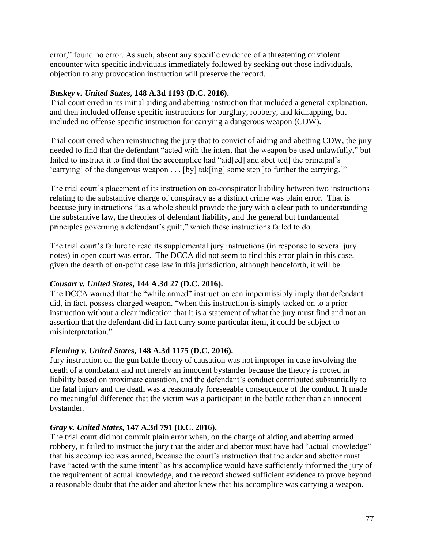error," found no error. As such, absent any specific evidence of a threatening or violent encounter with specific individuals immediately followed by seeking out those individuals, objection to any provocation instruction will preserve the record.

## *Buskey v. United States***, 148 A.3d 1193 (D.C. 2016).**

Trial court erred in its initial aiding and abetting instruction that included a general explanation, and then included offense specific instructions for burglary, robbery, and kidnapping, but included no offense specific instruction for carrying a dangerous weapon (CDW).

Trial court erred when reinstructing the jury that to convict of aiding and abetting CDW, the jury needed to find that the defendant "acted with the intent that the weapon be used unlawfully," but failed to instruct it to find that the accomplice had "aid[ed] and abet[ted] the principal's 'carrying' of the dangerous weapon . . . [by] tak[ing] some step ]to further the carrying.'"

The trial court's placement of its instruction on co-conspirator liability between two instructions relating to the substantive charge of conspiracy as a distinct crime was plain error. That is because jury instructions "as a whole should provide the jury with a clear path to understanding the substantive law, the theories of defendant liability, and the general but fundamental principles governing a defendant's guilt," which these instructions failed to do.

The trial court's failure to read its supplemental jury instructions (in response to several jury notes) in open court was error. The DCCA did not seem to find this error plain in this case, given the dearth of on-point case law in this jurisdiction, although henceforth, it will be.

# *Cousart v. United States***, 144 A.3d 27 (D.C. 2016).**

The DCCA warned that the "while armed" instruction can impermissibly imply that defendant did, in fact, possess charged weapon. "when this instruction is simply tacked on to a prior instruction without a clear indication that it is a statement of what the jury must find and not an assertion that the defendant did in fact carry some particular item, it could be subject to misinterpretation."

# *Fleming v. United States***, 148 A.3d 1175 (D.C. 2016).**

Jury instruction on the gun battle theory of causation was not improper in case involving the death of a combatant and not merely an innocent bystander because the theory is rooted in liability based on proximate causation, and the defendant's conduct contributed substantially to the fatal injury and the death was a reasonably foreseeable consequence of the conduct. It made no meaningful difference that the victim was a participant in the battle rather than an innocent bystander.

## *Gray v. United States***, 147 A.3d 791 (D.C. 2016).**

The trial court did not commit plain error when, on the charge of aiding and abetting armed robbery, it failed to instruct the jury that the aider and abettor must have had "actual knowledge" that his accomplice was armed, because the court's instruction that the aider and abettor must have "acted with the same intent" as his accomplice would have sufficiently informed the jury of the requirement of actual knowledge, and the record showed sufficient evidence to prove beyond a reasonable doubt that the aider and abettor knew that his accomplice was carrying a weapon.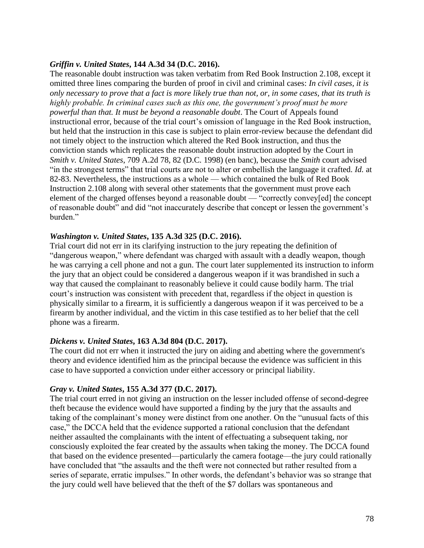#### *Griffin v. United States***, 144 A.3d 34 (D.C. 2016).**

The reasonable doubt instruction was taken verbatim from Red Book Instruction 2.108, except it omitted three lines comparing the burden of proof in civil and criminal cases: *In civil cases, it is only necessary to prove that a fact is more likely true than not, or, in some cases, that its truth is highly probable. In criminal cases such as this one, the government's proof must be more powerful than that. It must be beyond a reasonable doubt*. The Court of Appeals found instructional error, because of the trial court's omission of language in the Red Book instruction, but held that the instruction in this case is subject to plain error-review because the defendant did not timely object to the instruction which altered the Red Book instruction, and thus the conviction stands which replicates the reasonable doubt instruction adopted by the Court in *Smith v. United States*, 709 A.2d 78, 82 (D.C. 1998) (en banc), because the *Smith* court advised "in the strongest terms" that trial courts are not to alter or embellish the language it crafted. *Id.* at 82-83. Nevertheless, the instructions as a whole — which contained the bulk of Red Book Instruction 2.108 along with several other statements that the government must prove each element of the charged offenses beyond a reasonable doubt — "correctly convey[ed] the concept of reasonable doubt" and did "not inaccurately describe that concept or lessen the government's burden."

#### *Washington v. United States***, 135 A.3d 325 (D.C. 2016).**

Trial court did not err in its clarifying instruction to the jury repeating the definition of "dangerous weapon," where defendant was charged with assault with a deadly weapon, though he was carrying a cell phone and not a gun. The court later supplemented its instruction to inform the jury that an object could be considered a dangerous weapon if it was brandished in such a way that caused the complainant to reasonably believe it could cause bodily harm. The trial court's instruction was consistent with precedent that, regardless if the object in question is physically similar to a firearm, it is sufficiently a dangerous weapon if it was perceived to be a firearm by another individual, and the victim in this case testified as to her belief that the cell phone was a firearm.

#### *Dickens v. United States***, 163 A.3d 804 (D.C. 2017).**

The court did not err when it instructed the jury on aiding and abetting where the government's theory and evidence identified him as the principal because the evidence was sufficient in this case to have supported a conviction under either accessory or principal liability.

#### *Gray v. United States***, 155 A.3d 377 (D.C. 2017).**

The trial court erred in not giving an instruction on the lesser included offense of second-degree theft because the evidence would have supported a finding by the jury that the assaults and taking of the complainant's money were distinct from one another. On the "unusual facts of this case," the DCCA held that the evidence supported a rational conclusion that the defendant neither assaulted the complainants with the intent of effectuating a subsequent taking, nor consciously exploited the fear created by the assaults when taking the money. The DCCA found that based on the evidence presented—particularly the camera footage—the jury could rationally have concluded that "the assaults and the theft were not connected but rather resulted from a series of separate, erratic impulses." In other words, the defendant's behavior was so strange that the jury could well have believed that the theft of the \$7 dollars was spontaneous and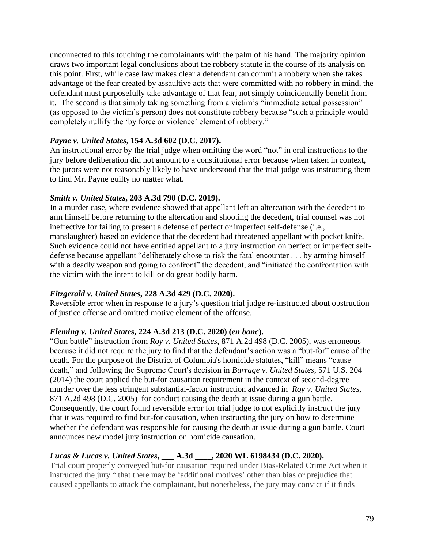unconnected to this touching the complainants with the palm of his hand. The majority opinion draws two important legal conclusions about the robbery statute in the course of its analysis on this point. First, while case law makes clear a defendant can commit a robbery when she takes advantage of the fear created by assaultive acts that were committed with no robbery in mind, the defendant must purposefully take advantage of that fear, not simply coincidentally benefit from it. The second is that simply taking something from a victim's "immediate actual possession" (as opposed to the victim's person) does not constitute robbery because "such a principle would completely nullify the 'by force or violence' element of robbery."

#### *Payne v. United States***, 154 A.3d 602 (D.C. 2017).**

An instructional error by the trial judge when omitting the word "not" in oral instructions to the jury before deliberation did not amount to a constitutional error because when taken in context, the jurors were not reasonably likely to have understood that the trial judge was instructing them to find Mr. Payne guilty no matter what.

#### *Smith v. United States***, 203 A.3d 790 (D.C. 2019).**

In a murder case, where evidence showed that appellant left an altercation with the decedent to arm himself before returning to the altercation and shooting the decedent, trial counsel was not ineffective for failing to present a defense of perfect or imperfect self-defense (i.e., manslaughter) based on evidence that the decedent had threatened appellant with pocket knife. Such evidence could not have entitled appellant to a jury instruction on perfect or imperfect selfdefense because appellant "deliberately chose to risk the fatal encounter . . . by arming himself with a deadly weapon and going to confront" the decedent, and "initiated the confrontation with the victim with the intent to kill or do great bodily harm.

## *Fitzgerald v. United States***, 228 A.3d 429 (D.C. 2020).**

Reversible error when in response to a jury's question trial judge re-instructed about obstruction of justice offense and omitted motive element of the offense.

## *[Fleming v. United States](https://1.next.westlaw.com/Link/Document/FullText?findType=Y&serNum=2050264884&pubNum=0007691&originatingDoc=I944571006ac211eaae65c24a92a27fc2&refType=RP&originationContext=document&transitionType=DocumentItem&contextData=(sc.Search))***, 224 A.3d 213 (D.C. 2020) (***en banc***).**

"Gun battle" instruction from *Roy v. United States*, 871 A.2d 498 (D.C. 2005), was erroneous because it did not require the jury to find that the defendant's action was a "but-for" cause of the death. For the purpose of the District of Columbia's homicide statutes, "kill" means "cause death," and following the Supreme Court's decision in *[Burrage v. United States](https://1.next.westlaw.com/Link/Document/FullText?findType=Y&serNum=2032600812&pubNum=0000708&originatingDoc=Ib049bee043eb11ea959390ec898a3607&refType=RP&originationContext=document&transitionType=DocumentItem&contextData=(sc.DocLink))*, 571 U.S. 204 [\(2014\)](https://1.next.westlaw.com/Link/Document/FullText?findType=Y&serNum=2032600812&pubNum=0000708&originatingDoc=Ib049bee043eb11ea959390ec898a3607&refType=RP&originationContext=document&transitionType=DocumentItem&contextData=(sc.DocLink)) the court applied the but-for causation requirement in the context of second-degree murder over the less stringent substantial-factor instruction advanced in *[Roy v. United States](https://1.next.westlaw.com/Link/Document/FullText?findType=Y&serNum=2006431504&pubNum=0000162&originatingDoc=Ib049bee043eb11ea959390ec898a3607&refType=RP&originationContext=document&transitionType=DocumentItem&contextData=(sc.DocLink))*, [871 A.2d 498 \(D.C. 2005\)](https://1.next.westlaw.com/Link/Document/FullText?findType=Y&serNum=2006431504&pubNum=0000162&originatingDoc=Ib049bee043eb11ea959390ec898a3607&refType=RP&originationContext=document&transitionType=DocumentItem&contextData=(sc.DocLink)) for conduct causing the death at issue during a gun battle. Consequently, the court found reversible error for trial judge to not explicitly instruct the jury that it was required to find but-for causation, when instructing the jury on how to determine whether the defendant was responsible for causing the death at issue during a gun battle. Court announces new model jury instruction on homicide causation.

## *Lucas & Lucas v. United States***, \_\_\_ A.3d \_\_\_\_, 2020 WL 6198434 (D.C. 2020).**

Trial court properly conveyed but-for causation required under Bias-Related Crime Act when it instructed the jury " that there may be 'additional motives' other than bias or prejudice that caused appellants to attack the complainant, but nonetheless, the jury may convict if it finds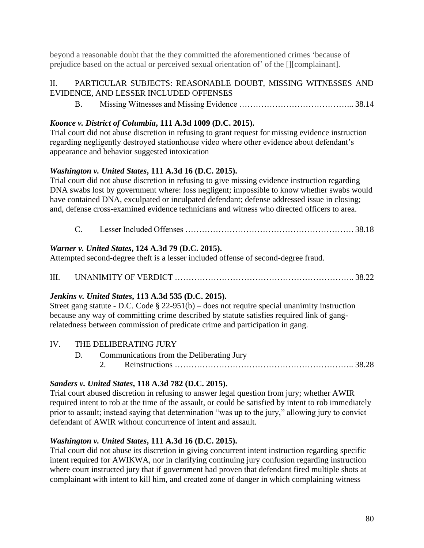beyond a reasonable doubt that the they committed the aforementioned crimes 'because of prejudice based on the actual or perceived sexual orientation of' of the [][complainant].

## II. PARTICULAR SUBJECTS: REASONABLE DOUBT, MISSING WITNESSES AND EVIDENCE, AND LESSER INCLUDED OFFENSES

B. Missing Witnesses and Missing Evidence …………………………………... 38.14

## *Koonce v. District of Columbia***, 111 A.3d 1009 (D.C. 2015).**

Trial court did not abuse discretion in refusing to grant request for missing evidence instruction regarding negligently destroyed stationhouse video where other evidence about defendant's appearance and behavior suggested intoxication

## *Washington v. United States***, 111 A.3d 16 (D.C. 2015).**

Trial court did not abuse discretion in refusing to give missing evidence instruction regarding DNA swabs lost by government where: loss negligent; impossible to know whether swabs would have contained DNA, exculpated or inculpated defendant; defense addressed issue in closing; and, defense cross-examined evidence technicians and witness who directed officers to area.

C. Lesser Included Offenses ……………………………………………………. 38.18

## *Warner v. United States***, 124 A.3d 79 (D.C. 2015).**

Attempted second-degree theft is a lesser included offense of second-degree fraud.

III. UNANIMITY OF VERDICT ……………………………………………………….. 38.22

## *Jenkins v. United States***, 113 A.3d 535 (D.C. 2015).**

Street gang statute - D.C. Code § 22-951(b) – does not require special unanimity instruction because any way of committing crime described by statute satisfies required link of gangrelatedness between commission of predicate crime and participation in gang.

## IV. THE DELIBERATING JURY

D. Communications from the Deliberating Jury 2. Reinstructions ……………………………………………………….. 38.28

## *Sanders v. United States***, 118 A.3d 782 (D.C. 2015).**

Trial court abused discretion in refusing to answer legal question from jury; whether AWIR required intent to rob at the time of the assault, or could be satisfied by intent to rob immediately prior to assault; instead saying that determination "was up to the jury," allowing jury to convict defendant of AWIR without concurrence of intent and assault.

## *Washington v. United States***, 111 A.3d 16 (D.C. 2015).**

Trial court did not abuse its discretion in giving concurrent intent instruction regarding specific intent required for AWIKWA, nor in clarifying continuing jury confusion regarding instruction where court instructed jury that if government had proven that defendant fired multiple shots at complainant with intent to kill him, and created zone of danger in which complaining witness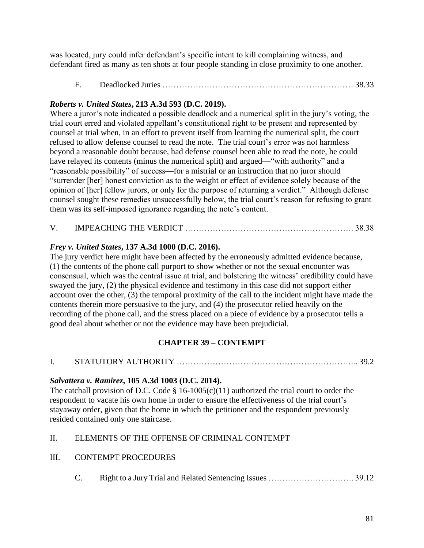was located, jury could infer defendant's specific intent to kill complaining witness, and defendant fired as many as ten shots at four people standing in close proximity to one another.

F. Deadlocked Juries …………………………………………………………… 38.33

## *Roberts v. United States***, 213 A.3d 593 (D.C. 2019).**

Where a juror's note indicated a possible deadlock and a numerical split in the jury's voting, the trial court erred and violated appellant's constitutional right to be present and represented by counsel at trial when, in an effort to prevent itself from learning the numerical split, the court refused to allow defense counsel to read the note. The trial court's error was not harmless beyond a reasonable doubt because, had defense counsel been able to read the note, he could have relayed its contents (minus the numerical split) and argued—"with authority" and a "reasonable possibility" of success—for a mistrial or an instruction that no juror should "surrender [her] honest conviction as to the weight or effect of evidence solely because of the opinion of [her] fellow jurors, or only for the purpose of returning a verdict." Although defense counsel sought these remedies unsuccessfully below, the trial court's reason for refusing to grant them was its self-imposed ignorance regarding the note's content.

V. IMPEACHING THE VERDICT ……………………………………………………. 38.38

## *Frey v. United States***, 137 A.3d 1000 (D.C. 2016).**

The jury verdict here might have been affected by the erroneously admitted evidence because, (1) the contents of the phone call purport to show whether or not the sexual encounter was consensual, which was the central issue at trial, and bolstering the witness' credibility could have swayed the jury, (2) the physical evidence and testimony in this case did not support either account over the other, (3) the temporal proximity of the call to the incident might have made the contents therein more persuasive to the jury, and (4) the prosecutor relied heavily on the recording of the phone call, and the stress placed on a piece of evidence by a prosecutor tells a good deal about whether or not the evidence may have been prejudicial.

# **CHAPTER 39 – CONTEMPT**

## *Salvattera v. Ramirez***, 105 A.3d 1003 (D.C. 2014).**

The catchall provision of D.C. Code  $\S$  16-1005(c)(11) authorized the trial court to order the respondent to vacate his own home in order to ensure the effectiveness of the trial court's stayaway order, given that the home in which the petitioner and the respondent previously resided contained only one staircase.

## II. ELEMENTS OF THE OFFENSE OF CRIMINAL CONTEMPT

## III. CONTEMPT PROCEDURES

C. Right to a Jury Trial and Related Sentencing Issues …………………………. 39.12